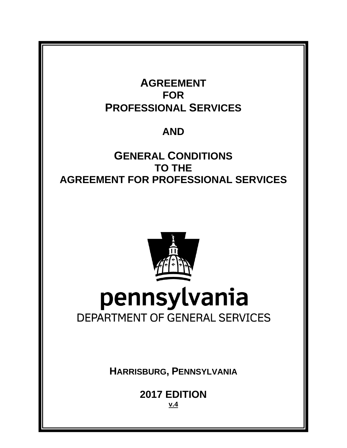

# **AND**

# **GENERAL CONDITIONS TO THE AGREEMENT FOR PROFESSIONAL SERVICES**



**HARRISBURG, PENNSYLVANIA**

**2017 EDITION v.4**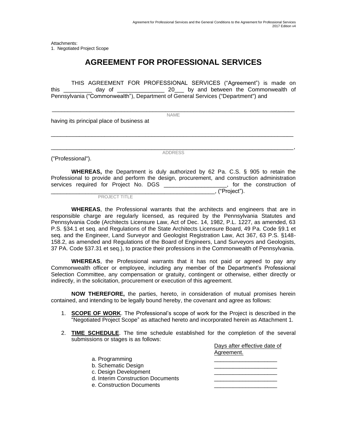Attachments: 1. Negotiated Project Scope

### **AGREEMENT FOR PROFESSIONAL SERVICES**

THIS AGREEMENT FOR PROFESSIONAL SERVICES ("Agreement") is made on this \_\_\_\_\_\_\_\_\_ day of \_\_\_\_\_\_\_\_\_\_\_\_\_\_\_ 20\_\_\_ by and between the Commonwealth of Pennsylvania ("Commonwealth"), Department of General Services ("Department") and

\_\_\_\_\_\_\_\_\_\_\_\_\_\_\_\_\_\_\_\_\_\_\_\_\_\_\_\_\_\_\_\_\_\_\_\_\_\_\_\_\_\_\_\_\_\_\_\_\_\_\_\_\_\_\_\_\_\_\_\_\_\_\_\_\_\_\_\_\_\_\_\_\_\_\_\_\_ NAME

having its principal place of business at

("Professional").

\_\_\_\_\_\_\_\_\_\_\_\_\_\_\_\_\_\_\_\_\_\_\_\_\_\_\_\_\_\_\_\_\_\_\_\_\_\_\_\_\_\_\_\_\_\_\_\_\_\_\_\_\_\_\_\_\_\_\_\_\_\_\_\_\_\_\_\_\_\_\_\_\_\_\_\_\_, ADDRESS

\_\_\_\_\_\_\_\_\_\_\_\_\_\_\_\_\_\_\_\_\_\_\_\_\_\_\_\_\_\_\_\_\_\_\_\_\_\_\_\_\_\_\_\_\_\_\_\_\_\_\_\_\_\_\_\_\_\_\_\_\_\_\_\_\_\_\_\_\_\_\_\_\_\_\_\_\_

**WHEREAS,** the Department is duly authorized by 62 Pa. C.S. § 905 to retain the Professional to provide and perform the design, procurement, and construction administration services required for Project No. DGS \_\_\_\_\_\_\_\_\_\_\_\_\_\_\_\_\_\_, for the construction of \_\_\_\_\_\_\_\_\_\_\_\_\_\_\_\_\_\_\_\_\_\_\_\_\_\_\_\_\_\_\_\_\_\_\_\_\_\_\_\_\_\_\_\_\_\_\_\_\_\_\_\_, ("Project").

PROJECT TITLE

**WHEREAS**, the Professional warrants that the architects and engineers that are in responsible charge are regularly licensed, as required by the Pennsylvania Statutes and Pennsylvania Code (Architects Licensure Law, Act of Dec. 14, 1982, P.L. 1227, as amended, 63 P.S. §34.1 et seq. and Regulations of the State Architects Licensure Board, 49 Pa. Code §9.1 et seq. and the Engineer, Land Surveyor and Geologist Registration Law, Act 367, 63 P.S. §148- 158.2, as amended and Regulations of the Board of Engineers, Land Surveyors and Geologists, 37 PA. Code §37.31 et seq.), to practice their professions in the Commonwealth of Pennsylvania.

**WHEREAS**, the Professional warrants that it has not paid or agreed to pay any Commonwealth officer or employee, including any member of the Department's Professional Selection Committee, any compensation or gratuity, contingent or otherwise, either directly or indirectly, in the solicitation, procurement or execution of this agreement.

**NOW THEREFORE,** the parties, hereto, in consideration of mutual promises herein contained, and intending to be legally bound hereby, the covenant and agree as follows:

- 1. **SCOPE OF WORK**. The Professional's scope of work for the Project is described in the "Negotiated Project Scope" as attached hereto and incorporated herein as Attachment 1.
- 2. **TIME SCHEDULE**. The time schedule established for the completion of the several submissions or stages is as follows:

|                                   | Days after effective date of |
|-----------------------------------|------------------------------|
|                                   | Agreement.                   |
| a. Programming                    |                              |
| b. Schematic Design               |                              |
| c. Design Development             |                              |
| d. Interim Construction Documents |                              |
| e. Construction Documents         |                              |
|                                   |                              |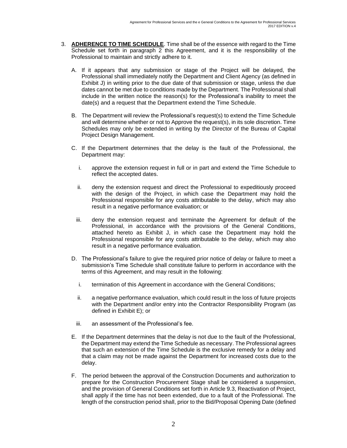- 3. **ADHERENCE TO TIME SCHEDULE**. Time shall be of the essence with regard to the Time Schedule set forth in paragraph 2 this Agreement, and it is the responsibility of the Professional to maintain and strictly adhere to it.
	- A. If it appears that any submission or stage of the Project will be delayed, the Professional shall immediately notify the Department and Client Agency (as defined in Exhibit J) in writing prior to the due date of that submission or stage, unless the due dates cannot be met due to conditions made by the Department. The Professional shall include in the written notice the reason(s) for the Professional's inability to meet the date(s) and a request that the Department extend the Time Schedule.
	- B. The Department will review the Professional's request(s) to extend the Time Schedule and will determine whether or not to Approve the request(s), in its sole discretion. Time Schedules may only be extended in writing by the Director of the Bureau of Capital Project Design Management.
	- C. If the Department determines that the delay is the fault of the Professional, the Department may:
		- i. approve the extension request in full or in part and extend the Time Schedule to reflect the accepted dates.
		- ii. deny the extension request and direct the Professional to expeditiously proceed with the design of the Project, in which case the Department may hold the Professional responsible for any costs attributable to the delay, which may also result in a negative performance evaluation; or
		- iii. deny the extension request and terminate the Agreement for default of the Professional, in accordance with the provisions of the General Conditions, attached hereto as Exhibit J, in which case the Department may hold the Professional responsible for any costs attributable to the delay, which may also result in a negative performance evaluation.
	- D. The Professional's failure to give the required prior notice of delay or failure to meet a submission's Time Schedule shall constitute failure to perform in accordance with the terms of this Agreement, and may result in the following:
		- i. termination of this Agreement in accordance with the General Conditions;
		- ii. a negative performance evaluation, which could result in the loss of future projects with the Department and/or entry into the Contractor Responsibility Program (as defined in Exhibit E); or
		- iii. an assessment of the Professional's fee.
	- E. If the Department determines that the delay is not due to the fault of the Professional, the Department may extend the Time Schedule as necessary. The Professional agrees that such an extension of the Time Schedule is the exclusive remedy for a delay and that a claim may not be made against the Department for increased costs due to the delay.
	- F. The period between the approval of the Construction Documents and authorization to prepare for the Construction Procurement Stage shall be considered a suspension, and the provision of General Conditions set forth in Article 9.3, Reactivation of Project, shall apply if the time has not been extended, due to a fault of the Professional. The length of the construction period shall, prior to the Bid/Proposal Opening Date (defined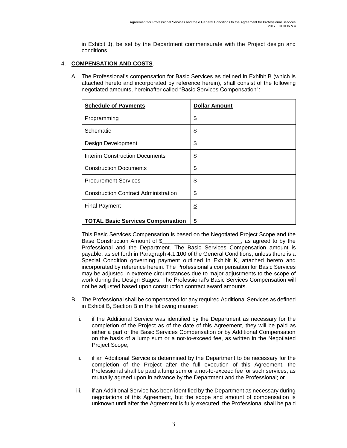in Exhibit J), be set by the Department commensurate with the Project design and conditions.

#### 4. **COMPENSATION AND COSTS**.

A. The Professional's compensation for Basic Services as defined in Exhibit B (which is attached hereto and incorporated by reference herein), shall consist of the following negotiated amounts, hereinafter called "Basic Services Compensation":

| <b>Schedule of Payments</b>                 | <b>Dollar Amount</b> |
|---------------------------------------------|----------------------|
| Programming                                 | \$                   |
| Schematic                                   | \$                   |
| Design Development                          | \$                   |
| <b>Interim Construction Documents</b>       | \$                   |
| <b>Construction Documents</b>               | \$                   |
| <b>Procurement Services</b>                 | \$                   |
| <b>Construction Contract Administration</b> | \$                   |
| <b>Final Payment</b>                        | \$                   |
| <b>TOTAL Basic Services Compensation</b>    | \$                   |

This Basic Services Compensation is based on the Negotiated Project Scope and the Base Construction Amount of \$\_\_\_\_\_\_\_\_\_\_\_\_\_\_\_\_\_\_\_\_\_\_\_\_\_, as agreed to by the Professional and the Department. The Basic Services Compensation amount is payable, as set forth in Paragraph 4.1.100 of the General Conditions, unless there is a Special Condition governing payment outlined in Exhibit K, attached hereto and incorporated by reference herein. The Professional's compensation for Basic Services may be adjusted in extreme circumstances due to major adjustments to the scope of work during the Design Stages. The Professional's Basic Services Compensation will not be adjusted based upon construction contract award amounts.

- B. The Professional shall be compensated for any required Additional Services as defined in Exhibit B, Section B in the following manner:
	- i. if the Additional Service was identified by the Department as necessary for the completion of the Project as of the date of this Agreement, they will be paid as either a part of the Basic Services Compensation or by Additional Compensation on the basis of a lump sum or a not-to-exceed fee, as written in the Negotiated Project Scope;
	- ii. if an Additional Service is determined by the Department to be necessary for the completion of the Project after the full execution of this Agreement, the Professional shall be paid a lump sum or a not-to-exceed fee for such services, as mutually agreed upon in advance by the Department and the Professional; or
	- iii. if an Additional Service has been identified by the Department as necessary during negotiations of this Agreement, but the scope and amount of compensation is unknown until after the Agreement is fully executed, the Professional shall be paid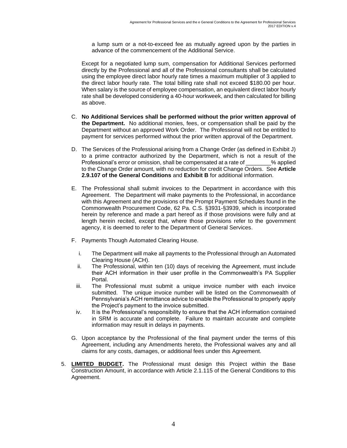a lump sum or a not-to-exceed fee as mutually agreed upon by the parties in advance of the commencement of the Additional Service.

Except for a negotiated lump sum, compensation for Additional Services performed directly by the Professional and all of the Professional consultants shall be calculated using the employee direct labor hourly rate times a maximum multiplier of 3 applied to the direct labor hourly rate. The total billing rate shall not exceed \$180.00 per hour. When salary is the source of employee compensation, an equivalent direct labor hourly rate shall be developed considering a 40-hour workweek, and then calculated for billing as above.

- C. **No Additional Services shall be performed without the prior written approval of the Department.** No additional monies, fees, or compensation shall be paid by the Department without an approved Work Order. The Professional will not be entitled to payment for services performed without the prior written approval of the Department.
- D. The Services of the Professional arising from a Change Order (as defined in Exhibit J) to a prime contractor authorized by the Department, which is not a result of the Professional's error or omission, shall be compensated at a rate of \_\_\_\_\_\_\_\_% applied to the Change Order amount, with no reduction for credit Change Orders. See **Article 2.9.107 of the General Conditions** and **Exhibit B** for additional information.
- E. The Professional shall submit invoices to the Department in accordance with this Agreement. The Department will make payments to the Professional, in accordance with this Agreement and the provisions of the Prompt Payment Schedules found in the Commonwealth Procurement Code, 62 Pa. C.S. §3931-§3939, which is incorporated herein by reference and made a part hereof as if those provisions were fully and at length herein recited, except that, where those provisions refer to the government agency, it is deemed to refer to the Department of General Services.
- F. Payments Though Automated Clearing House.
	- i. The Department will make all payments to the Professional through an Automated Clearing House (ACH).
	- ii. The Professional, within ten (10) days of receiving the Agreement, must include their ACH information in their user profile in the Commonwealth's PA Supplier Portal.
	- iii. The Professional must submit a unique invoice number with each invoice submitted. The unique invoice number will be listed on the Commonwealth of Pennsylvania's ACH remittance advice to enable the Professional to properly apply the Project's payment to the invoice submitted.
	- iv. It is the Professional's responsibility to ensure that the ACH information contained in SRM is accurate and complete. Failure to maintain accurate and complete information may result in delays in payments.
- G. Upon acceptance by the Professional of the final payment under the terms of this Agreement, including any Amendments hereto, the Professional waives any and all claims for any costs, damages, or additional fees under this Agreement.
- 5. **LIMITED BUDGET.** The Professional must design this Project within the Base Construction Amount, in accordance with Article 2.1.115 of the General Conditions to this Agreement.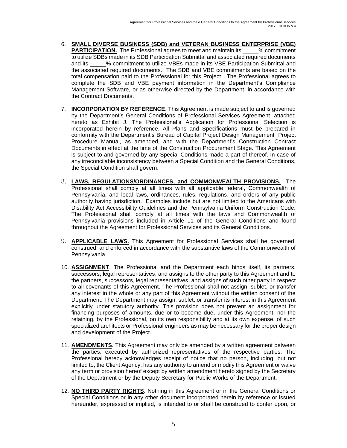- 6. **SMALL DIVERSE BUSINESS (SDB) and VETERAN BUSINESS ENTERPRISE (VBE) PARTICIPATION.** The Professional agrees to meet and maintain its  $\frac{1}{2}$  commitment to utilize SDBs made in its SDB Participation Submittal and associated required documents<br>and its % commitment to utilize VBEs made in its VBE Participation Submittal and % commitment to utilize VBEs made in its VBE Participation Submittal and the associated required documents. The SDB and VBE commitments are based on the total compensation paid to the Professional for this Project. The Professional agrees to complete the SDB and VBE payment information in the Department's Compliance Management Software, or as otherwise directed by the Department, in accordance with the Contract Documents.
- 7. **INCORPORATION BY REFERENCE**. This Agreement is made subject to and is governed by the Department's General Conditions of Professional Services Agreement, attached hereto as Exhibit J. The Professional's Application for Professional Selection is incorporated herein by reference. All Plans and Specifications must be prepared in conformity with the Department's Bureau of Capital Project Design Management Project Procedure Manual, as amended, and with the Department's Construction Contract Documents in effect at the time of the Construction Procurement Stage. This Agreement is subject to and governed by any Special Conditions made a part of thereof. In case of any irreconcilable inconsistency between a Special Condition and the General Conditions, the Special Condition shall govern.
- 8. **LAWS, REGULATIONS/ORDINANCES, and COMMONWEALTH PROVISIONS.** The Professional shall comply at all times with all applicable federal, Commonwealth of Pennsylvania, and local laws, ordinances, rules, regulations, and orders of any public authority having jurisdiction. Examples include but are not limited to the Americans with Disability Act Accessibility Guidelines and the Pennsylvania Uniform Construction Code. The Professional shall comply at all times with the laws and Commonwealth of Pennsylvania provisions included in Article 11 of the General Conditions and found throughout the Agreement for Professional Services and its General Conditions.
- 9. **APPLICABLE LAWS.** This Agreement for Professional Services shall be governed, construed, and enforced in accordance with the substantive laws of the Commonwealth of Pennsylvania.
- 10. **ASSIGNMENT**. The Professional and the Department each binds itself, its partners, successors, legal representatives, and assigns to the other party to this Agreement and to the partners, successors, legal representatives, and assigns of such other party in respect to all covenants of this Agreement. The Professional shall not assign, sublet, or transfer any interest in the whole or any part of this Agreement without the written consent of the Department. The Department may assign, sublet, or transfer its interest in this Agreement explicitly under statutory authority. This provision does not prevent an assignment for financing purposes of amounts, due or to become due, under this Agreement, nor the retaining, by the Professional, on its own responsibility and at its own expense, of such specialized architects or Professional engineers as may be necessary for the proper design and development of the Project.
- 11. **AMENDMENTS**. This Agreement may only be amended by a written agreement between the parties, executed by authorized representatives of the respective parties. The Professional hereby acknowledges receipt of notice that no person, including, but not limited to, the Client Agency, has any authority to amend or modify this Agreement or waive any term or provision hereof except by written amendment hereto signed by the Secretary of the Department or by the Deputy Secretary for Public Works of the Department.
- 12. **NO THIRD PARTY RIGHTS**. Nothing in this Agreement or in the General Conditions or Special Conditions or in any other document incorporated herein by reference or issued hereunder, expressed or implied, is intended to or shall be construed to confer upon, or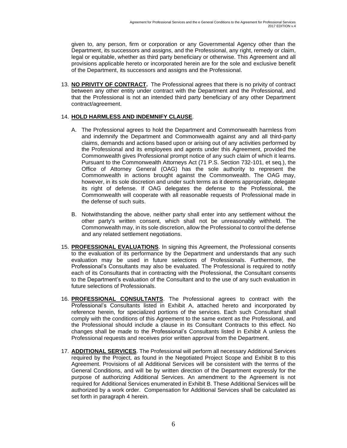given to, any person, firm or corporation or any Governmental Agency other than the Department, its successors and assigns, and the Professional, any right, remedy or claim, legal or equitable, whether as third party beneficiary or otherwise. This Agreement and all provisions applicable hereto or incorporated herein are for the sole and exclusive benefit of the Department, its successors and assigns and the Professional.

13. **NO PRIVITY OF CONTRACT.** The Professional agrees that there is no privity of contract between any other entity under contract with the Department and the Professional, and that the Professional is not an intended third party beneficiary of any other Department contract/agreement.

#### 14. **HOLD HARMLESS AND INDEMNIFY CLAUSE**.

- A. The Professional agrees to hold the Department and Commonwealth harmless from and indemnify the Department and Commonwealth against any and all third-party claims, demands and actions based upon or arising out of any activities performed by the Professional and its employees and agents under this Agreement, provided the Commonwealth gives Professional prompt notice of any such claim of which it learns. Pursuant to the Commonwealth Attorneys Act (71 P.S. Section 732-101, et seq.), the Office of Attorney General (OAG) has the sole authority to represent the Commonwealth in actions brought against the Commonwealth. The OAG may, however, in its sole discretion and under such terms as it deems appropriate, delegate its right of defense. If OAG delegates the defense to the Professional, the Commonwealth will cooperate with all reasonable requests of Professional made in the defense of such suits.
- B. Notwithstanding the above, neither party shall enter into any settlement without the other party's written consent, which shall not be unreasonably withheld. The Commonwealth may, in its sole discretion, allow the Professional to control the defense and any related settlement negotiations.
- 15. **PROFESSIONAL EVALUATIONS**. In signing this Agreement, the Professional consents to the evaluation of its performance by the Department and understands that any such evaluation may be used in future selections of Professionals. Furthermore, the Professional's Consultants may also be evaluated. The Professional is required to notify each of its Consultants that in contracting with the Professional, the Consultant consents to the Department's evaluation of the Consultant and to the use of any such evaluation in future selections of Professionals.
- 16. **PROFESSIONAL CONSULTANTS**. The Professional agrees to contract with the Professional's Consultants listed in Exhibit A, attached hereto and incorporated by reference herein, for specialized portions of the services. Each such Consultant shall comply with the conditions of this Agreement to the same extent as the Professional, and the Professional should include a clause in its Consultant Contracts to this effect. No changes shall be made to the Professional's Consultants listed in Exhibit A unless the Professional requests and receives prior written approval from the Department.
- 17. **ADDITIONAL SERVICES**. The Professional will perform all necessary Additional Services required by the Project, as found in the Negotiated Project Scope and Exhibit B to this Agreement. Provisions of all Additional Services will be consistent with the terms of the General Conditions, and will be by written direction of the Department expressly for the purpose of authorizing Additional Services. An amendment to the Agreement is not required for Additional Services enumerated in Exhibit B. These Additional Services will be authorized by a work order. Compensation for Additional Services shall be calculated as set forth in paragraph 4 herein.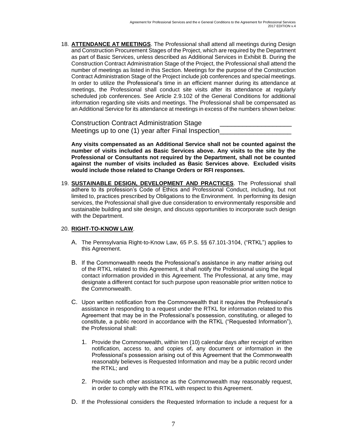18. **ATTENDANCE AT MEETINGS**. The Professional shall attend all meetings during Design and Construction Procurement Stages of the Project, which are required by the Department as part of Basic Services, unless described as Additional Services in Exhibit B. During the Construction Contract Administration Stage of the Project, the Professional shall attend the number of meetings as listed in this Section. Meetings for the purpose of the Construction Contract Administration Stage of the Project include job conferences and special meetings. In order to utilize the Professional's time in an efficient manner during its attendance at meetings, the Professional shall conduct site visits after its attendance at regularly scheduled job conferences. See Article 2.9.102 of the General Conditions for additional information regarding site visits and meetings. The Professional shall be compensated as an Additional Service for its attendance at meetings in excess of the numbers shown below:

Construction Contract Administration Stage Meetings up to one (1) year after Final Inspection

**Any visits compensated as an Additional Service shall not be counted against the number of visits included as Basic Services above. Any visits to the site by the Professional or Consultants not required by the Department, shall not be counted against the number of visits included as Basic Services above. Excluded visits would include those related to Change Orders or RFI responses.**

19. **SUSTAINABLE DESIGN, DEVELOPMENT AND PRACTICES**. The Professional shall adhere to its profession's Code of Ethics and Professional Conduct, including, but not limited to, practices prescribed by Obligations to the Environment. In performing its design services, the Professional shall give due consideration to environmentally responsible and sustainable building and site design, and discuss opportunities to incorporate such design with the Department.

#### 20. **RIGHT-TO-KNOW LAW**.

- A. The Pennsylvania Right-to-Know Law, 65 P.S. §§ 67.101-3104, ("RTKL") applies to this Agreement.
- B. If the Commonwealth needs the Professional's assistance in any matter arising out of the RTKL related to this Agreement, it shall notify the Professional using the legal contact information provided in this Agreement. The Professional, at any time, may designate a different contact for such purpose upon reasonable prior written notice to the Commonwealth.
- C. Upon written notification from the Commonwealth that it requires the Professional's assistance in responding to a request under the RTKL for information related to this Agreement that may be in the Professional's possession, constituting, or alleged to constitute, a public record in accordance with the RTKL ("Requested Information"), the Professional shall:
	- 1. Provide the Commonwealth, within ten (10) calendar days after receipt of written notification, access to, and copies of, any document or information in the Professional's possession arising out of this Agreement that the Commonwealth reasonably believes is Requested Information and may be a public record under the RTKL; and
	- 2. Provide such other assistance as the Commonwealth may reasonably request, in order to comply with the RTKL with respect to this Agreement.
- D. If the Professional considers the Requested Information to include a request for a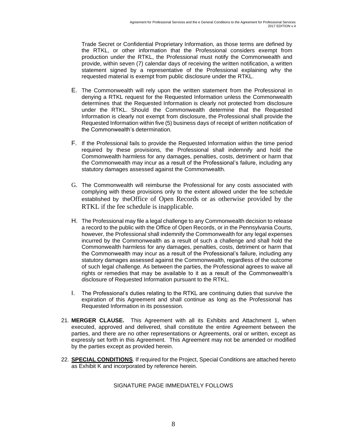Trade Secret or Confidential Proprietary Information, as those terms are defined by the RTKL, or other information that the Professional considers exempt from production under the RTKL, the Professional must notify the Commonwealth and provide, within seven (7) calendar days of receiving the written notification, a written statement signed by a representative of the Professional explaining why the requested material is exempt from public disclosure under the RTKL.

- E. The Commonwealth will rely upon the written statement from the Professional in denying a RTKL request for the Requested Information unless the Commonwealth determines that the Requested Information is clearly not protected from disclosure under the RTKL. Should the Commonwealth determine that the Requested Information is clearly not exempt from disclosure, the Professional shall provide the Requested Information within five (5) business days of receipt of written notification of the Commonwealth's determination.
- F. If the Professional fails to provide the Requested Information within the time period required by these provisions, the Professional shall indemnify and hold the Commonwealth harmless for any damages, penalties, costs, detriment or harm that the Commonwealth may incur as a result of the Professional's failure, including any statutory damages assessed against the Commonwealth.
- G. The Commonwealth will reimburse the Professional for any costs associated with complying with these provisions only to the extent allowed under the fee schedule established by theOffice of Open Records or as otherwise provided by the RTKL if the fee schedule is inapplicable.
- H. The Professional may file a legal challenge to any Commonwealth decision to release a record to the public with the Office of Open Records, or in the Pennsylvania Courts, however, the Professional shall indemnify the Commonwealth for any legal expenses incurred by the Commonwealth as a result of such a challenge and shall hold the Commonwealth harmless for any damages, penalties, costs, detriment or harm that the Commonwealth may incur as a result of the Professional's failure, including any statutory damages assessed against the Commonwealth, regardless of the outcome of such legal challenge. As between the parties, the Professional agrees to waive all rights or remedies that may be available to it as a result of the Commonwealth's disclosure of Requested Information pursuant to the RTKL.
- I. The Professional's duties relating to the RTKL are continuing duties that survive the expiration of this Agreement and shall continue as long as the Professional has Requested Information in its possession.
- 21. **MERGER CLAUSE.** This Agreement with all its Exhibits and Attachment 1, when executed, approved and delivered, shall constitute the entire Agreement between the parties, and there are no other representations or Agreements, oral or written, except as expressly set forth in this Agreement. This Agreement may not be amended or modified by the parties except as provided herein.
- 22. **SPECIAL CONDITIONS**. If required for the Project, Special Conditions are attached hereto as Exhibit K and incorporated by reference herein.

#### SIGNATURE PAGE IMMEDIATELY FOLLOWS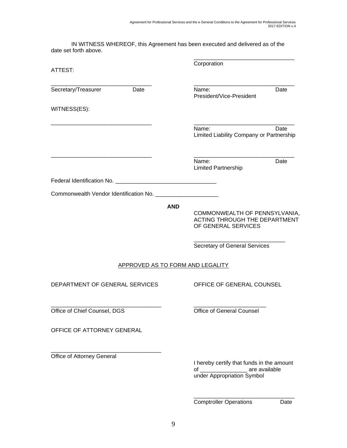IN WITNESS WHEREOF, this Agreement has been executed and delivered as of the date set forth above.

| ATTEST:                          | Corporation                                                                                                      |  |
|----------------------------------|------------------------------------------------------------------------------------------------------------------|--|
| Secretary/Treasurer<br>Date      | Name:<br>Date<br>President/Vice-President                                                                        |  |
| WITNESS(ES):                     |                                                                                                                  |  |
|                                  | Name:<br>Date<br>Limited Liability Company or Partnership                                                        |  |
|                                  | Name:<br>Date<br><b>Limited Partnership</b>                                                                      |  |
|                                  |                                                                                                                  |  |
|                                  |                                                                                                                  |  |
| <b>AND</b>                       | COMMONWEALTH OF PENNSYLVANIA,<br>ACTING THROUGH THE DEPARTMENT<br>OF GENERAL SERVICES                            |  |
|                                  | Secretary of General Services                                                                                    |  |
| APPROVED AS TO FORM AND LEGALITY |                                                                                                                  |  |
| DEPARTMENT OF GENERAL SERVICES   | OFFICE OF GENERAL COUNSEL                                                                                        |  |
| Office of Chief Counsel, DGS     | <b>Office of General Counsel</b>                                                                                 |  |
| OFFICE OF ATTORNEY GENERAL       |                                                                                                                  |  |
| Office of Attorney General       | I hereby certify that funds in the amount<br>of ____________________ are available<br>under Appropriation Symbol |  |
|                                  | <b>Comptroller Operations</b><br>Date                                                                            |  |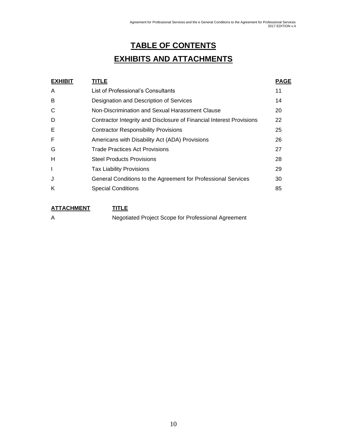# **TABLE OF CONTENTS**

# **EXHIBITS AND ATTACHMENTS**

| <b>EXHIBIT</b> | <b>TITLE</b>                                                         | <b>PAGE</b> |
|----------------|----------------------------------------------------------------------|-------------|
| A              | List of Professional's Consultants                                   | 11          |
| B              | Designation and Description of Services                              | 14          |
| C              | Non-Discrimination and Sexual Harassment Clause                      | 20          |
| D              | Contractor Integrity and Disclosure of Financial Interest Provisions | 22          |
| Е              | <b>Contractor Responsibility Provisions</b>                          | 25          |
| F              | Americans with Disability Act (ADA) Provisions                       | 26          |
| G              | Trade Practices Act Provisions                                       | 27          |
| н              | <b>Steel Products Provisions</b>                                     | 28          |
| I              | <b>Tax Liability Provisions</b>                                      | 29          |
| J              | General Conditions to the Agreement for Professional Services        | 30          |
| Κ              | <b>Special Conditions</b>                                            | 85          |
|                |                                                                      |             |

**ATTACHMENT TITLE**

A Negotiated Project Scope for Professional Agreement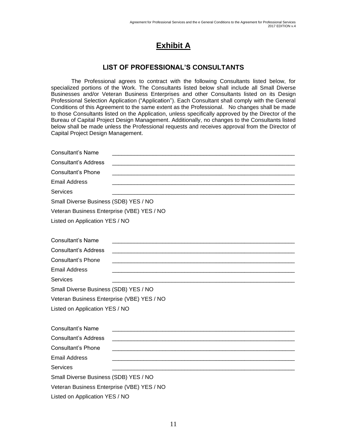# **Exhibit A**

### **LIST OF PROFESSIONAL'S CONSULTANTS**

The Professional agrees to contract with the following Consultants listed below, for specialized portions of the Work. The Consultants listed below shall include all Small Diverse Businesses and/or Veteran Business Enterprises and other Consultants listed on its Design Professional Selection Application ("Application"). Each Consultant shall comply with the General Conditions of this Agreement to the same extent as the Professional. No changes shall be made to those Consultants listed on the Application, unless specifically approved by the Director of the Bureau of Capital Project Design Management. Additionally, no changes to the Consultants listed below shall be made unless the Professional requests and receives approval from the Director of Capital Project Design Management.

| <b>Consultant's Name</b>                   |  |
|--------------------------------------------|--|
| <b>Consultant's Address</b>                |  |
| <b>Consultant's Phone</b>                  |  |
| <b>Email Address</b>                       |  |
| <b>Services</b>                            |  |
| Small Diverse Business (SDB) YES / NO      |  |
| Veteran Business Enterprise (VBE) YES / NO |  |
| Listed on Application YES / NO             |  |
|                                            |  |
| <b>Consultant's Name</b>                   |  |
| <b>Consultant's Address</b>                |  |
| <b>Consultant's Phone</b>                  |  |
| <b>Email Address</b>                       |  |
| Services                                   |  |
| Small Diverse Business (SDB) YES / NO      |  |
| Veteran Business Enterprise (VBE) YES / NO |  |
| Listed on Application YES / NO             |  |
|                                            |  |
| <b>Consultant's Name</b>                   |  |
| <b>Consultant's Address</b>                |  |
| <b>Consultant's Phone</b>                  |  |
| <b>Email Address</b>                       |  |
| <b>Services</b>                            |  |
| Small Diverse Business (SDB) YES / NO      |  |
| Veteran Business Enterprise (VBE) YES / NO |  |
| Listed on Application YES / NO             |  |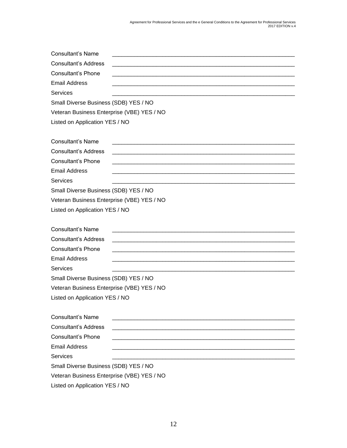| <b>Consultant's Name</b>                   |  |
|--------------------------------------------|--|
| <b>Consultant's Address</b>                |  |
| <b>Consultant's Phone</b>                  |  |
| <b>Email Address</b>                       |  |
| <b>Services</b>                            |  |
| Small Diverse Business (SDB) YES / NO      |  |
| Veteran Business Enterprise (VBE) YES / NO |  |
| Listed on Application YES / NO             |  |
|                                            |  |
| <b>Consultant's Name</b>                   |  |
| <b>Consultant's Address</b>                |  |
| <b>Consultant's Phone</b>                  |  |
| <b>Email Address</b>                       |  |
| <b>Services</b>                            |  |
| Small Diverse Business (SDB) YES / NO      |  |
| Veteran Business Enterprise (VBE) YES / NO |  |
| Listed on Application YES / NO             |  |
|                                            |  |
| <b>Consultant's Name</b>                   |  |
| <b>Consultant's Address</b>                |  |
| Consultant's Phone                         |  |
| <b>Email Address</b>                       |  |
| Services                                   |  |
| Small Diverse Business (SDB) YES / NO      |  |
| Veteran Business Enterprise (VBE) YES / NO |  |
| Listed on Application YES / NO             |  |
|                                            |  |
| <b>Consultant's Name</b>                   |  |
| <b>Consultant's Address</b>                |  |
| <b>Consultant's Phone</b>                  |  |
| Email Address                              |  |
| <b>Services</b>                            |  |
| Small Diverse Business (SDB) YES / NO      |  |
| Veteran Business Enterprise (VBE) YES / NO |  |
| Listed on Application YES / NO             |  |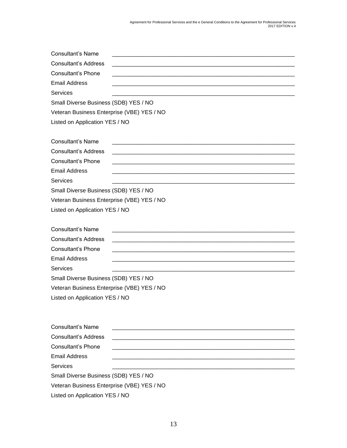| <b>Consultant's Name</b>                   |  |
|--------------------------------------------|--|
| <b>Consultant's Address</b>                |  |
| <b>Consultant's Phone</b>                  |  |
| <b>Email Address</b>                       |  |
| Services                                   |  |
| Small Diverse Business (SDB) YES / NO      |  |
| Veteran Business Enterprise (VBE) YES / NO |  |
| Listed on Application YES / NO             |  |
|                                            |  |
| <b>Consultant's Name</b>                   |  |
| <b>Consultant's Address</b>                |  |
| <b>Consultant's Phone</b>                  |  |
| <b>Email Address</b><br><b>Services</b>    |  |
| Small Diverse Business (SDB) YES / NO      |  |
| Veteran Business Enterprise (VBE) YES / NO |  |
| Listed on Application YES / NO             |  |
|                                            |  |
| <b>Consultant's Name</b>                   |  |
| <b>Consultant's Address</b>                |  |
| <b>Consultant's Phone</b>                  |  |
| <b>Email Address</b>                       |  |
| <b>Services</b>                            |  |
| Small Diverse Business (SDB) YES / NO      |  |
| Veteran Business Enterprise (VBE) YES / NO |  |
| Listed on Application YES / NO             |  |
|                                            |  |
| <b>Consultant's Name</b>                   |  |
| <b>Consultant's Address</b>                |  |
| <b>Consultant's Phone</b>                  |  |
| <b>Email Address</b>                       |  |
| <b>Services</b>                            |  |
|                                            |  |
| Small Diverse Business (SDB) YES / NO      |  |
| Veteran Business Enterprise (VBE) YES / NO |  |
| Listed on Application YES / NO             |  |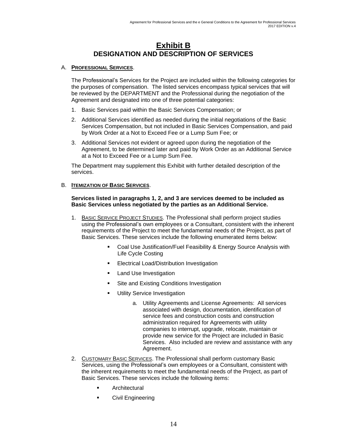### **Exhibit B DESIGNATION AND DESCRIPTION OF SERVICES**

#### A. **PROFESSIONAL SERVICES**.

The Professional's Services for the Project are included within the following categories for the purposes of compensation. The listed services encompass typical services that will be reviewed by the DEPARTMENT and the Professional during the negotiation of the Agreement and designated into one of three potential categories:

- 1. Basic Services paid within the Basic Services Compensation; or
- 2. Additional Services identified as needed during the initial negotiations of the Basic Services Compensation, but not included in Basic Services Compensation, and paid by Work Order at a Not to Exceed Fee or a Lump Sum Fee; or
- 3. Additional Services not evident or agreed upon during the negotiation of the Agreement, to be determined later and paid by Work Order as an Additional Service at a Not to Exceed Fee or a Lump Sum Fee.

The Department may supplement this Exhibit with further detailed description of the services.

#### B. **ITEMIZATION OF BASIC SERVICES**.

#### **Services listed in paragraphs 1, 2, and 3 are services deemed to be included as Basic Services unless negotiated by the parties as an Additional Service.**

- 1. BASIC SERVICE PROJECT STUDIES. The Professional shall perform project studies using the Professional's own employees or a Consultant, consistent with the inherent requirements of the Project to meet the fundamental needs of the Project, as part of Basic Services. These services include the following enumerated items below:
	- Coal Use Justification/Fuel Feasibility & Energy Source Analysis with Life Cycle Costing
	- Electrical Load/Distribution Investigation
	- Land Use Investigation
	- Site and Existing Conditions Investigation
	- **■** Utility Service Investigation
		- a. Utility Agreements and License Agreements: All services associated with design, documentation, identification of service fees and construction costs and construction administration required for Agreements with utility companies to interrupt, upgrade, relocate, maintain or provide new service for the Project are included in Basic Services. Also included are review and assistance with any Agreement.
- 2. CUSTOMARY BASIC SERVICES. The Professional shall perform customary Basic Services, using the Professional's own employees or a Consultant, consistent with the inherent requirements to meet the fundamental needs of the Project, as part of Basic Services. These services include the following items:
	- **Architectural**
	- Civil Engineering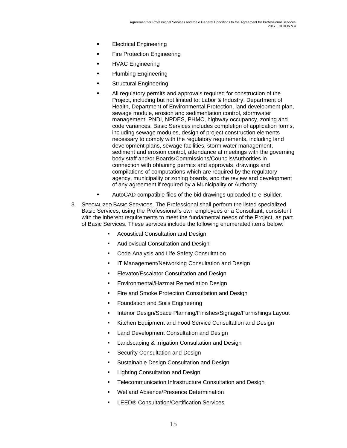- **Electrical Engineering**
- **Fire Protection Engineering**
- HVAC Engineering
- Plumbing Engineering
- **Structural Engineering**
- All regulatory permits and approvals required for construction of the Project, including but not limited to: Labor & Industry, Department of Health, Department of Environmental Protection, land development plan, sewage module, erosion and sedimentation control, stormwater management, PNDI, NPDES, PHMC, highway occupancy, zoning and code variances. Basic Services includes completion of application forms, including sewage modules, design of project construction elements necessary to comply with the regulatory requirements, including land development plans, sewage facilities, storm water management, sediment and erosion control, attendance at meetings with the governing body staff and/or Boards/Commissions/Councils/Authorities in connection with obtaining permits and approvals, drawings and compilations of computations which are required by the regulatory agency, municipality or zoning boards, and the review and development of any agreement if required by a Municipality or Authority.
- AutoCAD compatible files of the bid drawings uploaded to e-Builder.
- 3. SPECIALIZED BASIC SERVICES. The Professional shall perform the listed specialized Basic Services, using the Professional's own employees or a Consultant, consistent with the inherent requirements to meet the fundamental needs of the Project, as part of Basic Services. These services include the following enumerated items below:
	- Acoustical Consultation and Design
	- Audiovisual Consultation and Design
	- Code Analysis and Life Safety Consultation
	- **IT Management/Networking Consultation and Design**
	- **Elevator/Escalator Consultation and Design**
	- Environmental/Hazmat Remediation Design
	- Fire and Smoke Protection Consultation and Design
	- Foundation and Soils Engineering
	- **■** Interior Design/Space Planning/Finishes/Signage/Furnishings Layout
	- **EXIT Kitchen Equipment and Food Service Consultation and Design**
	- **■** Land Development Consultation and Design
	- Landscaping & Irrigation Consultation and Design
	- **Security Consultation and Design**
	- **Sustainable Design Consultation and Design**
	- **E** Lighting Consultation and Design
	- Telecommunication Infrastructure Consultation and Design
	- Wetland Absence/Presence Determination
	- **LEED® Consultation/Certification Services**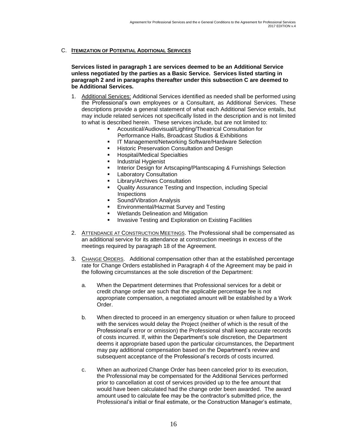#### C. **ITEMIZATION OF POTENTIAL ADDITIONAL SERVICES**

**Services listed in paragraph 1 are services deemed to be an Additional Service unless negotiated by the parties as a Basic Service. Services listed starting in paragraph 2 and in paragraphs thereafter under this subsection C are deemed to be Additional Services.**

- 1. Additional Services: Additional Services identified as needed shall be performed using the Professional's own employees or a Consultant, as Additional Services. These descriptions provide a general statement of what each Additional Service entails, but may include related services not specifically listed in the description and is not limited to what is described herein. These services include, but are not limited to:
	- Acoustical/Audiovisual/Lighting/Theatrical Consultation for Performance Halls, Broadcast Studios & Exhibitions
	- **IT Management/Networking Software/Hardware Selection**
	- **E** Historic Preservation Consultation and Design
	- Hospital/Medical Specialties
	- **■** Industrial Hygienist
	- **■** Interior Design for Artscaping/Plantscaping & Furnishings Selection
	- **■** Laboratory Consultation
	- **Library/Archives Consultation**
	- Quality Assurance Testing and Inspection, including Special **Inspections**
	- Sound/Vibration Analysis
	- **Environmental/Hazmat Survey and Testing**
	- Wetlands Delineation and Mitigation
	- **EXEDENT** Invasive Testing and Exploration on Existing Facilities
- 2. ATTENDANCE AT CONSTRUCTION MEETINGS. The Professional shall be compensated as an additional service for its attendance at construction meetings in excess of the meetings required by paragraph 18 of the Agreement.
- 3. CHANGE ORDERS. Additional compensation other than at the established percentage rate for Change Orders established in Paragraph 4 of the Agreement may be paid in the following circumstances at the sole discretion of the Department:
	- a. When the Department determines that Professional services for a debit or credit change order are such that the applicable percentage fee is not appropriate compensation, a negotiated amount will be established by a Work Order.
	- b. When directed to proceed in an emergency situation or when failure to proceed with the services would delay the Project (neither of which is the result of the Professional's error or omission) the Professional shall keep accurate records of costs incurred. If, within the Department's sole discretion, the Department deems it appropriate based upon the particular circumstances, the Department may pay additional compensation based on the Department's review and subsequent acceptance of the Professional's records of costs incurred.
	- c. When an authorized Change Order has been canceled prior to its execution, the Professional may be compensated for the Additional Services performed prior to cancellation at cost of services provided up to the fee amount that would have been calculated had the change order been awarded. The award amount used to calculate fee may be the contractor's submitted price, the Professional's initial or final estimate, or the Construction Manager's estimate,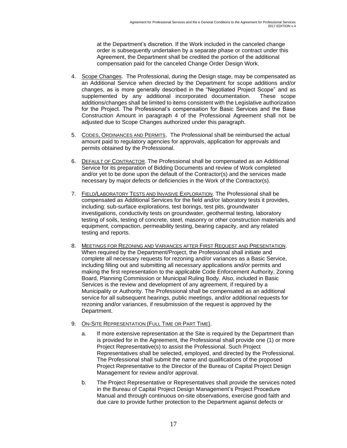at the Department's discretion. If the Work included in the canceled change order is subsequently undertaken by a separate phase or contract under this Agreement, the Department shall be credited the portion of the additional compensation paid for the canceled Change Order Design Work.

- 4. Scope Changes. The Professional, during the Design stage, may be compensated as an Additional Service when directed by the Department for scope additions and/or changes, as is more generally described in the "Negotiated Project Scope" and as supplemented by any additional incorporated documentation. These scope additions/changes shall be limited to items consistent with the Legislative authorization for the Project. The Professional's compensation for Basic Services and the Base Construction Amount in paragraph 4 of the Professional Agreement shall not be adjusted due to Scope Changes authorized under this paragraph.
- 5. CODES, ORDINANCES AND PERMITS. The Professional shall be reimbursed the actual amount paid to regulatory agencies for approvals, application for approvals and permits obtained by the Professional.
- 6. DEFAULT OF CONTRACTOR. The Professional shall be compensated as an Additional Service for its preparation of Bidding Documents and review of Work completed and/or yet to be done upon the default of the Contractor(s) and the services made necessary by major defects or deficiencies in the Work of the Contractor(s).
- 7. FIELD/LABORATORY TESTS AND INVASIVE EXPLORATION. The Professional shall be compensated as Additional Services for the field and/or laboratory tests it provides, including: sub-surface explorations, test borings, test pits, groundwater investigations, conductivity tests on groundwater, geothermal testing, laboratory testing of soils, testing of concrete, steel, masonry or other construction materials and equipment, compaction, permeability testing, bearing capacity, and any related testing and reports.
- 8. MEETINGS FOR REZONING AND VARIANCES AFTER FIRST REQUEST AND PRESENTATION. When required by the Department/Project, the Professional shall initiate and complete all necessary requests for rezoning and/or variances as a Basic Service, including filling out and submitting all necessary applications and/or permits and making the first representation to the applicable Code Enforcement Authority, Zoning Board, Planning Commission or Municipal Ruling Body. Also, included in Basic Services is the review and development of any agreement, if required by a Municipality or Authority. The Professional shall be compensated as an additional service for all subsequent hearings, public meetings, and/or additional requests for rezoning and/or variances, if resubmission of the request is approved by the Department.
- 9. ON-SITE REPRESENTATION (FULL TIME OR PART TIME).
	- a. If more extensive representation at the Site is required by the Department than is provided for in the Agreement, the Professional shall provide one (1) or more Project Representative(s) to assist the Professional. Such Project Representatives shall be selected, employed, and directed by the Professional. The Professional shall submit the name and qualifications of the proposed Project Representative to the Director of the Bureau of Capital Project Design Management for review and/or approval.
	- b. The Project Representative or Representatives shall provide the services noted in the Bureau of Capital Project Design Management's Project Procedure Manual and through continuous on-site observations, exercise good faith and due care to provide further protection to the Department against defects or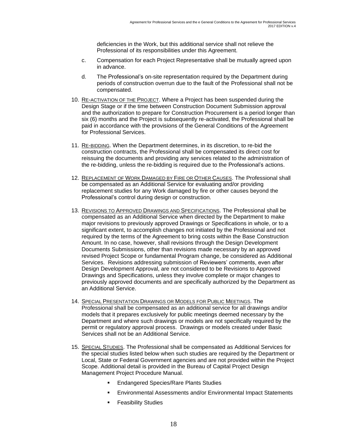deficiencies in the Work, but this additional service shall not relieve the Professional of its responsibilities under this Agreement.

- c. Compensation for each Project Representative shall be mutually agreed upon in advance.
- d. The Professional's on-site representation required by the Department during periods of construction overrun due to the fault of the Professional shall not be compensated.
- 10. RE-ACTIVATION OF THE PROJECT. Where a Project has been suspended during the Design Stage or if the time between Construction Document Submission approval and the authorization to prepare for Construction Procurement is a period longer than six (6) months and the Project is subsequently re-activated, the Professional shall be paid in accordance with the provisions of the General Conditions of the Agreement for Professional Services.
- 11. RE-BIDDING. When the Department determines, in its discretion, to re-bid the construction contracts, the Professional shall be compensated its direct cost for reissuing the documents and providing any services related to the administration of the re-bidding, unless the re-bidding is required due to the Professional's actions.
- 12. REPLACEMENT OF WORK DAMAGED BY FIRE OR OTHER CAUSES. The Professional shall be compensated as an Additional Service for evaluating and/or providing replacement studies for any Work damaged by fire or other causes beyond the Professional's control during design or construction.
- 13. REVISIONS TO APPROVED DRAWINGS AND SPECIFICATIONS. The Professional shall be compensated as an Additional Service when directed by the Department to make major revisions to previously approved Drawings or Specifications in whole, or to a significant extent, to accomplish changes not initiated by the Professional and not required by the terms of the Agreement to bring costs within the Base Construction Amount. In no case, however, shall revisions through the Design Development Documents Submissions, other than revisions made necessary by an approved revised Project Scope or fundamental Program change, be considered as Additional Services. Revisions addressing submission of Reviewers' comments, even after Design Development Approval, are not considered to be Revisions to Approved Drawings and Specifications, unless they involve complete or major changes to previously approved documents and are specifically authorized by the Department as an Additional Service.
- 14. SPECIAL PRESENTATION DRAWINGS OR MODELS FOR PUBLIC MEETINGS. The Professional shall be compensated as an additional service for all drawings and/or models that it prepares exclusively for public meetings deemed necessary by the Department and where such drawings or models are not specifically required by the permit or regulatory approval process. Drawings or models created under Basic Services shall not be an Additional Service.
- 15. SPECIAL STUDIES. The Professional shall be compensated as Additional Services for the special studies listed below when such studies are required by the Department or Local, State or Federal Government agencies and are not provided within the Project Scope. Additional detail is provided in the Bureau of Capital Project Design Management Project Procedure Manual.
	- **Endangered Species/Rare Plants Studies**
	- Environmental Assessments and/or Environmental Impact Statements
	- **•** Feasibility Studies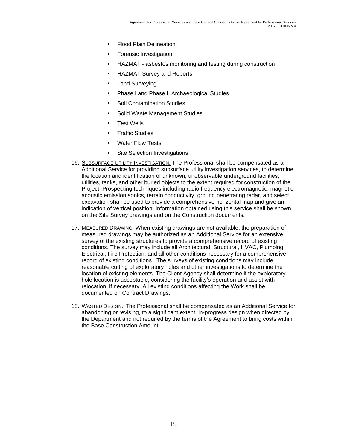- **Flood Plain Delineation**
- **Forensic Investigation**
- HAZMAT asbestos monitoring and testing during construction
- **HAZMAT Survey and Reports**
- **E** Land Surveying
- **Phase I and Phase II Archaeological Studies**
- Soil Contamination Studies
- Solid Waste Management Studies
- Test Wells
- Traffic Studies
- Water Flow Tests
- **EXECUTE:** Site Selection Investigations
- 16. SUBSURFACE UTILITY INVESTIGATION. The Professional shall be compensated as an Additional Service for providing subsurface utility investigation services, to determine the location and identification of unknown, unobservable underground facilities, utilities, tanks, and other buried objects to the extent required for construction of the Project. Prospecting techniques including radio frequency electromagnetic, magnetic acoustic emission sonics, terrain conductivity, ground penetrating radar, and select excavation shall be used to provide a comprehensive horizontal map and give an indication of vertical position. Information obtained using this service shall be shown on the Site Survey drawings and on the Construction documents.
- 17. MEASURED DRAWING. When existing drawings are not available, the preparation of measured drawings may be authorized as an Additional Service for an extensive survey of the existing structures to provide a comprehensive record of existing conditions. The survey may include all Architectural, Structural, HVAC, Plumbing, Electrical, Fire Protection, and all other conditions necessary for a comprehensive record of existing conditions. The surveys of existing conditions may include reasonable cutting of exploratory holes and other investigations to determine the location of existing elements. The Client Agency shall determine if the exploratory hole location is acceptable, considering the facility's operation and assist with relocation, if necessary. All existing conditions affecting the Work shall be documented on Contract Drawings.
- 18. WASTED DESIGN. The Professional shall be compensated as an Additional Service for abandoning or revising, to a significant extent, in-progress design when directed by the Department and not required by the terms of the Agreement to bring costs within the Base Construction Amount.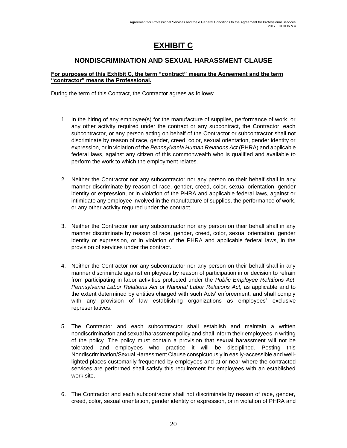# **EXHIBIT C**

### **NONDISCRIMINATION AND SEXUAL HARASSMENT CLAUSE**

#### **For purposes of this Exhibit C, the term "contract" means the Agreement and the term "contractor" means the Professional.**

During the term of this Contract, the Contractor agrees as follows:

- 1. In the hiring of any employee(s) for the manufacture of supplies, performance of work, or any other activity required under the contract or any subcontract, the Contractor, each subcontractor, or any person acting on behalf of the Contractor or subcontractor shall not discriminate by reason of race, gender, creed, color, sexual orientation, gender identity or expression, or in violation of the *Pennsylvania Human Relations Act* (PHRA) and applicable federal laws, against any citizen of this commonwealth who is qualified and available to perform the work to which the employment relates.
- 2. Neither the Contractor nor any subcontractor nor any person on their behalf shall in any manner discriminate by reason of race, gender, creed, color, sexual orientation, gender identity or expression, or in violation of the PHRA and applicable federal laws, against or intimidate any employee involved in the manufacture of supplies, the performance of work, or any other activity required under the contract.
- 3. Neither the Contractor nor any subcontractor nor any person on their behalf shall in any manner discriminate by reason of race, gender, creed, color, sexual orientation, gender identity or expression, or in violation of the PHRA and applicable federal laws, in the provision of services under the contract.
- 4. Neither the Contractor nor any subcontractor nor any person on their behalf shall in any manner discriminate against employees by reason of participation in or decision to refrain from participating in labor activities protected under the *Public Employee Relations Act*, *Pennsylvania Labor Relations Act* or *National Labor Relations Act,* as applicable and to the extent determined by entities charged with such Acts' enforcement, and shall comply with any provision of law establishing organizations as employees' exclusive representatives.
- 5. The Contractor and each subcontractor shall establish and maintain a written nondiscrimination and sexual harassment policy and shall inform their employees in writing of the policy. The policy must contain a provision that sexual harassment will not be tolerated and employees who practice it will be disciplined. Posting this Nondiscrimination/Sexual Harassment Clause conspicuously in easily-accessible and welllighted places customarily frequented by employees and at or near where the contracted services are performed shall satisfy this requirement for employees with an established work site.
- 6. The Contractor and each subcontractor shall not discriminate by reason of race, gender, creed, color, sexual orientation, gender identity or expression, or in violation of PHRA and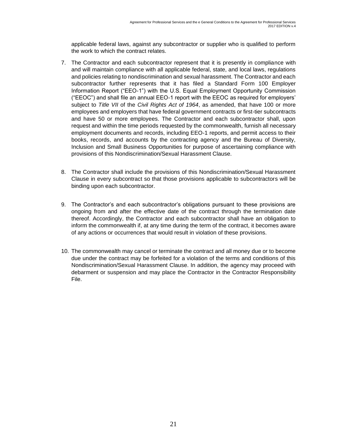applicable federal laws, against any subcontractor or supplier who is qualified to perform the work to which the contract relates.

- 7. The Contractor and each subcontractor represent that it is presently in compliance with and will maintain compliance with all applicable federal, state, and local laws, regulations and policies relating to nondiscrimination and sexual harassment. The Contractor and each subcontractor further represents that it has filed a Standard Form 100 Employer Information Report ("EEO-1") with the U.S. Equal Employment Opportunity Commission ("EEOC") and shall file an annual EEO-1 report with the EEOC as required for employers' subject to *Title VII* of the *Civil Rights Act of 1964*, as amended, that have 100 or more employees and employers that have federal government contracts or first-tier subcontracts and have 50 or more employees. The Contractor and each subcontractor shall, upon request and within the time periods requested by the commonwealth, furnish all necessary employment documents and records, including EEO-1 reports, and permit access to their books, records, and accounts by the contracting agency and the Bureau of Diversity, Inclusion and Small Business Opportunities for purpose of ascertaining compliance with provisions of this Nondiscrimination/Sexual Harassment Clause.
- 8. The Contractor shall include the provisions of this Nondiscrimination/Sexual Harassment Clause in every subcontract so that those provisions applicable to subcontractors will be binding upon each subcontractor.
- 9. The Contractor's and each subcontractor's obligations pursuant to these provisions are ongoing from and after the effective date of the contract through the termination date thereof. Accordingly, the Contractor and each subcontractor shall have an obligation to inform the commonwealth if, at any time during the term of the contract, it becomes aware of any actions or occurrences that would result in violation of these provisions.
- 10. The commonwealth may cancel or terminate the contract and all money due or to become due under the contract may be forfeited for a violation of the terms and conditions of this Nondiscrimination/Sexual Harassment Clause. In addition, the agency may proceed with debarment or suspension and may place the Contractor in the Contractor Responsibility File.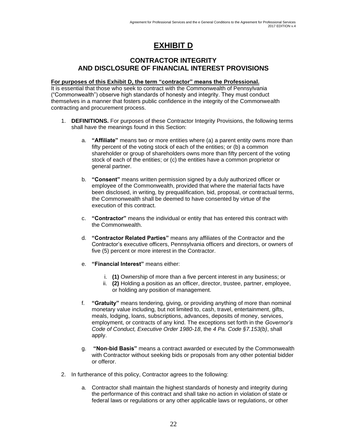# **EXHIBIT D**

#### **CONTRACTOR INTEGRITY AND DISCLOSURE OF FINANCIAL INTEREST PROVISIONS**

#### **For purposes of this Exhibit D, the term "contractor" means the Professional.**

It is essential that those who seek to contract with the Commonwealth of Pennsylvania ("Commonwealth") observe high standards of honesty and integrity. They must conduct themselves in a manner that fosters public confidence in the integrity of the Commonwealth contracting and procurement process.

- 1. **DEFINITIONS.** For purposes of these Contractor Integrity Provisions, the following terms shall have the meanings found in this Section:
	- a. **"Affiliate"** means two or more entities where (a) a parent entity owns more than fifty percent of the voting stock of each of the entities; or (b) a common shareholder or group of shareholders owns more than fifty percent of the voting stock of each of the entities; or (c) the entities have a common proprietor or general partner.
	- b. **"Consent"** means written permission signed by a duly authorized officer or employee of the Commonwealth, provided that where the material facts have been disclosed, in writing, by prequalification, bid, proposal, or contractual terms, the Commonwealth shall be deemed to have consented by virtue of the execution of this contract.
	- c. **"Contractor"** means the individual or entity that has entered this contract with the Commonwealth.
	- d. **"Contractor Related Parties"** means any affiliates of the Contractor and the Contractor's executive officers, Pennsylvania officers and directors, or owners of five (5) percent or more interest in the Contractor.
	- e. **"Financial Interest"** means either:
		- i. **(1)** Ownership of more than a five percent interest in any business; or
		- ii. **(2)** Holding a position as an officer, director, trustee, partner, employee, or holding any position of management.
	- f. **"Gratuity"** means tendering, giving, or providing anything of more than nominal monetary value including, but not limited to, cash, travel, entertainment, gifts, meals, lodging, loans, subscriptions, advances, deposits of money, services, employment, or contracts of any kind. The exceptions set forth in the *Governor's Code of Conduct, Executive Order 1980-18*, the *4 Pa. Code §7.153(b)*, shall apply.
	- g. **"Non-bid Basis"** means a contract awarded or executed by the Commonwealth with Contractor without seeking bids or proposals from any other potential bidder or offeror.
- 2. In furtherance of this policy, Contractor agrees to the following:
	- a. Contractor shall maintain the highest standards of honesty and integrity during the performance of this contract and shall take no action in violation of state or federal laws or regulations or any other applicable laws or regulations, or other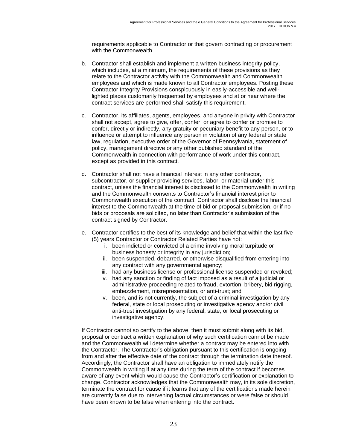requirements applicable to Contractor or that govern contracting or procurement with the Commonwealth.

- b. Contractor shall establish and implement a written business integrity policy, which includes, at a minimum, the requirements of these provisions as they relate to the Contractor activity with the Commonwealth and Commonwealth employees and which is made known to all Contractor employees. Posting these Contractor Integrity Provisions conspicuously in easily-accessible and welllighted places customarily frequented by employees and at or near where the contract services are performed shall satisfy this requirement.
- c. Contractor, its affiliates, agents, employees, and anyone in privity with Contractor shall not accept, agree to give, offer, confer, or agree to confer or promise to confer, directly or indirectly, any gratuity or pecuniary benefit to any person, or to influence or attempt to influence any person in violation of any federal or state law, regulation, executive order of the Governor of Pennsylvania, statement of policy, management directive or any other published standard of the Commonwealth in connection with performance of work under this contract, except as provided in this contract.
- d. Contractor shall not have a financial interest in any other contractor, subcontractor, or supplier providing services, labor, or material under this contract, unless the financial interest is disclosed to the Commonwealth in writing and the Commonwealth consents to Contractor's financial interest prior to Commonwealth execution of the contract. Contractor shall disclose the financial interest to the Commonwealth at the time of bid or proposal submission, or if no bids or proposals are solicited, no later than Contractor's submission of the contract signed by Contractor.
- e. Contractor certifies to the best of its knowledge and belief that within the last five (5) years Contractor or Contractor Related Parties have not:
	- i. been indicted or convicted of a crime involving moral turpitude or business honesty or integrity in any jurisdiction;
	- ii. been suspended, debarred, or otherwise disqualified from entering into any contract with any governmental agency;
	- iii. had any business license or professional license suspended or revoked;
	- iv. had any sanction or finding of fact imposed as a result of a judicial or administrative proceeding related to fraud, extortion, bribery, bid rigging, embezzlement, misrepresentation, or anti-trust; and
	- v. been, and is not currently, the subject of a criminal investigation by any federal, state or local prosecuting or investigative agency and/or civil anti-trust investigation by any federal, state, or local prosecuting or investigative agency.

If Contractor cannot so certify to the above, then it must submit along with its bid, proposal or contract a written explanation of why such certification cannot be made and the Commonwealth will determine whether a contract may be entered into with the Contractor. The Contractor's obligation pursuant to this certification is ongoing from and after the effective date of the contract through the termination date thereof. Accordingly, the Contractor shall have an obligation to immediately notify the Commonwealth in writing if at any time during the term of the contract if becomes aware of any event which would cause the Contractor's certification or explanation to change. Contractor acknowledges that the Commonwealth may, in its sole discretion, terminate the contract for cause if it learns that any of the certifications made herein are currently false due to intervening factual circumstances or were false or should have been known to be false when entering into the contract.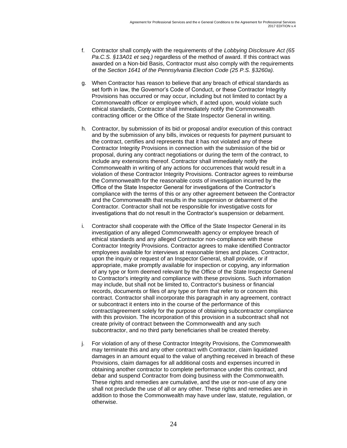- f. Contractor shall comply with the requirements of the *Lobbying Disclosure Act (65 Pa.C.S. §13A01 et seq.)* regardless of the method of award. If this contract was awarded on a Non-bid Basis, Contractor must also comply with the requirements of the *Section 1641 of the Pennsylvania Election Code (25 P.S. §3260a).*
- g. When Contractor has reason to believe that any breach of ethical standards as set forth in law, the Governor's Code of Conduct, or these Contractor Integrity Provisions has occurred or may occur, including but not limited to contact by a Commonwealth officer or employee which, if acted upon, would violate such ethical standards, Contractor shall immediately notify the Commonwealth contracting officer or the Office of the State Inspector General in writing.
- h. Contractor, by submission of its bid or proposal and/or execution of this contract and by the submission of any bills, invoices or requests for payment pursuant to the contract, certifies and represents that it has not violated any of these Contractor Integrity Provisions in connection with the submission of the bid or proposal, during any contract negotiations or during the term of the contract, to include any extensions thereof. Contractor shall immediately notify the Commonwealth in writing of any actions for occurrences that would result in a violation of these Contractor Integrity Provisions. Contractor agrees to reimburse the Commonwealth for the reasonable costs of investigation incurred by the Office of the State Inspector General for investigations of the Contractor's compliance with the terms of this or any other agreement between the Contractor and the Commonwealth that results in the suspension or debarment of the Contractor. Contractor shall not be responsible for investigative costs for investigations that do not result in the Contractor's suspension or debarment.
- i. Contractor shall cooperate with the Office of the State Inspector General in its investigation of any alleged Commonwealth agency or employee breach of ethical standards and any alleged Contractor non-compliance with these Contractor Integrity Provisions. Contractor agrees to make identified Contractor employees available for interviews at reasonable times and places. Contractor, upon the inquiry or request of an Inspector General, shall provide, or if appropriate, make promptly available for inspection or copying, any information of any type or form deemed relevant by the Office of the State Inspector General to Contractor's integrity and compliance with these provisions. Such information may include, but shall not be limited to, Contractor's business or financial records, documents or files of any type or form that refer to or concern this contract. Contractor shall incorporate this paragraph in any agreement, contract or subcontract it enters into in the course of the performance of this contract/agreement solely for the purpose of obtaining subcontractor compliance with this provision. The incorporation of this provision in a subcontract shall not create privity of contract between the Commonwealth and any such subcontractor, and no third party beneficiaries shall be created thereby.
- j. For violation of any of these Contractor Integrity Provisions, the Commonwealth may terminate this and any other contract with Contractor, claim liquidated damages in an amount equal to the value of anything received in breach of these Provisions, claim damages for all additional costs and expenses incurred in obtaining another contractor to complete performance under this contract, and debar and suspend Contractor from doing business with the Commonwealth. These rights and remedies are cumulative, and the use or non-use of any one shall not preclude the use of all or any other. These rights and remedies are in addition to those the Commonwealth may have under law, statute, regulation, or otherwise.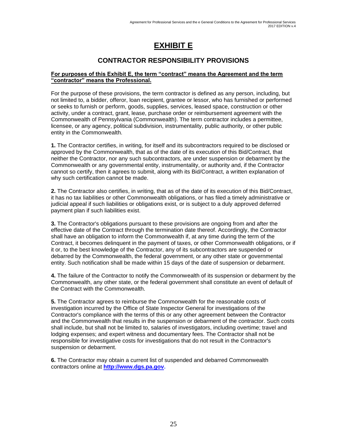# **EXHIBIT E**

### **CONTRACTOR RESPONSIBILITY PROVISIONS**

#### **For purposes of this Exhibit E, the term "contract" means the Agreement and the term "contractor" means the Professional.**

For the purpose of these provisions, the term contractor is defined as any person, including, but not limited to, a bidder, offeror, loan recipient, grantee or lessor, who has furnished or performed or seeks to furnish or perform, goods, supplies, services, leased space, construction or other activity, under a contract, grant, lease, purchase order or reimbursement agreement with the Commonwealth of Pennsylvania (Commonwealth). The term contractor includes a permittee, licensee, or any agency, political subdivision, instrumentality, public authority, or other public entity in the Commonwealth.

**1.** The Contractor certifies, in writing, for itself and its subcontractors required to be disclosed or approved by the Commonwealth, that as of the date of its execution of this Bid/Contract, that neither the Contractor, nor any such subcontractors, are under suspension or debarment by the Commonwealth or any governmental entity, instrumentality, or authority and, if the Contractor cannot so certify, then it agrees to submit, along with its Bid/Contract, a written explanation of why such certification cannot be made.

**2.** The Contractor also certifies, in writing, that as of the date of its execution of this Bid/Contract, it has no tax liabilities or other Commonwealth obligations, or has filed a timely administrative or judicial appeal if such liabilities or obligations exist, or is subject to a duly approved deferred payment plan if such liabilities exist.

**3.** The Contractor's obligations pursuant to these provisions are ongoing from and after the effective date of the Contract through the termination date thereof. Accordingly, the Contractor shall have an obligation to inform the Commonwealth if, at any time during the term of the Contract, it becomes delinquent in the payment of taxes, or other Commonwealth obligations, or if it or, to the best knowledge of the Contractor, any of its subcontractors are suspended or debarred by the Commonwealth, the federal government, or any other state or governmental entity. Such notification shall be made within 15 days of the date of suspension or debarment.

**4.** The failure of the Contractor to notify the Commonwealth of its suspension or debarment by the Commonwealth, any other state, or the federal government shall constitute an event of default of the Contract with the Commonwealth.

**5.** The Contractor agrees to reimburse the Commonwealth for the reasonable costs of investigation incurred by the Office of State Inspector General for investigations of the Contractor's compliance with the terms of this or any other agreement between the Contractor and the Commonwealth that results in the suspension or debarment of the contractor. Such costs shall include, but shall not be limited to, salaries of investigators, including overtime; travel and lodging expenses; and expert witness and documentary fees. The Contractor shall not be responsible for investigative costs for investigations that do not result in the Contractor's suspension or debarment.

**6.** The Contractor may obtain a current list of suspended and debarred Commonwealth contractors online at **[http://www.dgs.pa.gov.](http://www.dgs.pa.gov/)**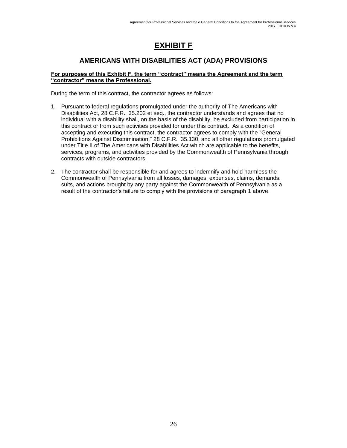# **EXHIBIT F**

### **AMERICANS WITH DISABILITIES ACT (ADA) PROVISIONS**

#### **For purposes of this Exhibit F, the term "contract" means the Agreement and the term "contractor" means the Professional.**

During the term of this contract, the contractor agrees as follows:

- 1. Pursuant to federal regulations promulgated under the authority of The Americans with Disabilities Act, 28 C.F.R. 35.202 et seq., the contractor understands and agrees that no individual with a disability shall, on the basis of the disability, be excluded from participation in this contract or from such activities provided for under this contract. As a condition of accepting and executing this contract, the contractor agrees to comply with the "General Prohibitions Against Discrimination," 28 C.F.R. 35.130, and all other regulations promulgated under Title II of The Americans with Disabilities Act which are applicable to the benefits, services, programs, and activities provided by the Commonwealth of Pennsylvania through contracts with outside contractors.
- 2. The contractor shall be responsible for and agrees to indemnify and hold harmless the Commonwealth of Pennsylvania from all losses, damages, expenses, claims, demands, suits, and actions brought by any party against the Commonwealth of Pennsylvania as a result of the contractor's failure to comply with the provisions of paragraph 1 above.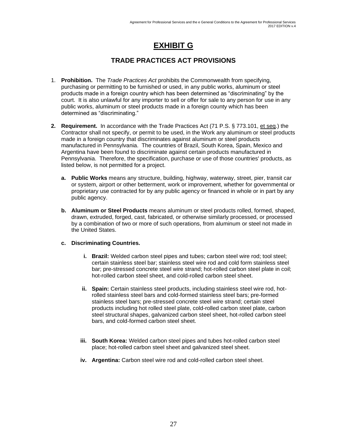# **EXHIBIT G**

### **TRADE PRACTICES ACT PROVISIONS**

- 1. **Prohibition.** The *Trade Practices Act* prohibits the Commonwealth from specifying, purchasing or permitting to be furnished or used, in any public works, aluminum or steel products made in a foreign country which has been determined as "discriminating" by the court. It is also unlawful for any importer to sell or offer for sale to any person for use in any public works, aluminum or steel products made in a foreign county which has been determined as "discriminating."
- **2. Requirement.** In accordance with the Trade Practices Act (71 P.S. § 773.101, et seq.) the Contractor shall not specify, or permit to be used, in the Work any aluminum or steel products made in a foreign country that discriminates against aluminum or steel products manufactured in Pennsylvania. The countries of Brazil, South Korea, Spain, Mexico and Argentina have been found to discriminate against certain products manufactured in Pennsylvania. Therefore, the specification, purchase or use of those countries' products, as listed below, is not permitted for a project.
	- **a. Public Works** means any structure, building, highway, waterway, street, pier, transit car or system, airport or other betterment, work or improvement, whether for governmental or proprietary use contracted for by any public agency or financed in whole or in part by any public agency.
	- **b. Aluminum or Steel Products** means aluminum or steel products rolled, formed, shaped, drawn, extruded, forged, cast, fabricated, or otherwise similarly processed, or processed by a combination of two or more of such operations, from aluminum or steel not made in the United States.

#### **c. Discriminating Countries.**

- **i. Brazil:** Welded carbon steel pipes and tubes; carbon steel wire rod; tool steel; certain stainless steel bar; stainless steel wire rod and cold form stainless steel bar; pre-stressed concrete steel wire strand; hot-rolled carbon steel plate in coil; hot-rolled carbon steel sheet, and cold-rolled carbon steel sheet.
- **ii.** Spain: Certain stainless steel products, including stainless steel wire rod, hotrolled stainless steel bars and cold-formed stainless steel bars; pre-formed stainless steel bars; pre-stressed concrete steel wire strand; certain steel products including hot rolled steel plate, cold-rolled carbon steel plate, carbon steel structural shapes, galvanized carbon steel sheet, hot-rolled carbon steel bars, and cold-formed carbon steel sheet.
- **iii. South Korea:** Welded carbon steel pipes and tubes hot-rolled carbon steel place; hot-rolled carbon steel sheet and galvanized steel sheet.
- **iv. Argentina:** Carbon steel wire rod and cold-rolled carbon steel sheet.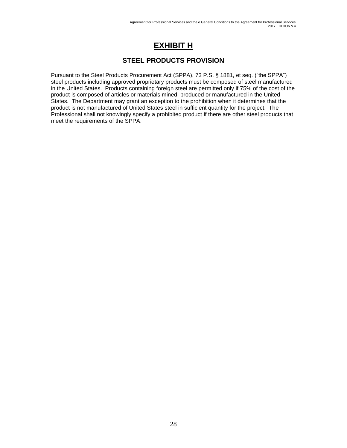# **EXHIBIT H**

### **STEEL PRODUCTS PROVISION**

Pursuant to the Steel Products Procurement Act (SPPA), 73 P.S. § 1881, et seq. ("the SPPA") steel products including approved proprietary products must be composed of steel manufactured in the United States. Products containing foreign steel are permitted only if 75% of the cost of the product is composed of articles or materials mined, produced or manufactured in the United States. The Department may grant an exception to the prohibition when it determines that the product is not manufactured of United States steel in sufficient quantity for the project. The Professional shall not knowingly specify a prohibited product if there are other steel products that meet the requirements of the SPPA.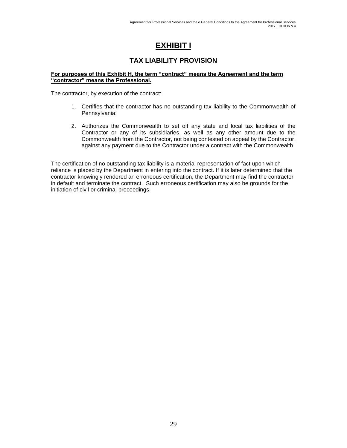# **EXHIBIT I**

### **TAX LIABILITY PROVISION**

#### **For purposes of this Exhibit H, the term "contract" means the Agreement and the term "contractor" means the Professional.**

The contractor, by execution of the contract:

- 1. Certifies that the contractor has no outstanding tax liability to the Commonwealth of Pennsylvania;
- 2. Authorizes the Commonwealth to set off any state and local tax liabilities of the Contractor or any of its subsidiaries, as well as any other amount due to the Commonwealth from the Contractor, not being contested on appeal by the Contractor, against any payment due to the Contractor under a contract with the Commonwealth.

The certification of no outstanding tax liability is a material representation of fact upon which reliance is placed by the Department in entering into the contract. If it is later determined that the contractor knowingly rendered an erroneous certification, the Department may find the contractor in default and terminate the contract. Such erroneous certification may also be grounds for the initiation of civil or criminal proceedings.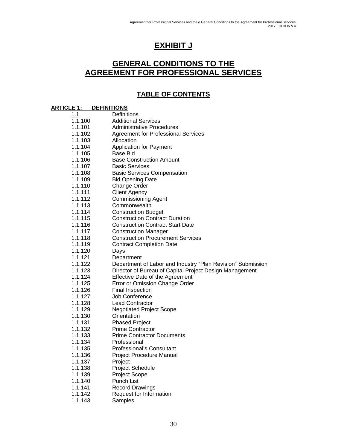# **EXHIBIT J**

## **GENERAL CONDITIONS TO THE AGREEMENT FOR PROFESSIONAL SERVICES**

### **TABLE OF CONTENTS**

#### **ARTICLE 1: DEFINITIONS**

| 1.1                | Definitions                                                  |
|--------------------|--------------------------------------------------------------|
| 1.1.100            | <b>Additional Services</b>                                   |
| 1.1.101            | <b>Administrative Procedures</b>                             |
| 1.1.102            | <b>Agreement for Professional Services</b>                   |
| 1.1.103            | Allocation                                                   |
| 1.1.104            | <b>Application for Payment</b>                               |
| 1.1.105            | Base Bid                                                     |
| 1.1.106            | <b>Base Construction Amount</b>                              |
| 1.1.107            | <b>Basic Services</b>                                        |
| 1.1.108            | <b>Basic Services Compensation</b>                           |
| 1.1.109            | <b>Bid Opening Date</b>                                      |
| 1.1.110            | Change Order                                                 |
| 1.1.111            | <b>Client Agency</b>                                         |
| 1.1.112            | <b>Commissioning Agent</b>                                   |
| 1.1.113            | Commonwealth                                                 |
| 1.1.114            | <b>Construction Budget</b>                                   |
| 1.1.115            | <b>Construction Contract Duration</b>                        |
| 1.1.116            | <b>Construction Contract Start Date</b>                      |
| 1.1.117            | <b>Construction Manager</b>                                  |
| 1.1.118            | <b>Construction Procurement Services</b>                     |
| 1.1.119            | <b>Contract Completion Date</b>                              |
| 1.1.120            | Days                                                         |
| 1.1.121            | Department                                                   |
| 1.1.122            | Department of Labor and Industry "Plan Revision" Submission  |
| 1.1.123            | Director of Bureau of Capital Project Design Management      |
| 1.1.124            | Effective Date of the Agreement                              |
| 1.1.125            | Error or Omission Change Order                               |
| 1.1.126            | Final Inspection                                             |
| 1.1.127            | Job Conference                                               |
| 1.1.128            | <b>Lead Contractor</b>                                       |
| 1.1.129            | <b>Negotiated Project Scope</b>                              |
| 1.1.130            | Orientation                                                  |
| 1.1.131            | <b>Phased Project</b>                                        |
| 1.1.132            | <b>Prime Contractor</b><br><b>Prime Contractor Documents</b> |
| 1.1.133            | Professional                                                 |
| 1.1.134            |                                                              |
| 1.1.135            | Professional's Consultant                                    |
| 1.1.136<br>1.1.137 | Project Procedure Manual<br>Project                          |
| 1.1.138            | <b>Project Schedule</b>                                      |
| 1.1.139            | <b>Project Scope</b>                                         |
| 1.1.140            | <b>Punch List</b>                                            |
| 1.1.141            | <b>Record Drawings</b>                                       |
| 1.1.142            | Request for Information                                      |
| 1.1.143            | Samples                                                      |
|                    |                                                              |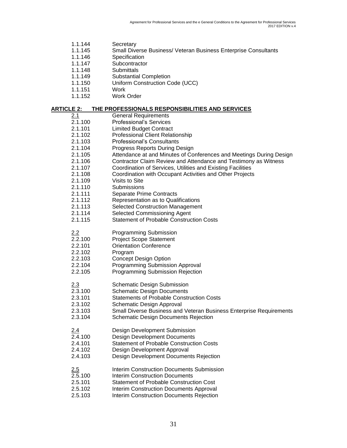| 1.1.144 | Secretary                                                              |
|---------|------------------------------------------------------------------------|
| 1.1.145 | <b>Small Diverse Business/ Veteran Business Enterprise Consultants</b> |
| 1.1.146 | Specification                                                          |
| 1.1.147 | Subcontractor                                                          |

- 1.1.148 Submittals
- 1.1.149 Substantial Completion
- 
- 1.1.150 Uniform Construction Code (UCC)<br>1.1.151 Work
- $1.1.151$
- 1.1.152 Work Order

#### **ARTICLE 2: THE PROFESSIONALS RESPONSIBILITIES AND SERVICES**

| 2.1     | <b>General Requirements</b>                                         |
|---------|---------------------------------------------------------------------|
| 2.1.100 | <b>Professional's Services</b>                                      |
| 2.1.101 | <b>Limited Budget Contract</b>                                      |
| 2.1.102 | <b>Professional Client Relationship</b>                             |
| 2.1.103 | <b>Professional's Consultants</b>                                   |
| 2.1.104 | Progress Reports During Design                                      |
| 2.1.105 | Attendance at and Minutes of Conferences and Meetings During Design |
| 2.1.106 | Contractor Claim Review and Attendance and Testimony as Witness     |
| 2.1.107 | Coordination of Services, Utilities and Existing Facilities         |
| 2.1.108 | Coordination with Occupant Activities and Other Projects            |
| 2.1.109 | Visits to Site                                                      |
| 2.1.110 | Submissions                                                         |
| 2.1.111 | Separate Prime Contracts                                            |
| 2.1.112 | Representation as to Qualifications                                 |
| 2.1.113 | <b>Selected Construction Management</b>                             |
| 2.1.114 | Selected Commissioning Agent                                        |
| 2.1.115 | <b>Statement of Probable Construction Costs</b>                     |
|         |                                                                     |
| 2.2     | Programming Submission                                              |
| 2.2.100 | <b>Project Scope Statement</b>                                      |
| 2.2.101 | <b>Orientation Conference</b>                                       |
| 2.2.102 | Program                                                             |
| 2.2.103 | <b>Concept Design Option</b>                                        |
| 2.2.104 | Programming Submission Approval                                     |
| 2.2.105 | Programming Submission Rejection                                    |
|         |                                                                     |
| 2.3     | <b>Schematic Design Submission</b>                                  |
| 2.3.100 | <b>Schematic Design Documents</b>                                   |
| 2.3.101 | <b>Statements of Probable Construction Costs</b>                    |
| 2.3.102 | Schematic Design Approval                                           |
| 2.3.103 | Small Diverse Business and Veteran Business Enterprise Requirements |
| 2.3.104 | <b>Schematic Design Documents Rejection</b>                         |
|         |                                                                     |
| 2.4     | Design Development Submission                                       |
| 2.4.100 | <b>Design Development Documents</b>                                 |
| 2.4.101 | <b>Statement of Probable Construction Costs</b>                     |
| 2.4.102 | Design Development Approval                                         |
| 2.4.103 | Design Development Documents Rejection                              |
|         |                                                                     |
| 2.5     | Interim Construction Documents Submission                           |
| 2.5.100 | Interim Construction Documents                                      |
| 2.5.101 | <b>Statement of Probable Construction Cost</b>                      |
| 2.5.102 | Interim Construction Documents Approval                             |
| 2.5.103 | Interim Construction Documents Rejection                            |
|         |                                                                     |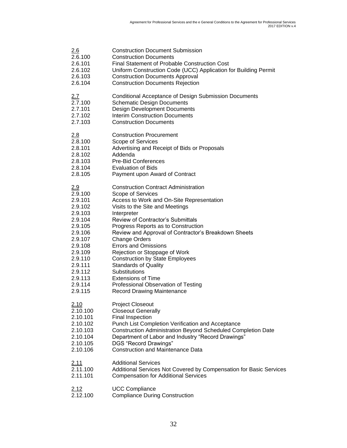| 2.6          | <b>Construction Document Submission</b>                            |
|--------------|--------------------------------------------------------------------|
| 2.6.100      | <b>Construction Documents</b>                                      |
| 2.6.101      | Final Statement of Probable Construction Cost                      |
| 2.6.102      | Uniform Construction Code (UCC) Application for Building Permit    |
| 2.6.103      | <b>Construction Documents Approval</b>                             |
| 2.6.104      | <b>Construction Documents Rejection</b>                            |
| <u>2.7</u>   | <b>Conditional Acceptance of Design Submission Documents</b>       |
| 2.7.100      | <b>Schematic Design Documents</b>                                  |
| 2.7.101      | <b>Design Development Documents</b>                                |
| 2.7.102      | <b>Interim Construction Documents</b>                              |
| 2.7.103      | <b>Construction Documents</b>                                      |
| 2.8          | <b>Construction Procurement</b>                                    |
| 2.8.100      | Scope of Services                                                  |
| 2.8.101      | Advertising and Receipt of Bids or Proposals                       |
| 2.8.102      | Addenda                                                            |
| 2.8.103      | <b>Pre-Bid Conferences</b>                                         |
| 2.8.104      | <b>Evaluation of Bids</b>                                          |
| 2.8.105      | Payment upon Award of Contract                                     |
| 2.9          | <b>Construction Contract Administration</b>                        |
| 2.9.100      | Scope of Services                                                  |
| 2.9.101      | Access to Work and On-Site Representation                          |
| 2.9.102      | Visits to the Site and Meetings                                    |
| 2.9.103      | Interpreter                                                        |
| 2.9.104      | <b>Review of Contractor's Submittals</b>                           |
| 2.9.105      | Progress Reports as to Construction                                |
| 2.9.106      | Review and Approval of Contractor's Breakdown Sheets               |
| 2.9.107      | <b>Change Orders</b>                                               |
| 2.9.108      | <b>Errors and Omissions</b>                                        |
| 2.9.109      | Rejection or Stoppage of Work                                      |
| 2.9.110      | <b>Construction by State Employees</b>                             |
| 2.9.111      | <b>Standards of Quality</b>                                        |
| 2.9.112      | Substitutions                                                      |
| 2.9.113      | <b>Extensions of Time</b>                                          |
| 2.9.114      | Professional Observation of Testing                                |
| 2.9.115      | <b>Record Drawing Maintenance</b>                                  |
| 2.10         | <b>Project Closeout</b>                                            |
| 2.10.100     | <b>Closeout Generally</b>                                          |
| 2.10.101     | <b>Final Inspection</b>                                            |
| 2.10.102     | Punch List Completion Verification and Acceptance                  |
| 2.10.103     | Construction Administration Beyond Scheduled Completion Date       |
| 2.10.104     | Department of Labor and Industry "Record Drawings"                 |
| 2.10.105     | DGS "Record Drawings"                                              |
| 2.10.106     | <b>Construction and Maintenance Data</b>                           |
| <u> 2.11</u> | <b>Additional Services</b>                                         |
| 2.11.100     | Additional Services Not Covered by Compensation for Basic Services |
| 2.11.101     | <b>Compensation for Additional Services</b>                        |
| 2.12         | <b>UCC Compliance</b>                                              |
| 2.12.100     | <b>Compliance During Construction</b>                              |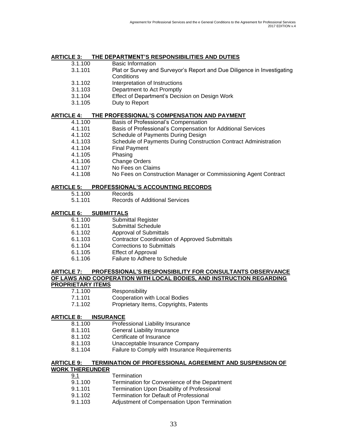# **ARTICLE 3: THE DEPARTMENT'S RESPONSIBILITIES AND DUTIES**

- Basic Information
- 3.1.101 Plat or Survey and Surveyor's Report and Due Diligence in Investigating **Conditions**
- 3.1.102 Interpretation of Instructions
- 3.1.103 Department to Act Promptly
- 3.1.104 Effect of Department's Decision on Design Work
- 3.1.105 Duty to Report

#### **ARTICLE 4: THE PROFESSIONAL'S COMPENSATION AND PAYMENT**

- 4.1.100 Basis of Professional's Compensation
- 4.1.101 Basis of Professional's Compensation for Additional Services
- 4.1.102 Schedule of Payments During Design
- 4.1.103 Schedule of Payments During Construction Contract Administration
- 4.1.104 Final Payment
- 4.1.105 Phasing
- 4.1.106 Change Orders
- 4.1.107 No Fees on Claims
- 4.1.108 No Fees on Construction Manager or Commissioning Agent Contract

#### **ARTICLE 5: PROFESSIONAL'S ACCOUNTING RECORDS**

- 5.1.100 Records
- 5.1.101 Records of Additional Services

#### **ARTICLE 6: SUBMITTALS**

- 6.1.100 Submittal Register
- 6.1.101 Submittal Schedule
- 6.1.102 Approval of Submittals
- 6.1.103 Contractor Coordination of Approved Submittals
- 6.1.104 Corrections to Submittals
- 6.1.105 Effect of Approval
- 6.1.106 Failure to Adhere to Schedule

### **ARTICLE 7: PROFESSIONAL'S RESPONSIBILITY FOR CONSULTANTS OBSERVANCE OF LAWS AND COOPERATION WITH LOCAL BODIES, AND INSTRUCTION REGARDING**

#### **PROPRIETARY ITEMS**

- 7.1.100 Responsibility
- 7.1.101 Cooperation with Local Bodies
- 7.1.102 Proprietary Items, Copyrights, Patents

#### **ARTICLE 8: INSURANCE**

- 8.1.100 Professional Liability Insurance
- 8.1.101 General Liability Insurance
- 8.1.102 Certificate of Insurance
- 8.1.103 Unacceptable Insurance Company
- 8.1.104 Failure to Comply with Insurance Requirements

#### **ARTICLE 9: TERMINATION OF PROFESSIONAL AGREEMENT AND SUSPENSION OF WORK THEREUNDER**

| <u>9.1</u> | <b>Termination</b>                            |
|------------|-----------------------------------------------|
| 9.1.100    | Termination for Convenience of the Department |
| 9.1.101    | Termination Upon Disability of Professional   |
| 9.1.102    | Termination for Default of Professional       |
| 9.1.103    | Adjustment of Compensation Upon Termination   |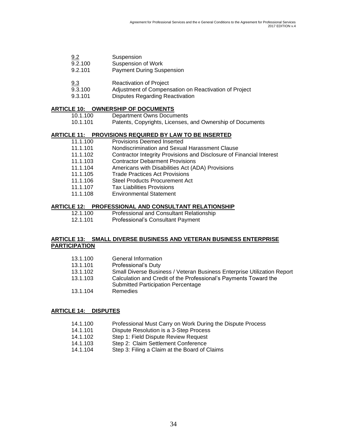| 9.2     | Suspension                       |
|---------|----------------------------------|
| 9.2.100 | Suspension of Work               |
| 9.2.101 | <b>Payment During Suspension</b> |

- 9.3 Reactivation of Project
- 9.3.100 Adjustment of Compensation on Reactivation of Project
- 9.3.101 Disputes Regarding Reactivation

#### **ARTICLE 10: OWNERSHIP OF DOCUMENTS**

| 10.1.100 | Department Owns Documents |  |
|----------|---------------------------|--|
|          |                           |  |

10.1.101 Patents, Copyrights, Licenses, and Ownership of Documents

#### **ARTICLE 11: PROVISIONS REQUIRED BY LAW TO BE INSERTED**

- 11.1.100 Provisions Deemed Inserted 11.1.101 Nondiscrimination and Sexual Harassment Clause 11.1.102 Contractor Integrity Provisions and Disclosure of Financial Interest 11.1.103 Contractor Debarment Provisions 11.1.104 Americans with Disabilities Act (ADA) Provisions 11.1.105 Trade Practices Act Provisions 11.1.106 Steel Products Procurement Act
- 11.1.107 Tax Liabilities Provisions
- 11.1.108 Environmental Statement

#### **ARTICLE 12: PROFESSIONAL AND CONSULTANT RELATIONSHIP**

- 12.1.100 Professional and Consultant Relationship
- 12.1.101 Professional's Consultant Payment

#### **ARTICLE 13: SMALL DIVERSE BUSINESS AND VETERAN BUSINESS ENTERPRISE PARTICIPATION**

| 13.1.100 | General Information                                                                                    |
|----------|--------------------------------------------------------------------------------------------------------|
| 13.1.101 | Professional's Duty                                                                                    |
| 13.1.102 | Small Diverse Business / Veteran Business Enterprise Utilization Report                                |
| 13.1.103 | Calculation and Credit of the Professional's Payments Toward the<br>Submitted Participation Percentage |
| 13.1.104 | Remedies                                                                                               |

#### **ARTICLE 14: DISPUTES**

- 14.1.100 Professional Must Carry on Work During the Dispute Process
- 14.1.101 Dispute Resolution is a 3-Step Process
- 14.1.102 Step 1: Field Dispute Review Request
- 14.1.103 Step 2: Claim Settlement Conference
- 14.1.104 Step 3: Filing a Claim at the Board of Claims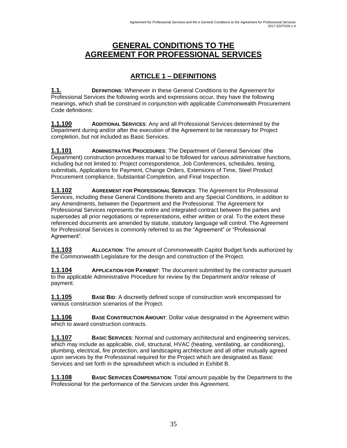## **GENERAL CONDITIONS TO THE AGREEMENT FOR PROFESSIONAL SERVICES**

### **ARTICLE 1 – DEFINITIONS**

**1.1. DEFINITIONS**: Whenever in these General Conditions to the Agreement for Professional Services the following words and expressions occur, they have the following meanings, which shall be construed in conjunction with applicable Commonwealth Procurement Code definitions:

**1.1.100 ADDITIONAL SERVICES**: Any and all Professional Services determined by the Department during and/or after the execution of the Agreement to be necessary for Project completion, but not included as Basic Services.

**1.1.101 ADMINISTRATIVE PROCEDURES**: The Department of General Services' (the Department) construction procedures manual to be followed for various administrative functions, including but not limited to: Project correspondence, Job Conferences, schedules, testing, submittals, Applications for Payment, Change Orders, Extensions of Time, Steel Product Procurement compliance, Substantial Completion, and Final Inspection.

**1.1.102 AGREEMENT FOR PROFESSIONAL SERVICES**: The Agreement for Professional Services, including these General Conditions thereto and any Special Conditions, in addition to any Amendments, between the Department and the Professional. The Agreement for Professional Services represents the entire and integrated contract between the parties and supersedes all prior negotiations or representations, either written or oral. To the extent these referenced documents are amended by statute, statutory language will control. The Agreement for Professional Services is commonly referred to as the "Agreement" or "Professional Agreement".

**1.1.103 ALLOCATION**: The amount of Commonwealth Capitol Budget funds authorized by the Commonwealth Legislature for the design and construction of the Project.

**1.1.104 APPLICATION FOR PAYMENT**: The document submitted by the contractor pursuant to the applicable Administrative Procedure for review by the Department and/or release of payment.

**1.1.105 BASE BID**: A discreetly defined scope of construction work encompassed for various construction scenarios of the Project.

**1.1.106 BASE CONSTRUCTION AMOUNT**: Dollar value designated in the Agreement within which to award construction contracts.

**1.1.107 BASIC SERVICES**: Normal and customary architectural and engineering services, which may include as applicable, civil, structural, HVAC (heating, ventilating, air conditioning), plumbing, electrical, fire protection, and landscaping architecture and all other mutually agreed upon services by the Professional required for the Project which are designated as Basic Services and set forth in the spreadsheet which is included in Exhibit B.

**1.1.108 BASIC SERVICES COMPENSATION**: Total amount payable by the Department to the Professional for the performance of the Services under this Agreement.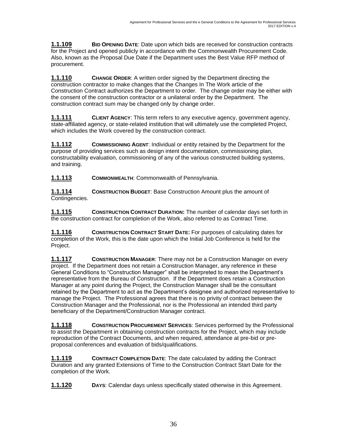**1.1.109 BID OPENING DATE**: Date upon which bids are received for construction contracts for the Project and opened publicly in accordance with the Commonwealth Procurement Code. Also, known as the Proposal Due Date if the Department uses the Best Value RFP method of procurement.

**1.1.110 CHANGE ORDER**: A written order signed by the Department directing the construction contractor to make changes that the Changes In The Work article of the Construction Contract authorizes the Department to order. The change order may be either with the consent of the construction contractor or a unilateral order by the Department. The construction contract sum may be changed only by change order.

**1.1.111 CLIENT AGENCY**: This term refers to any executive agency, government agency, state-affiliated agency, or state-related institution that will ultimately use the completed Project, which includes the Work covered by the construction contract.

**1.1.112 COMMISSIONING AGENT:** Individual or entity retained by the Department for the purpose of providing services such as design intent documentation, commissioning plan, constructability evaluation, commissioning of any of the various constructed building systems, and training.

**1.1.113 COMMONWEALTH**: Commonwealth of Pennsylvania.

**1.1.114 CONSTRUCTION BUDGET**: Base Construction Amount plus the amount of Contingencies.

**1.1.115 CONSTRUCTION CONTRACT DURATION:** The number of calendar days set forth in the construction contract for completion of the Work, also referred to as Contract Time.

**1.1.116 CONSTRUCTION CONTRACT START DATE:** For purposes of calculating dates for completion of the Work, this is the date upon which the Initial Job Conference is held for the Project.

**1.1.117 CONSTRUCTION MANAGER**: There may not be a Construction Manager on every project. If the Department does not retain a Construction Manager, any reference in these General Conditions to "Construction Manager" shall be interpreted to mean the Department's representative from the Bureau of Construction. If the Department does retain a Construction Manager at any point during the Project, the Construction Manager shall be the consultant retained by the Department to act as the Department's designee and authorized representative to manage the Project. The Professional agrees that there is no privity of contract between the Construction Manager and the Professional, nor is the Professional an intended third party beneficiary of the Department/Construction Manager contract.

**1.1.118 CONSTRUCTION PROCUREMENT SERVICES**: Services performed by the Professional to assist the Department in obtaining construction contracts for the Project, which may include reproduction of the Contract Documents, and when required, attendance at pre-bid or preproposal conferences and evaluation of bids/qualifications.

**1.1.119 CONTRACT COMPLETION DATE**: The date calculated by adding the Contract Duration and any granted Extensions of Time to the Construction Contract Start Date for the completion of the Work.

**1.1.120 DAYS**: Calendar days unless specifically stated otherwise in this Agreement.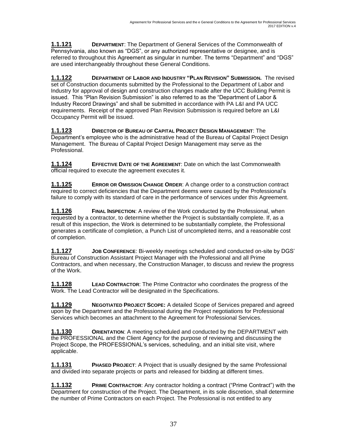**1.1.121 DEPARTMENT**: The Department of General Services of the Commonwealth of Pennsylvania, also known as "DGS", or any authorized representative or designee, and is referred to throughout this Agreement as singular in number. The terms "Department" and "DGS" are used interchangeably throughout these General Conditions.

**1.1.122 DEPARTMENT OF LABOR AND INDUSTRY "PLAN REVISION" SUBMISSION.** The revised set of Construction documents submitted by the Professional to the Department of Labor and Industry for approval of design and construction changes made after the UCC Building Permit is issued. This "Plan Revision Submission" is also referred to as the "Department of Labor & Industry Record Drawings" and shall be submitted in accordance with PA L&I and PA UCC requirements. Receipt of the approved Plan Revision Submission is required before an L&I Occupancy Permit will be issued.

**1.1.123 DIRECTOR OF BUREAU OF CAPITAL PROJECT DESIGN MANAGEMENT**: The Department's employee who is the administrative head of the Bureau of Capital Project Design Management. The Bureau of Capital Project Design Management may serve as the Professional.

**1.1.124 EFFECTIVE DATE OF THE AGREEMENT**: Date on which the last Commonwealth official required to execute the agreement executes it.

**1.1.125 ERROR OR OMISSION CHANGE ORDER**: A change order to a construction contract required to correct deficiencies that the Department deems were caused by the Professional's failure to comply with its standard of care in the performance of services under this Agreement.

**1.1.126 FINAL INSPECTION**: A review of the Work conducted by the Professional, when requested by a contractor, to determine whether the Project is substantially complete. If, as a result of this inspection, the Work is determined to be substantially complete, the Professional generates a certificate of completion, a Punch List of uncompleted items, and a reasonable cost of completion.

**1.1.127 JOB CONFERENCE**: Bi-weekly meetings scheduled and conducted on-site by DGS' Bureau of Construction Assistant Project Manager with the Professional and all Prime Contractors, and when necessary, the Construction Manager, to discuss and review the progress of the Work.

**1.1.128 LEAD CONTRACTOR**: The Prime Contractor who coordinates the progress of the Work. The Lead Contractor will be designated in the Specifications.

**1.1.129 NEGOTIATED PROJECT SCOPE:** A detailed Scope of Services prepared and agreed upon by the Department and the Professional during the Project negotiations for Professional Services which becomes an attachment to the Agreement for Professional Services.

**1.1.130 ORIENTATION**: A meeting scheduled and conducted by the DEPARTMENT with the PROFESSIONAL and the Client Agency for the purpose of reviewing and discussing the Project Scope, the PROFESSIONAL's services, scheduling, and an initial site visit, where applicable.

**1.1.131 PHASED PROJECT**: A Project that is usually designed by the same Professional and divided into separate projects or parts and released for bidding at different times.

**1.1.132 PRIME CONTRACTOR:** Any contractor holding a contract ("Prime Contract") with the Department for construction of the Project. The Department, in its sole discretion, shall determine the number of Prime Contractors on each Project. The Professional is not entitled to any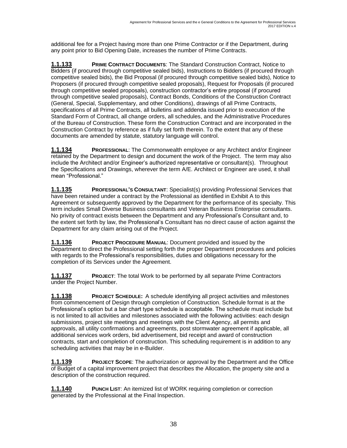additional fee for a Project having more than one Prime Contractor or if the Department, during any point prior to Bid Opening Date, increases the number of Prime Contracts.

**1.1.133 PRIME CONTRACT DOCUMENTS**: The Standard Construction Contract, Notice to Bidders (if procured through competitive sealed bids), Instructions to Bidders (if procured through competitive sealed bids), the Bid Proposal (if procured through competitive sealed bids), Notice to Proposers (if procured through competitive sealed proposals), Request for Proposals (if procured through competitive sealed proposals), construction contractor's entire proposal (if procured through competitive sealed proposals), Contract Bonds, Conditions of the Construction Contract (General, Special, Supplementary, and other Conditions), drawings of all Prime Contracts, specifications of all Prime Contracts, all bulletins and addenda issued prior to execution of the Standard Form of Contract, all change orders, all schedules, and the Administrative Procedures of the Bureau of Construction. These form the Construction Contract and are incorporated in the Construction Contract by reference as if fully set forth therein. To the extent that any of these documents are amended by statute, statutory language will control.

**1.1.134 PROFESSIONAL**: The Commonwealth employee or any Architect and/or Engineer retained by the Department to design and document the work of the Project. The term may also include the Architect and/or Engineer's authorized representative or consultant(s). Throughout the Specifications and Drawings, wherever the term A/E. Architect or Engineer are used, it shall mean "Professional."

**1.1.135 PROFESSIONAL'S CONSULTANT**: Specialist(s) providing Professional Services that have been retained under a contract by the Professional as identified in Exhibit A to this Agreement or subsequently approved by the Department for the performance of its specialty. This term includes Small Diverse Business consultants and Veteran Business Enterprise consultants. No privity of contract exists between the Department and any Professional's Consultant and, to the extent set forth by law, the Professional's Consultant has no direct cause of action against the Department for any claim arising out of the Project.

**1.1.136 PROJECT PROCEDURE MANUAL**: Document provided and issued by the Department to direct the Professional setting forth the proper Department procedures and policies with regards to the Professional's responsibilities, duties and obligations necessary for the completion of its Services under the Agreement.

**1.1.137 PROJECT**: The total Work to be performed by all separate Prime Contractors under the Project Number.

**1.1.138 PROJECT SCHEDULE:** A schedule identifying all project activities and milestones from commencement of Design through completion of Construction. Schedule format is at the Professional's option but a bar chart type schedule is acceptable. The schedule must include but is not limited to all activities and milestones associated with the following activities: each design submissions, project site meetings and meetings with the Client Agency, all permits and approvals, all utility confirmations and agreements, post stormwater agreement if applicable, all additional services work orders, bid advertisement, bid receipt and award of construction contracts, start and completion of construction. This scheduling requirement is in addition to any scheduling activities that may be in e-Builder.

**1.1.139 PROJECT SCOPE**: The authorization or approval by the Department and the Office of Budget of a capital improvement project that describes the Allocation, the property site and a description of the construction required.

**1.1.140** PUNCH LIST: An itemized list of WORK requiring completion or correction generated by the Professional at the Final Inspection.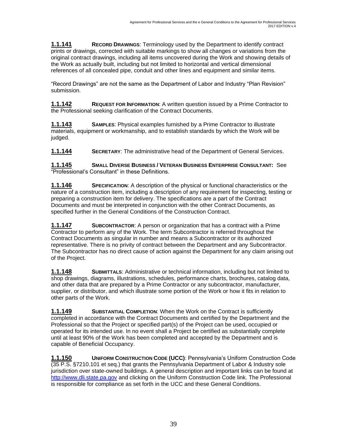**1.1.141 RECORD DRAWINGS**: Terminology used by the Department to identify contract prints or drawings, corrected with suitable markings to show all changes or variations from the original contract drawings, including all items uncovered during the Work and showing details of the Work as actually built, including but not limited to horizontal and vertical dimensional references of all concealed pipe, conduit and other lines and equipment and similar items.

"Record Drawings" are not the same as the Department of Labor and Industry "Plan Revision" submission.

**1.1.142 REQUEST FOR INFORMATION**: A written question issued by a Prime Contractor to the Professional seeking clarification of the Contract Documents.

**1.1.143 SAMPLES**: Physical examples furnished by a Prime Contractor to illustrate materials, equipment or workmanship, and to establish standards by which the Work will be judged.

**1.1.144 SECRETARY**: The administrative head of the Department of General Services.

**1.1.145 SMALL DIVERSE BUSINESS / VETERAN BUSINESS ENTERPRISE CONSULTANT:** See "Professional's Consultant" in these Definitions.

**1.1.146 SPECIFICATION**: A description of the physical or functional characteristics or the nature of a construction item, including a description of any requirement for inspecting, testing or preparing a construction item for delivery. The specifications are a part of the Contract Documents and must be interpreted in conjunction with the other Contract Documents, as specified further in the General Conditions of the Construction Contract.

**1.1.147 SUBCONTRACTOR**: A person or organization that has a contract with a Prime Contractor to perform any of the Work. The term Subcontractor is referred throughout the Contract Documents as singular in number and means a Subcontractor or its authorized representative. There is no privity of contract between the Department and any Subcontractor. The Subcontractor has no direct cause of action against the Department for any claim arising out of the Project.

**1.1.148 SUBMITTALS**: Administrative or technical information, including but not limited to shop drawings, diagrams, illustrations, schedules, performance charts, brochures, catalog data, and other data that are prepared by a Prime Contractor or any subcontractor, manufacturer, supplier, or distributor, and which illustrate some portion of the Work or how it fits in relation to other parts of the Work.

**1.1.149 SUBSTANTIAL COMPLETION**: When the Work on the Contract is sufficiently completed in accordance with the Contract Documents and certified by the Department and the Professional so that the Project or specified part(s) of the Project can be used, occupied or operated for its intended use. In no event shall a Project be certified as substantially complete until at least 90% of the Work has been completed and accepted by the Department and is capable of Beneficial Occupancy.

**1.1.150 UNIFORM CONSTRUCTION CODE (UCC)**: Pennsylvania's Uniform Construction Code (35 P.S. §7210.101 et seq.) that grants the Pennsylvania Department of Labor & Industry sole jurisdiction over state-owned buildings. A general description and important links can be found at [http://www.dli.state.pa.gov](http://www.dli.state.pa.gov/) and clicking on the Uniform Construction Code link. The Professional is responsible for compliance as set forth in the UCC and these General Conditions.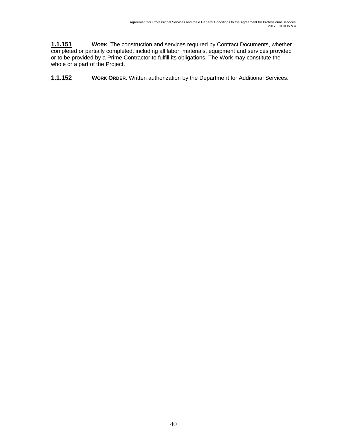**1.1.151 WORK**: The construction and services required by Contract Documents, whether completed or partially completed, including all labor, materials, equipment and services provided or to be provided by a Prime Contractor to fulfill its obligations. The Work may constitute the whole or a part of the Project.

**1.1.152 WORK ORDER:** Written authorization by the Department for Additional Services.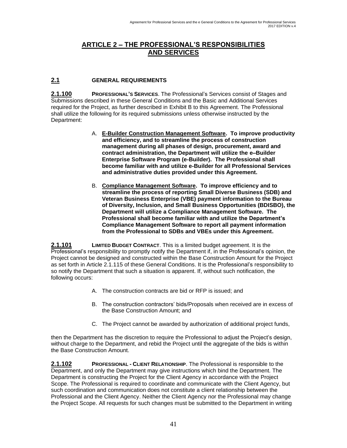### **ARTICLE 2 – THE PROFESSIONAL'S RESPONSIBILITIES AND SERVICES**

#### **2.1 GENERAL REQUIREMENTS**

**2.1.100 PROFESSIONAL'S SERVICES**. The Professional's Services consist of Stages and Submissions described in these General Conditions and the Basic and Additional Services required for the Project, as further described in Exhibit B to this Agreement. The Professional shall utilize the following for its required submissions unless otherwise instructed by the Department:

- A. **E-Builder Construction Management Software. To improve productivity and efficiency, and to streamline the process of construction management during all phases of design, procurement, award and contract administration, the Department will utilize the e–Builder Enterprise Software Program (e-Builder). The Professional shall become familiar with and utilize e-Builder for all Professional Services and administrative duties provided under this Agreement.**
- B. **Compliance Management Software. To improve efficiency and to streamline the process of reporting Small Diverse Business (SDB) and Veteran Business Enterprise (VBE) payment information to the Bureau of Diversity, Inclusion, and Small Business Opportunities (BDISBO), the Department will utilize a Compliance Management Software. The Professional shall become familiar with and utilize the Department's Compliance Management Software to report all payment information from the Professional to SDBs and VBEs under this Agreement.**

**2.1.101 LIMITED BUDGET CONTRACT**. This is a limited budget agreement. It is the Professional's responsibility to promptly notify the Department if, in the Professional's opinion, the Project cannot be designed and constructed within the Base Construction Amount for the Project as set forth in Article 2.1.115 of these General Conditions. It is the Professional's responsibility to so notify the Department that such a situation is apparent. If, without such notification, the following occurs:

- A. The construction contracts are bid or RFP is issued; and
- B. The construction contractors' bids/Proposals when received are in excess of the Base Construction Amount; and
- C. The Project cannot be awarded by authorization of additional project funds,

then the Department has the discretion to require the Professional to adjust the Project's design, without charge to the Department, and rebid the Project until the aggregate of the bids is within the Base Construction Amount.

**2.1.102 PROFESSIONAL - CLIENT RELATIONSHIP**. The Professional is responsible to the Department, and only the Department may give instructions which bind the Department. The Department is constructing the Project for the Client Agency in accordance with the Project Scope. The Professional is required to coordinate and communicate with the Client Agency, but such coordination and communication does not constitute a client relationship between the Professional and the Client Agency. Neither the Client Agency nor the Professional may change the Project Scope. All requests for such changes must be submitted to the Department in writing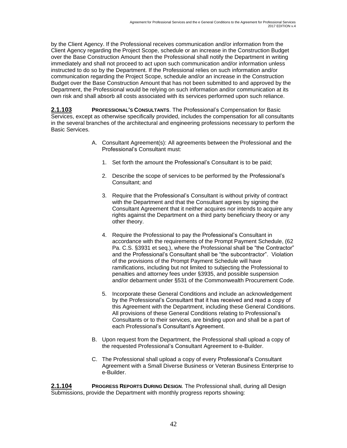by the Client Agency. If the Professional receives communication and/or information from the Client Agency regarding the Project Scope, schedule or an increase in the Construction Budget over the Base Construction Amount then the Professional shall notify the Department in writing immediately and shall not proceed to act upon such communication and/or information unless instructed to do so by the Department. If the Professional relies on such information and/or communication regarding the Project Scope, schedule and/or an increase in the Construction Budget over the Base Construction Amount that has not been submitted to and approved by the Department, the Professional would be relying on such information and/or communication at its own risk and shall absorb all costs associated with its services performed upon such reliance.

**2.1.103 PROFESSIONAL'S CONSULTANTS**. The Professional's Compensation for Basic Services, except as otherwise specifically provided, includes the compensation for all consultants in the several branches of the architectural and engineering professions necessary to perform the Basic Services.

- A. Consultant Agreement(s): All agreements between the Professional and the Professional's Consultant must:
	- 1. Set forth the amount the Professional's Consultant is to be paid;
	- 2. Describe the scope of services to be performed by the Professional's Consultant; and
	- 3. Require that the Professional's Consultant is without privity of contract with the Department and that the Consultant agrees by signing the Consultant Agreement that it neither acquires nor intends to acquire any rights against the Department on a third party beneficiary theory or any other theory.
	- 4. Require the Professional to pay the Professional's Consultant in accordance with the requirements of the Prompt Payment Schedule, (62 Pa. C.S. §3931 et seq.), where the Professional shall be "the Contractor" and the Professional's Consultant shall be "the subcontractor". Violation of the provisions of the Prompt Payment Schedule will have ramifications, including but not limited to subjecting the Professional to penalties and attorney fees under §3935, and possible suspension and/or debarment under §531 of the Commonwealth Procurement Code.
	- 5. Incorporate these General Conditions and include an acknowledgement by the Professional's Consultant that it has received and read a copy of this Agreement with the Department, including these General Conditions. All provisions of these General Conditions relating to Professional's Consultants or to their services, are binding upon and shall be a part of each Professional's Consultant's Agreement.
- B. Upon request from the Department, the Professional shall upload a copy of the requested Professional's Consultant Agreement to e-Builder.
- C. The Professional shall upload a copy of every Professional's Consultant Agreement with a Small Diverse Business or Veteran Business Enterprise to e-Builder.

**2.1.104 PROGRESS REPORTS DURING DESIGN**. The Professional shall, during all Design Submissions, provide the Department with monthly progress reports showing: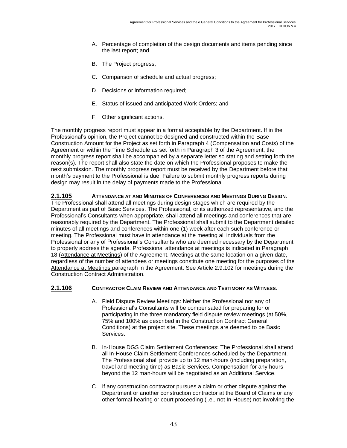- A. Percentage of completion of the design documents and items pending since the last report; and
- B. The Project progress;
- C. Comparison of schedule and actual progress;
- D. Decisions or information required;
- E. Status of issued and anticipated Work Orders; and
- F. Other significant actions.

The monthly progress report must appear in a format acceptable by the Department. If in the Professional's opinion, the Project cannot be designed and constructed within the Base Construction Amount for the Project as set forth in Paragraph 4 (Compensation and Costs) of the Agreement or within the Time Schedule as set forth in Paragraph 3 of the Agreement, the monthly progress report shall be accompanied by a separate letter so stating and setting forth the reason(s). The report shall also state the date on which the Professional proposes to make the next submission. The monthly progress report must be received by the Department before that month's payment to the Professional is due. Failure to submit monthly progress reports during design may result in the delay of payments made to the Professional.

**2.1.105 ATTENDANCE AT AND MINUTES OF CONFERENCES AND MEETINGS DURING DESIGN**. The Professional shall attend all meetings during design stages which are required by the Department as part of Basic Services. The Professional, or its authorized representative, and the Professional's Consultants when appropriate, shall attend all meetings and conferences that are reasonably required by the Department. The Professional shall submit to the Department detailed minutes of all meetings and conferences within one (1) week after each such conference or meeting. The Professional must have in attendance at the meeting all individuals from the Professional or any of Professional's Consultants who are deemed necessary by the Department to properly address the agenda. Professional attendance at meetings is indicated in Paragraph 18 (Attendance at Meetings) of the Agreement. Meetings at the same location on a given date, regardless of the number of attendees or meetings constitute one meeting for the purposes of the Attendance at Meetings paragraph in the Agreement. See Article 2.9.102 for meetings during the Construction Contract Administration.

#### **2.1.106 CONTRACTOR CLAIM REVIEW AND ATTENDANCE AND TESTIMONY AS WITNESS**.

- A. Field Dispute Review Meetings: Neither the Professional nor any of Professional's Consultants will be compensated for preparing for or participating in the three mandatory field dispute review meetings (at 50%, 75% and 100% as described in the Construction Contract General Conditions) at the project site. These meetings are deemed to be Basic Services.
- B. In-House DGS Claim Settlement Conferences: The Professional shall attend all In-House Claim Settlement Conferences scheduled by the Department. The Professional shall provide up to 12 man-hours (including preparation, travel and meeting time) as Basic Services. Compensation for any hours beyond the 12 man-hours will be negotiated as an Additional Service.
- C. If any construction contractor pursues a claim or other dispute against the Department or another construction contractor at the Board of Claims or any other formal hearing or court proceeding (i.e., not In-House) not involving the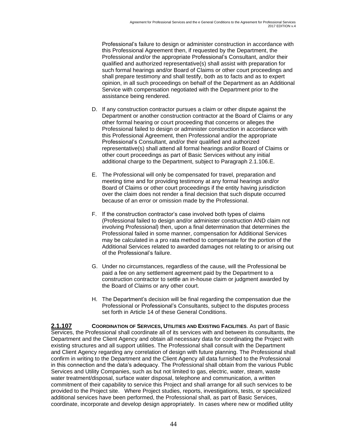Professional's failure to design or administer construction in accordance with this Professional Agreement then, if requested by the Department, the Professional and/or the appropriate Professional's Consultant, and/or their qualified and authorized representative(s) shall assist with preparation for such formal hearings and/or Board of Claims or other court proceedings and shall prepare testimony and shall testify, both as to facts and as to expert opinion, in all such proceedings on behalf of the Department as an Additional Service with compensation negotiated with the Department prior to the assistance being rendered.

- D. If any construction contractor pursues a claim or other dispute against the Department or another construction contractor at the Board of Claims or any other formal hearing or court proceeding that concerns or alleges the Professional failed to design or administer construction in accordance with this Professional Agreement, then Professional and/or the appropriate Professional's Consultant, and/or their qualified and authorized representative(s) shall attend all formal hearings and/or Board of Claims or other court proceedings as part of Basic Services without any initial additional charge to the Department, subject to Paragraph 2.1.106.E.
- E. The Professional will only be compensated for travel, preparation and meeting time and for providing testimony at any formal hearings and/or Board of Claims or other court proceedings if the entity having jurisdiction over the claim does not render a final decision that such dispute occurred because of an error or omission made by the Professional.
- F. If the construction contractor's case involved both types of claims (Professional failed to design and/or administer construction AND claim not involving Professional) then, upon a final determination that determines the Professional failed in some manner, compensation for Additional Services may be calculated in a pro rata method to compensate for the portion of the Additional Services related to awarded damages not relating to or arising out of the Professional's failure.
- G. Under no circumstances, regardless of the cause, will the Professional be paid a fee on any settlement agreement paid by the Department to a construction contractor to settle an in-house claim or judgment awarded by the Board of Claims or any other court.
- H. The Department's decision will be final regarding the compensation due the Professional or Professional's Consultants, subject to the disputes process set forth in Article 14 of these General Conditions.

**2.1.107 COORDINATION OF SERVICES, UTILITIES AND EXISTING FACILITIES**. As part of Basic Services, the Professional shall coordinate all of its services with and between its consultants, the Department and the Client Agency and obtain all necessary data for coordinating the Project with existing structures and all support utilities. The Professional shall consult with the Department and Client Agency regarding any correlation of design with future planning. The Professional shall confirm in writing to the Department and the Client Agency all data furnished to the Professional in this connection and the data's adequacy. The Professional shall obtain from the various Public Services and Utility Companies, such as but not limited to gas, electric, water, steam, waste water treatment/disposal, surface water disposal, telephone and communication, a written commitment of their capability to service this Project and shall arrange for all such services to be provided to the Project site. Where Project studies, reports, investigations, tests, or specialized additional services have been performed, the Professional shall, as part of Basic Services, coordinate, incorporate and develop design appropriately. In cases where new or modified utility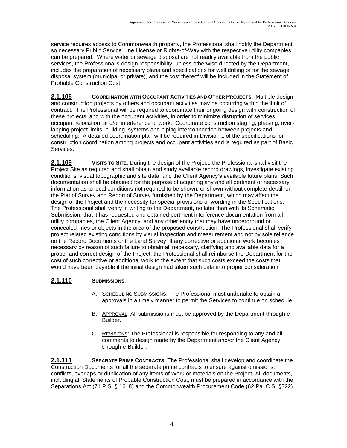service requires access to Commonwealth property, the Professional shall notify the Department so necessary Public Service Line License or Rights-of-Way with the respective utility companies can be prepared. Where water or sewage disposal are not readily available from the public services, the Professional's design responsibility, unless otherwise directed by the Department, includes the preparation of necessary plans and specifications for well drilling or for the sewage disposal system (municipal or private), and the cost thereof will be included in the Statement of Probable Construction Cost.

**2.1.108 COORDINATION WITH OCCUPANT ACTIVITIES AND OTHER PROJECTS.** Multiple design and construction projects by others and occupant activities may be occurring within the limit of contract. The Professional will be required to coordinate their ongoing design with construction of these projects, and with the occupant activities, in order to minimize disruption of services, occupant relocation, and/or interference of work. Coordinate construction staging, phasing, overlapping project limits, building, systems and piping interconnection between projects and scheduling. A detailed coordination plan will be required in Division 1 of the specifications for construction coordination among projects and occupant activities and is required as part of Basic Services.

**2.1.109 VISITS TO SITE**. During the design of the Project, the Professional shall visit the Project Site as required and shall obtain and study available record drawings, investigate existing conditions, visual topographic and site data, and the Client Agency's available future plans. Such documentation shall be obtained for the purpose of acquiring any and all pertinent or necessary information as to local conditions not required to be shown, or shown without complete detail, on the Plat of Survey and Report of Survey furnished by the Department, which may affect the design of the Project and the necessity for special provisions or wording in the Specifications. The Professional shall verify in writing to the Department, no later than with its Schematic Submission, that it has requested and obtained pertinent interference documentation from all utility companies, the Client Agency, and any other entity that may have underground or concealed lines or objects in the area of the proposed construction. The Professional shall verify project related existing conditions by visual inspection and measurement and not by sole reliance on the Record Documents or the Land Survey. If any corrective or additional work becomes necessary by reason of such failure to obtain all necessary, clarifying and available data for a proper and correct design of the Project, the Professional shall reimburse the Department for the cost of such corrective or additional work to the extent that such costs exceed the costs that would have been payable if the initial design had taken such data into proper consideration.

### **2.1.110 SUBMISSIONS**.

- A. SCHEDULING SUBMISSIONS: The Professional must undertake to obtain all approvals in a timely manner to permit the Services to continue on schedule.
- B. APPROVAL: All submissions must be approved by the Department through e-Builder.
- C. REVISIONS: The Professional is responsible for responding to any and all comments to design made by the Department and/or the Client Agency through e-Builder.

**2.1.111 SEPARATE PRIME CONTRACTS**. The Professional shall develop and coordinate the Construction Documents for all the separate prime contracts to ensure against omissions, conflicts, overlaps or duplication of any items of Work or materials on the Project. All documents, including all Statements of Probable Construction Cost, must be prepared in accordance with the Separations Act (71 P.S. § 1618) and the Commonwealth Procurement Code (62 Pa. C.S. §322).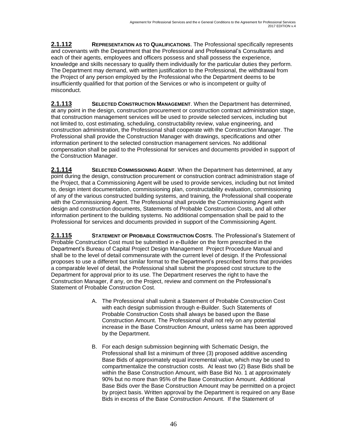**2.1.112 REPRESENTATION AS TO QUALIFICATIONS**. The Professional specifically represents and covenants with the Department that the Professional and Professional's Consultants and each of their agents, employees and officers possess and shall possess the experience, knowledge and skills necessary to qualify them individually for the particular duties they perform. The Department may demand, with written justification to the Professional, the withdrawal from the Project of any person employed by the Professional who the Department deems to be insufficiently qualified for that portion of the Services or who is incompetent or guilty of misconduct.

**2.1.113 SELECTED CONSTRUCTION MANAGEMENT**. When the Department has determined, at any point in the design, construction procurement or construction contract administration stage, that construction management services will be used to provide selected services, including but not limited to, cost estimating, scheduling, constructability review, value engineering, and construction administration, the Professional shall cooperate with the Construction Manager. The Professional shall provide the Construction Manager with drawings, specifications and other information pertinent to the selected construction management services. No additional compensation shall be paid to the Professional for services and documents provided in support of the Construction Manager.

**2.1.114 SELECTED COMMISSIONING AGENT.** When the Department has determined, at any point during the design, construction procurement or construction contract administration stage of the Project, that a Commissioning Agent will be used to provide services, including but not limited to, design intent documentation, commissioning plan, constructability evaluation, commissioning of any of the various constructed building systems, and training, the Professional shall cooperate with the Commissioning Agent. The Professional shall provide the Commissioning Agent with design and construction documents, Statements of Probable Construction Costs, and all other information pertinent to the building systems. No additional compensation shall be paid to the Professional for services and documents provided in support of the Commissioning Agent.

**2.1.115 STATEMENT OF PROBABLE CONSTRUCTION COSTS**. The Professional's Statement of Probable Construction Cost must be submitted in e-Builder on the form prescribed in the Department's Bureau of Capital Project Design Management Project Procedure Manual and shall be to the level of detail commensurate with the current level of design. If the Professional proposes to use a different but similar format to the Department's prescribed forms that provides a comparable level of detail, the Professional shall submit the proposed cost structure to the Department for approval prior to its use. The Department reserves the right to have the Construction Manager, if any, on the Project, review and comment on the Professional's Statement of Probable Construction Cost.

- A. The Professional shall submit a Statement of Probable Construction Cost with each design submission through e-Builder. Such Statements of Probable Construction Costs shall always be based upon the Base Construction Amount. The Professional shall not rely on any potential increase in the Base Construction Amount, unless same has been approved by the Department.
- B. For each design submission beginning with Schematic Design, the Professional shall list a minimum of three (3) proposed additive ascending Base Bids of approximately equal incremental value, which may be used to compartmentalize the construction costs. At least two (2) Base Bids shall be within the Base Construction Amount, with Base Bid No. 1 at approximately 90% but no more than 95% of the Base Construction Amount. Additional Base Bids over the Base Construction Amount may be permitted on a project by project basis. Written approval by the Department is required on any Base Bids in excess of the Base Construction Amount. If the Statement of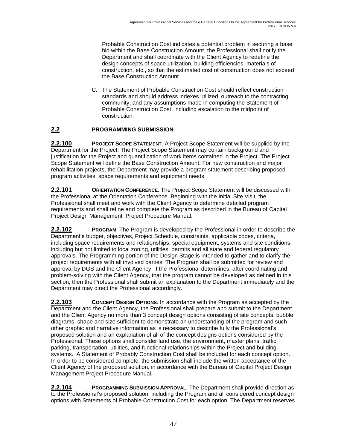Probable Construction Cost indicates a potential problem in securing a base bid within the Base Construction Amount, the Professional shall notify the Department and shall coordinate with the Client Agency to redefine the design concepts of space utilization, building efficiencies, materials of construction, etc., so that the estimated cost of construction does not exceed the Base Construction Amount.

C. The Statement of Probable Construction Cost should reflect construction standards and should address indexes utilized, outreach to the contracting community, and any assumptions made in computing the Statement of Probable Construction Cost, including escalation to the midpoint of construction.

### **2.2 PROGRAMMING SUBMISSION**

**2.2.100 PROJECT SCOPE STATEMENT**. A Project Scope Statement will be supplied by the Department for the Project. The Project Scope Statement may contain background and justification for the Project and quantification of work items contained in the Project. The Project Scope Statement will define the Base Construction Amount. For new construction and major rehabilitation projects, the Department may provide a program statement describing proposed program activities, space requirements and equipment needs.

**2.2.101 ORIENTATION CONFERENCE**. The Project Scope Statement will be discussed with the Professional at the Orientation Conference. Beginning with the Initial Site Visit, the Professional shall meet and work with the Client Agency to determine detailed program requirements and shall refine and complete the Program as described in the Bureau of Capital Project Design Management Project Procedure Manual.

**2.2.102 PROGRAM**. The Program is developed by the Professional in order to describe the Department's budget, objectives, Project Schedule, constraints, applicable codes, criteria, including space requirements and relationships, special equipment, systems and site conditions, including but not limited to local zoning, utilities, permits and all state and federal regulatory approvals. The Programming portion of the Design Stage is intended to gather and to clarify the project requirements with all involved parties. The Program shall be submitted for review and approval by DGS and the Client Agency. If the Professional determines, after coordinating and problem-solving with the Client Agency, that the program cannot be developed as defined in this section, then the Professional shall submit an explanation to the Department immediately and the Department may direct the Professional accordingly.

**2.2.103 CONCEPT DESIGN OPTIONS**. In accordance with the Program as accepted by the Department and the Client Agency, the Professional shall prepare and submit to the Department and the Client Agency no more than 3 concept design options consisting of site concepts, bubble diagrams, shape and size sufficient to demonstrate an understanding of the program and such other graphic and narrative information as is necessary to describe fully the Professional's proposed solution and an explanation of all of the concept designs options considered by the Professional. These options shall consider land use, the environment, master plans, traffic, parking, transportation, utilities, and functional relationships within the Project and building systems. A Statement of Probably Construction Cost shall be included for each concept option. In order to be considered complete, the submission shall include the written acceptance of the Client Agency of the proposed solution, in accordance with the Bureau of Capital Project Design Management Project Procedure Manual.

**2.2.104 PROGRAMMING SUBMISSION APPROVAL**. The Department shall provide direction as to the Professional's proposed solution, including the Program and all considered concept design options with Statements of Probable Construction Cost for each option. The Department reserves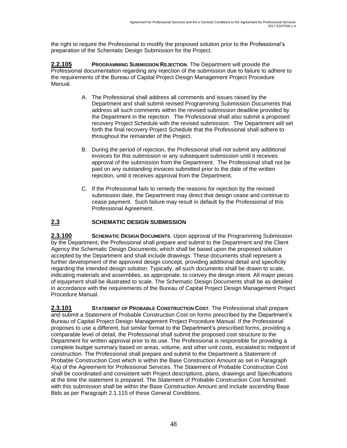the right to require the Professional to modify the proposed solution prior to the Professional's preparation of the Schematic Design Submission for the Project.

**2.2.105 PROGRAMMING SUBMISSION REJECTION**. The Department will provide the Professional documentation regarding any rejection of the submission due to failure to adhere to the requirements of the Bureau of Capital Project Design Management Project Procedure Manual.

- A. The Professional shall address all comments and issues raised by the Department and shall submit revised Programming Submission Documents that address all such comments within the revised submission deadline provided by the Department in the rejection. The Professional shall also submit a proposed recovery Project Schedule with the revised submission. The Department will set forth the final recovery Project Schedule that the Professional shall adhere to throughout the remainder of the Project.
- B. During the period of rejection, the Professional shall not submit any additional invoices for this submission or any subsequent submission until it receives approval of the submission from the Department. The Professional shall not be paid on any outstanding invoices submitted prior to the date of the written rejection, until it receives approval from the Department.
- C. If the Professional fails to remedy the reasons for rejection by the revised submission date, the Department may direct that design cease and continue to cease payment. Such failure may result in default by the Professional of this Professional Agreement.

### **2.3 SCHEMATIC DESIGN SUBMISSION**

**2.3.100 SCHEMATIC DESIGN DOCUMENTS**. Upon approval of the Programming Submission by the Department, the Professional shall prepare and submit to the Department and the Client Agency the Schematic Design Documents, which shall be based upon the proposed solution accepted by the Department and shall include drawings. These documents shall represent a further development of the approved design concept, providing additional detail and specificity regarding the intended design solution. Typically, all such documents shall be drawn to scale, indicating materials and assemblies, as appropriate, to convey the design intent. All major pieces of equipment shall be illustrated to scale. The Schematic Design Documents shall be as detailed in accordance with the requirements of the Bureau of Capital Project Design Management Project Procedure Manual.

**2.3.101 STATEMENT OF PROBABLE CONSTRUCTION COST**. The Professional shall prepare and submit a Statement of Probable Construction Cost on forms prescribed by the Department's Bureau of Capital Project Design Management Project Procedure Manual. If the Professional proposes to use a different, but similar format to the Department's prescribed forms, providing a comparable level of detail, the Professional shall submit the proposed cost structure to the Department for written approval prior to its use. The Professional is responsible for providing a complete budget summary based on areas, volume, and other unit costs, escalated to midpoint of construction. The Professional shall prepare and submit to the Department a Statement of Probable Construction Cost which is within the Base Construction Amount as set in Paragraph 4(a) of the Agreement for Professional Services. The Statement of Probable Construction Cost shall be coordinated and consistent with Project descriptions, plans, drawings and Specifications at the time the statement is prepared. The Statement of Probable Construction Cost furnished with this submission shall be within the Base Construction Amount and include ascending Base Bids as per Paragraph 2.1.115 of these General Conditions.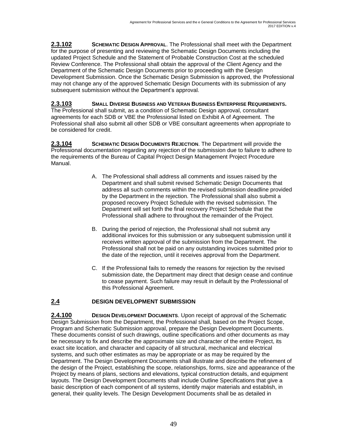**2.3.102 SCHEMATIC DESIGN APPROVAL**. The Professional shall meet with the Department for the purpose of presenting and reviewing the Schematic Design Documents including the updated Project Schedule and the Statement of Probable Construction Cost at the scheduled Review Conference. The Professional shall obtain the approval of the Client Agency and the Department of the Schematic Design Documents prior to proceeding with the Design Development Submission. Once the Schematic Design Submission is approved, the Professional may not change any of the approved Schematic Design Documents with its submission of any subsequent submission without the Department's approval.

**2.3.103 SMALL DIVERSE BUSINESS AND VETERAN BUSINESS ENTERPRISE REQUIREMENTS.**  The Professional shall submit, as a condition of Schematic Design approval, consultant agreements for each SDB or VBE the Professional listed on Exhibit A of Agreement. The Professional shall also submit all other SDB or VBE consultant agreements when appropriate to be considered for credit.

**2.3.104 SCHEMATIC DESIGN DOCUMENTS REJECTION**. The Department will provide the Professional documentation regarding any rejection of the submission due to failure to adhere to the requirements of the Bureau of Capital Project Design Management Project Procedure Manual.

- A. The Professional shall address all comments and issues raised by the Department and shall submit revised Schematic Design Documents that address all such comments within the revised submission deadline provided by the Department in the rejection. The Professional shall also submit a proposed recovery Project Schedule with the revised submission. The Department will set forth the final recovery Project Schedule that the Professional shall adhere to throughout the remainder of the Project.
- B. During the period of rejection, the Professional shall not submit any additional invoices for this submission or any subsequent submission until it receives written approval of the submission from the Department. The Professional shall not be paid on any outstanding invoices submitted prior to the date of the rejection, until it receives approval from the Department.
- C. If the Professional fails to remedy the reasons for rejection by the revised submission date, the Department may direct that design cease and continue to cease payment. Such failure may result in default by the Professional of this Professional Agreement.

### **2.4 DESIGN DEVELOPMENT SUBMISSION**

**2.4.100 DESIGN DEVELOPMENT DOCUMENTS.** Upon receipt of approval of the Schematic Design Submission from the Department, the Professional shall, based on the Project Scope, Program and Schematic Submission approval, prepare the Design Development Documents. These documents consist of such drawings, outline specifications and other documents as may be necessary to fix and describe the approximate size and character of the entire Project, its exact site location, and character and capacity of all structural, mechanical and electrical systems, and such other estimates as may be appropriate or as may be required by the Department. The Design Development Documents shall illustrate and describe the refinement of the design of the Project, establishing the scope, relationships, forms, size and appearance of the Project by means of plans, sections and elevations, typical construction details, and equipment layouts. The Design Development Documents shall include Outline Specifications that give a basic description of each component of all systems, identify major materials and establish, in general, their quality levels. The Design Development Documents shall be as detailed in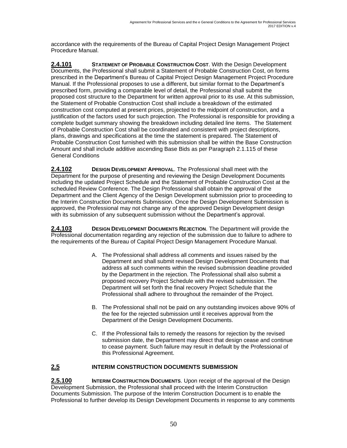accordance with the requirements of the Bureau of Capital Project Design Management Project Procedure Manual.

**2.4.101 STATEMENT OF PROBABLE CONSTRUCTION COST**. With the Design Development Documents, the Professional shall submit a Statement of Probable Construction Cost, on forms prescribed in the Department's Bureau of Capital Project Design Management Project Procedure Manual. If the Professional proposes to use a different, but similar format to the Department's prescribed form, providing a comparable level of detail, the Professional shall submit the proposed cost structure to the Department for written approval prior to its use. At this submission, the Statement of Probable Construction Cost shall include a breakdown of the estimated construction cost computed at present prices, projected to the midpoint of construction, and a justification of the factors used for such projection. The Professional is responsible for providing a complete budget summary showing the breakdown including detailed line items. The Statement of Probable Construction Cost shall be coordinated and consistent with project descriptions, plans, drawings and specifications at the time the statement is prepared. The Statement of Probable Construction Cost furnished with this submission shall be within the Base Construction Amount and shall include additive ascending Base Bids as per Paragraph 2.1.115 of these General Conditions

**2.4.102 DESIGN DEVELOPMENT APPROVAL**. The Professional shall meet with the Department for the purpose of presenting and reviewing the Design Development Documents including the updated Project Schedule and the Statement of Probable Construction Cost at the scheduled Review Conference. The Design Professional shall obtain the approval of the Department and the Client Agency of the Design Development submission prior to proceeding to the Interim Construction Documents Submission. Once the Design Development Submission is approved, the Professional may not change any of the approved Design Development design with its submission of any subsequent submission without the Department's approval.

**2.4.103 DESIGN DEVELOPMENT DOCUMENTS REJECTION**. The Department will provide the Professional documentation regarding any rejection of the submission due to failure to adhere to the requirements of the Bureau of Capital Project Design Management Procedure Manual.

- A. The Professional shall address all comments and issues raised by the Department and shall submit revised Design Development Documents that address all such comments within the revised submission deadline provided by the Department in the rejection. The Professional shall also submit a proposed recovery Project Schedule with the revised submission. The Department will set forth the final recovery Project Schedule that the Professional shall adhere to throughout the remainder of the Project.
- B. The Professional shall not be paid on any outstanding invoices above 90% of the fee for the rejected submission until it receives approval from the Department of the Design Development Documents.
- C. If the Professional fails to remedy the reasons for rejection by the revised submission date, the Department may direct that design cease and continue to cease payment. Such failure may result in default by the Professional of this Professional Agreement.

#### **2.5 INTERIM CONSTRUCTION DOCUMENTS SUBMISSION**

**2.5.100 INTERIM CONSTRUCTION DOCUMENTS**. Upon receipt of the approval of the Design Development Submission, the Professional shall proceed with the Interim Construction Documents Submission. The purpose of the Interim Construction Document is to enable the Professional to further develop its Design Development Documents in response to any comments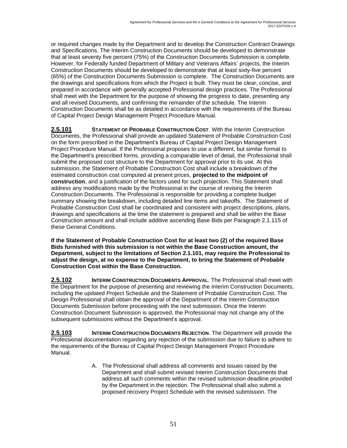or required changes made by the Department and to develop the Construction Contract Drawings and Specifications. The Interim Construction Documents should be developed to demonstrate that at least seventy five percent (75%) of the Construction Documents Submission is complete. However, for Federally funded Department of Military and Veterans Affairs' projects, the Interim Construction Documents should be developed to demonstrate that at least sixty-five percent (65%) of the Construction Documents Submission is complete. The Construction Documents are the drawings and specifications from which the Project is built. They must be clear, concise, and prepared in accordance with generally accepted Professional design practices. The Professional shall meet with the Department for the purpose of showing the progress to date, presenting any and all revised Documents, and confirming the remainder of the schedule. The Interim Construction Documents shall be as detailed in accordance with the requirements of the Bureau of Capital Project Design Management Project Procedure Manual.

**2.5.101 STATEMENT OF PROBABLE CONSTRUCTION COST**. With the Interim Construction Documents, the Professional shall provide an updated Statement of Probable Construction Cost on the form prescribed in the Department's Bureau of Capital Project Design Management Project Procedure Manual. If the Professional proposes to use a different, but similar format to the Department's prescribed forms, providing a comparable level of detail, the Professional shall submit the proposed cost structure to the Department for approval prior to its use. At this submission, the Statement of Probable Construction Cost shall include a breakdown of the estimated construction cost computed at present prices, **projected to the midpoint of construction**, and a justification of the factors used for such projection. This Statement shall address any modifications made by the Professional in the course of revising the Interim Construction Documents. The Professional is responsible for providing a complete budget summary showing the breakdown, including detailed line items and takeoffs. The Statement of Probable Construction Cost shall be coordinated and consistent with project descriptions, plans, drawings and specifications at the time the statement is prepared and shall be within the Base Construction amount and shall include additive ascending Base Bids per Paragraph 2.1.115 of these General Conditions.

**If the Statement of Probable Construction Cost for at least two (2) of the required Base Bids furnished with this submission is not within the Base Construction amount, the Department, subject to the limitations of Section 2.1.101, may require the Professional to adjust the design, at no expense to the Department, to bring the Statement of Probable Construction Cost within the Base Construction.** 

**2.5.102 INTERIM CONSTRUCTION DOCUMENTS APPROVAL**. The Professional shall meet with the Department for the purpose of presenting and reviewing the Interim Construction Documents, including the updated Project Schedule and the Statement of Probable Construction Cost. The Design Professional shall obtain the approval of the Department of the Interim Construction Documents Submission before proceeding with the next submission. Once the Interim Construction Document Submission is approved, the Professional may not change any of the subsequent submissions without the Department's approval.

**2.5.103 INTERIM CONSTRUCTION DOCUMENTS REJECTION**. The Department will provide the Professional documentation regarding any rejection of the submission due to failure to adhere to the requirements of the Bureau of Capital Project Design Management Project Procedure Manual.

> A. The Professional shall address all comments and issues raised by the Department and shall submit revised Interim Construction Documents that address all such comments within the revised submission deadline provided by the Department in the rejection. The Professional shall also submit a proposed recovery Project Schedule with the revised submission. The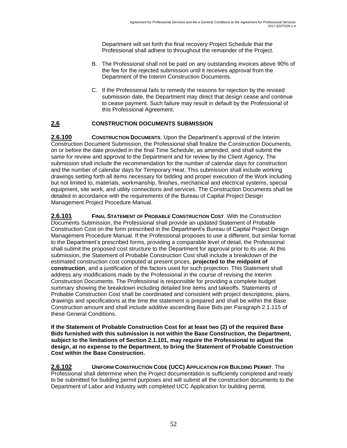Department will set forth the final recovery Project Schedule that the Professional shall adhere to throughout the remainder of the Project.

- B. The Professional shall not be paid on any outstanding invoices above 90% of the fee for the rejected submission until it receives approval from the Department of the Interim Construction Documents.
- C. If the Professional fails to remedy the reasons for rejection by the revised submission date, the Department may direct that design cease and continue to cease payment. Such failure may result in default by the Professional of this Professional Agreement.

#### **2.6 CONSTRUCTION DOCUMENTS SUBMISSION**

**2.6.100 CONSTRUCTION DOCUMENTS**. Upon the Department's approval of the Interim Construction Document Submission, the Professional shall finalize the Construction Documents, on or before the date provided in the final Time Schedule, as amended, and shall submit the same for review and approval to the Department and for review by the Client Agency. The submission shall include the recommendation for the number of calendar days for construction and the number of calendar days for Temporary Heat. This submission shall include working drawings setting forth all items necessary for bidding and proper execution of the Work including but not limited to, materials, workmanship, finishes, mechanical and electrical systems, special equipment, site work, and utility connections and services. The Construction Documents shall be detailed in accordance with the requirements of the Bureau of Capital Project Design Management Project Procedure Manual.

**2.6.101 FINAL STATEMENT OF PROBABLE CONSTRUCTION COST**. With the Construction Documents Submission, the Professional shall provide an updated Statement of Probable Construction Cost on the form prescribed in the Department's Bureau of Capital Project Design Management Procedure Manual. If the Professional proposes to use a different, but similar format to the Department's prescribed forms, providing a comparable level of detail, the Professional shall submit the proposed cost structure to the Department for approval prior to its use. At this submission, the Statement of Probable Construction Cost shall include a breakdown of the estimated construction cost computed at present prices, **projected to the midpoint of construction**, and a justification of the factors used for such projection. This Statement shall address any modifications made by the Professional in the course of revising the Interim Construction Documents. The Professional is responsible for providing a complete budget summary showing the breakdown including detailed line items and takeoffs. Statements of Probable Construction Cost shall be coordinated and consistent with project descriptions, plans, drawings and specifications at the time the statement is prepared and shall be within the Base Construction amount and shall include additive ascending Base Bids per Paragraph 2.1.115 of these General Conditions.

**If the Statement of Probable Construction Cost for at least two (2) of the required Base Bids furnished with this submission is not within the Base Construction, the Department, subject to the limitations of Section 2.1.101, may require the Professional to adjust the design, at no expense to the Department, to bring the Statement of Probable Construction Cost within the Base Construction.** 

**2.6.102 UNIFORM CONSTRUCTION CODE (UCC) APPLICATION FOR BUILDING PERMIT**. The Professional shall determine when the Project documentation is sufficiently completed and ready to be submitted for building permit purposes and will submit all the construction documents to the Department of Labor and Industry with completed UCC Application for building permit.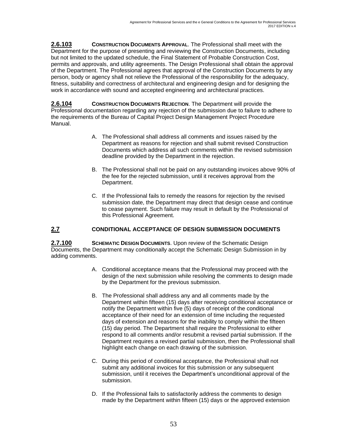**2.6.103 CONSTRUCTION DOCUMENTS APPROVAL**. The Professional shall meet with the Department for the purpose of presenting and reviewing the Construction Documents, including but not limited to the updated schedule, the Final Statement of Probable Construction Cost, permits and approvals, and utility agreements. The Design Professional shall obtain the approval of the Department. The Professional agrees that approval of the Construction Documents by any person, body or agency shall not relieve the Professional of the responsibility for the adequacy, fitness, suitability and correctness of architectural and engineering design and for designing the work in accordance with sound and accepted engineering and architectural practices.

**2.6.104 CONSTRUCTION DOCUMENTS REJECTION**. The Department will provide the Professional documentation regarding any rejection of the submission due to failure to adhere to the requirements of the Bureau of Capital Project Design Management Project Procedure Manual.

- A. The Professional shall address all comments and issues raised by the Department as reasons for rejection and shall submit revised Construction Documents which address all such comments within the revised submission deadline provided by the Department in the rejection.
- B. The Professional shall not be paid on any outstanding invoices above 90% of the fee for the rejected submission, until it receives approval from the Department.
- C. If the Professional fails to remedy the reasons for rejection by the revised submission date, the Department may direct that design cease and continue to cease payment. Such failure may result in default by the Professional of this Professional Agreement.

#### **2.7 CONDITIONAL ACCEPTANCE OF DESIGN SUBMISSION DOCUMENTS**

**2.7.100 SCHEMATIC DESIGN DOCUMENTS**. Upon review of the Schematic Design Documents, the Department may conditionally accept the Schematic Design Submission in by adding comments.

- A. Conditional acceptance means that the Professional may proceed with the design of the next submission while resolving the comments to design made by the Department for the previous submission.
- B. The Professional shall address any and all comments made by the Department within fifteen (15) days after receiving conditional acceptance or notify the Department within five (5) days of receipt of the conditional acceptance of their need for an extension of time including the requested days of extension and reasons for the inability to comply within the fifteen (15) day period. The Department shall require the Professional to either respond to all comments and/or resubmit a revised partial submission. If the Department requires a revised partial submission, then the Professional shall highlight each change on each drawing of the submission.
- C. During this period of conditional acceptance, the Professional shall not submit any additional invoices for this submission or any subsequent submission, until it receives the Department's unconditional approval of the submission.
- D. If the Professional fails to satisfactorily address the comments to design made by the Department within fifteen (15) days or the approved extension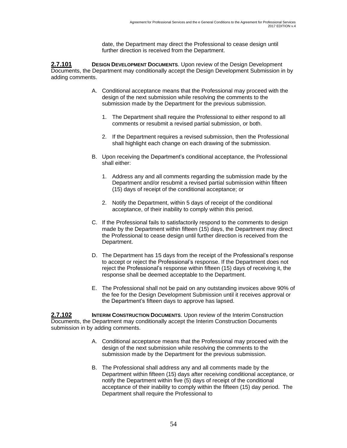date, the Department may direct the Professional to cease design until further direction is received from the Department.

**2.7.101 DESIGN DEVELOPMENT DOCUMENTS**. Upon review of the Design Development Documents, the Department may conditionally accept the Design Development Submission in by adding comments.

- A. Conditional acceptance means that the Professional may proceed with the design of the next submission while resolving the comments to the submission made by the Department for the previous submission.
	- 1. The Department shall require the Professional to either respond to all comments or resubmit a revised partial submission, or both.
	- 2. If the Department requires a revised submission, then the Professional shall highlight each change on each drawing of the submission.
- B. Upon receiving the Department's conditional acceptance, the Professional shall either:
	- 1. Address any and all comments regarding the submission made by the Department and/or resubmit a revised partial submission within fifteen (15) days of receipt of the conditional acceptance; or
	- 2. Notify the Department, within 5 days of receipt of the conditional acceptance, of their inability to comply within this period.
- C. If the Professional fails to satisfactorily respond to the comments to design made by the Department within fifteen (15) days, the Department may direct the Professional to cease design until further direction is received from the Department.
- D. The Department has 15 days from the receipt of the Professional's response to accept or reject the Professional's response. If the Department does not reject the Professional's response within fifteen (15) days of receiving it, the response shall be deemed acceptable to the Department.
- E. The Professional shall not be paid on any outstanding invoices above 90% of the fee for the Design Development Submission until it receives approval or the Department's fifteen days to approve has lapsed.

**2.7.102 INTERIM CONSTRUCTION DOCUMENTS**. Upon review of the Interim Construction Documents, the Department may conditionally accept the Interim Construction Documents submission in by adding comments.

- A. Conditional acceptance means that the Professional may proceed with the design of the next submission while resolving the comments to the submission made by the Department for the previous submission.
- B. The Professional shall address any and all comments made by the Department within fifteen (15) days after receiving conditional acceptance, or notify the Department within five (5) days of receipt of the conditional acceptance of their inability to comply within the fifteen (15) day period. The Department shall require the Professional to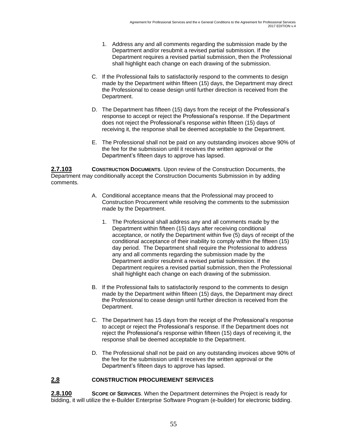- 1. Address any and all comments regarding the submission made by the Department and/or resubmit a revised partial submission. If the Department requires a revised partial submission, then the Professional shall highlight each change on each drawing of the submission.
- C. If the Professional fails to satisfactorily respond to the comments to design made by the Department within fifteen (15) days, the Department may direct the Professional to cease design until further direction is received from the Department.
- D. The Department has fifteen (15) days from the receipt of the Professional's response to accept or reject the Professional's response. If the Department does not reject the Professional's response within fifteen (15) days of receiving it, the response shall be deemed acceptable to the Department.
- E. The Professional shall not be paid on any outstanding invoices above 90% of the fee for the submission until it receives the written approval or the Department's fifteen days to approve has lapsed.

**2.7.103 CONSTRUCTION DOCUMENTS**. Upon review of the Construction Documents, the Department may conditionally accept the Construction Documents Submission in by adding comments.

- A. Conditional acceptance means that the Professional may proceed to Construction Procurement while resolving the comments to the submission made by the Department.
	- 1. The Professional shall address any and all comments made by the Department within fifteen (15) days after receiving conditional acceptance, or notify the Department within five (5) days of receipt of the conditional acceptance of their inability to comply within the fifteen (15) day period. The Department shall require the Professional to address any and all comments regarding the submission made by the Department and/or resubmit a revised partial submission. If the Department requires a revised partial submission, then the Professional shall highlight each change on each drawing of the submission.
- B. If the Professional fails to satisfactorily respond to the comments to design made by the Department within fifteen (15) days, the Department may direct the Professional to cease design until further direction is received from the Department.
- C. The Department has 15 days from the receipt of the Professional's response to accept or reject the Professional's response. If the Department does not reject the Professional's response within fifteen (15) days of receiving it, the response shall be deemed acceptable to the Department.
- D. The Professional shall not be paid on any outstanding invoices above 90% of the fee for the submission until it receives the written approval or the Department's fifteen days to approve has lapsed.

#### **2.8 CONSTRUCTION PROCUREMENT SERVICES**

**2.8.100 SCOPE OF SERVICES**. When the Department determines the Project is ready for bidding, it will utilize the e-Builder Enterprise Software Program (e-builder) for electronic bidding.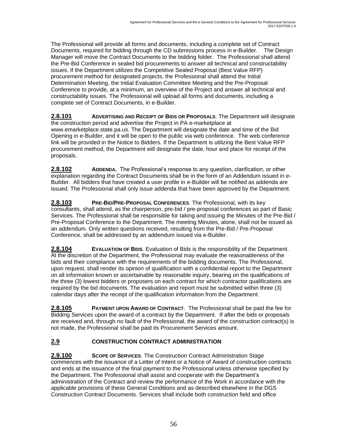The Professional will provide all forms and documents, including a complete set of Contract Documents, required for bidding through the CD submissions process in e-Builder. The Design Manager will move the Contract Documents to the bidding folder. The Professional shall attend the Pre-Bid Conference in sealed bid procurements to answer all technical and constructability issues. If the Department utilizes the Competitive Sealed Proposal (Best Value RFP) procurement method for designated projects, the Professional shall attend the Initial Determination Meeting, the Initial Evaluation Committee Meeting and the Pre-Proposal Conference to provide, at a minimum, an overview of the Project and answer all technical and constructability issues. The Professional will upload all forms and documents, including a complete set of Contract Documents, in e-Builder.

**2.8.101 ADVERTISING AND RECEIPT OF BIDS OR PROPOSALS**. The Department will designate the construction period and advertise the Project in PA e-marketplace at www.emarketplace.state.pa.us. The Department will designate the date and time of the Bid Opening in e-Builder, and it will be open to the public via web conference. The web conference link will be provided in the Notice to Bidders. If the Department is utilizing the Best Value RFP procurement method, the Department will designate the date, hour and place for receipt of the proposals.

**2.8.102 ADDENDA.** The Professional's response to any question, clarification, or other explanation regarding the Contract Documents shall be in the form of an Addendum issued in e-Builder. All bidders that have created a user profile in e-Builder will be notified as addenda are issued. The Professional shall only issue addenda that have been approved by the Department.

**2.8.103 PRE-BID/PRE-PROPOSAL CONFERENCES**. The Professional, with its key consultants, shall attend, as the chairperson, pre-bid / pre-proposal conferences as part of Basic Services. The Professional shall be responsible for taking and issuing the Minutes of the Pre-Bid / Pre-Proposal Conference to the Department. The meeting Minutes, alone, shall not be issued as an addendum. Only written questions received, resulting from the Pre-Bid / Pre-Proposal Conference, shall be addressed by an addendum issued via e-Builder.

**2.8.104 EVALUATION OF BIDS**. Evaluation of Bids is the responsibility of the Department. At the discretion of the Department, the Professional may evaluate the reasonableness of the bids and their compliance with the requirements of the bidding documents. The Professional, upon request, shall render its opinion of qualification with a confidential report to the Department on all information known or ascertainable by reasonable inquiry, bearing on the qualifications of the three (3) lowest bidders or proposers on each contract for which contractor qualifications are required by the bid documents. The evaluation and report must be submitted within three (3) calendar days after the receipt of the qualification information from the Department.

**2.8.105 PAYMENT UPON AWARD OF CONTRACT**. The Professional shall be paid the fee for Bidding Services upon the award of a contract by the Department. If after the bids or proposals are received and, through no fault of the Professional, the award of the construction contract(s) is not made, the Professional shall be paid its Procurement Services amount.

## **2.9 CONSTRUCTION CONTRACT ADMINISTRATION**

**2.9.100 SCOPE OF SERVICES**. The Construction Contract Administration Stage commences with the issuance of a Letter of Intent or a Notice of Award of construction contracts and ends at the issuance of the final payment to the Professional unless otherwise specified by the Department. The Professional shall assist and cooperate with the Department's administration of the Contract and review the performance of the Work in accordance with the applicable provisions of these General Conditions and as described elsewhere in the DGS Construction Contract Documents. Services shall include both construction field and office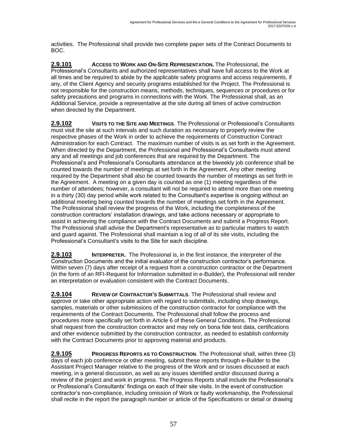activities. The Professional shall provide two complete paper sets of the Contract Documents to BOC.

**2.9.101 ACCESS TO WORK AND ON-SITE REPRESENTATION.** The Professional, the Professional's Consultants and authorized representatives shall have full access to the Work at all times and be required to abide by the applicable safety programs and access requirements, if any, of the Client Agency and security programs established for the Project. The Professional is not responsible for the construction means, methods, techniques, sequences or procedures or for safety precautions and programs in connections with the Work. The Professional shall, as an Additional Service, provide a representative at the site during all times of active construction when directed by the Department.

**2.9.102 VISITS TO THE SITE AND MEETINGS**. The Professional or Professional's Consultants must visit the site at such intervals and such duration as necessary to properly review the respective phases of the Work in order to achieve the requirements of Construction Contract Administration for each Contract. The maximum number of visits is as set forth in the Agreement. When directed by the Department, the Professional and Professional's Consultants must attend any and all meetings and job conferences that are required by the Department. The Professional's and Professional's Consultants attendance at the biweekly job conference shall be counted towards the number of meetings at set forth in the Agreement. Any other meeting required by the Department shall also be counted towards the number of meetings as set forth in the Agreement. A meeting on a given day is counted as one (1) meeting regardless of the number of attendees; however, a consultant will not be required to attend more than one meeting in a thirty (30) day period while work related to the Consultant's expertise is ongoing without an additional meeting being counted towards the number of meetings set forth in the Agreement. The Professional shall review the progress of the Work, including the completeness of the construction contractors' installation drawings, and take actions necessary or appropriate to assist in achieving the compliance with the Contract Documents and submit a Progress Report. The Professional shall advise the Department's representative as to particular matters to watch and guard against. The Professional shall maintain a log of all of its site visits, including the Professional's Consultant's visits to the Site for each discipline.

**2.9.103 INTERPRETER.** The Professional is, in the first instance, the interpreter of the Construction Documents and the initial evaluator of the construction contractor's performance. Within seven (7) days after receipt of a request from a construction contractor or the Department (in the form of an RFI-Request for Information submitted in e-Builder), the Professional will render an interpretation or evaluation consistent with the Contract Documents.

**2.9.104 REVIEW OF CONTRACTOR'S SUBMITTALS**. The Professional shall review and approve or take other appropriate action with regard to submittals, including shop drawings, samples, materials or other submissions of the construction contractor for compliance with the requirements of the Contract Documents. The Professional shall follow the process and procedures more specifically set forth in Article 6 of these General Conditions. The Professional shall request from the construction contractor and may rely on bona fide test data, certifications and other evidence submitted by the construction contractor, as needed to establish conformity with the Contract Documents prior to approving material and products.

**2.9.105 PROGRESS REPORTS AS TO CONSTRUCTION**. The Professional shall, within three (3) days of each job conference or other meeting, submit these reports through e-Builder to the Assistant Project Manager relative to the progress of the Work and or issues discussed at each meeting, in a general discussion, as well as any issues identified and/or discussed during a review of the project and work in progress. The Progress Reports shall include the Professional's or Professional's Consultants' findings on each of their site visits. In the event of construction contractor's non-compliance, including omission of Work or faulty workmanship, the Professional shall recite in the report the paragraph number or article of the Specifications or detail or drawing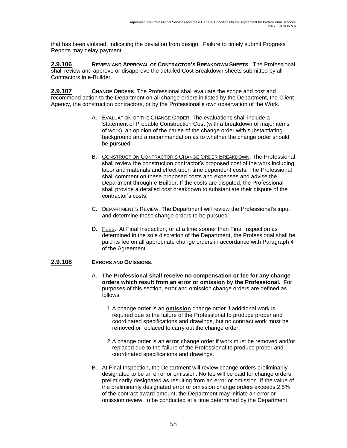that has been violated, indicating the deviation from design. Failure to timely submit Progress Reports may delay payment.

**2.9.106 REVIEW AND APPROVAL OF CONTRACTOR'S BREAKDOWN SHEETS**. The Professional shall review and approve or disapprove the detailed Cost Breakdown sheets submitted by all Contractors in e-Builder.

**2.9.107 CHANGE ORDERS**. The Professional shall evaluate the scope and cost and recommend action to the Department on all change orders initiated by the Department, the Client Agency, the construction contractors, or by the Professional's own observation of the Work.

- A. EVALUATION OF THE CHANGE ORDER. The evaluations shall include a Statement of Probable Construction Cost (with a breakdown of major items of work), an opinion of the cause of the change order with substantiating background and a recommendation as to whether the change order should be pursued.
- B. CONSTRUCTION CONTRACTOR'S CHANGE ORDER BREAKDOWN. The Professional shall review the construction contractor's proposed cost of the work including labor and materials and effect upon time dependent costs. The Professional shall comment on these proposed costs and expenses and advise the Department through e-Builder. If the costs are disputed, the Professional shall provide a detailed cost breakdown to substantiate their dispute of the contractor's costs.
- C. DEPARTMENT'S REVIEW. The Department will review the Professional's input and determine those change orders to be pursued.
- D. FEES. At Final Inspection, or at a time sooner than Final Inspection as determined in the sole discretion of the Department, the Professional shall be paid its fee on all appropriate change orders in accordance with Paragraph 4 of the Agreement.

#### **2.9.108 ERRORS AND OMISSIONS**.

- A. **The Professional shall receive no compensation or fee for any change orders which result from an error or omission by the Professional.** For purposes of this section, error and omission change orders are defined as follows.
	- 1.A change order is an **omission** change order if additional work is required due to the failure of the Professional to produce proper and coordinated specifications and drawings, but no contract work must be removed or replaced to carry out the change order.
	- 2.A change order is an **error** change order if work must be removed and/or replaced due to the failure of the Professional to produce proper and coordinated specifications and drawings.
- B. At Final Inspection, the Department will review change orders preliminarily designated to be an error or omission. No fee will be paid for change orders preliminarily designated as resulting from an error or omission. If the value of the preliminarily designated error or omission change orders exceeds 2.5% of the contract award amount, the Department may initiate an error or omission review, to be conducted at a time determined by the Department.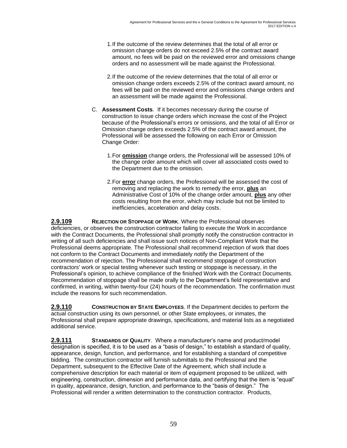- 1.If the outcome of the review determines that the total of all error or omission change orders do not exceed 2.5% of the contract award amount, no fees will be paid on the reviewed error and omissions change orders and no assessment will be made against the Professional.
- 2.If the outcome of the review determines that the total of all error or omission change orders exceeds 2.5% of the contract award amount, no fees will be paid on the reviewed error and omissions change orders and an assessment will be made against the Professional.
- C. **Assessment Costs**. If it becomes necessary during the course of construction to issue change orders which increase the cost of the Project because of the Professional's errors or omissions, and the total of all Error or Omission change orders exceeds 2.5% of the contract award amount, the Professional will be assessed the following on each Error or Omission Change Order:
	- 1.For **omission** change orders, the Professional will be assessed 10% of the change order amount which will cover all associated costs owed to the Department due to the omission.
	- 2.For **error** change orders, the Professional will be assessed the cost of removing and replacing the work to remedy the error, **plus** an Administrative Cost of 10% of the change order amount, **plus** any other costs resulting from the error, which may include but not be limited to inefficiencies, acceleration and delay costs.

**2.9.109 REJECTION OR STOPPAGE OF WORK**. Where the Professional observes deficiencies, or observes the construction contractor failing to execute the Work in accordance with the Contract Documents, the Professional shall promptly notify the construction contractor in writing of all such deficiencies and shall issue such notices of Non-Compliant Work that the Professional deems appropriate. The Professional shall recommend rejection of work that does not conform to the Contract Documents and immediately notify the Department of the recommendation of rejection. The Professional shall recommend stoppage of construction contractors' work or special testing whenever such testing or stoppage is necessary, in the Professional's opinion, to achieve compliance of the finished Work with the Contract Documents. Recommendation of stoppage shall be made orally to the Department's field representative and confirmed, in writing, within twenty-four (24) hours of the recommendation. The confirmation must include the reasons for such recommendation.

**2.9.110 CONSTRUCTION BY STATE EMPLOYEES**. If the Department decides to perform the actual construction using its own personnel, or other State employees, or inmates, the Professional shall prepare appropriate drawings, specifications, and material lists as a negotiated additional service.

**2.9.111 STANDARDS OF QUALITY**. Where a manufacturer's name and product/model designation is specified, it is to be used as a "basis of design," to establish a standard of quality, appearance, design, function, and performance, and for establishing a standard of competitive bidding. The construction contractor will furnish submittals to the Professional and the Department, subsequent to the Effective Date of the Agreement, which shall include a comprehensive description for each material or item of equipment proposed to be utilized, with engineering, construction, dimension and performance data, and certifying that the item is "equal" in quality, appearance, design, function, and performance to the "basis of design." The Professional will render a written determination to the construction contractor. Products,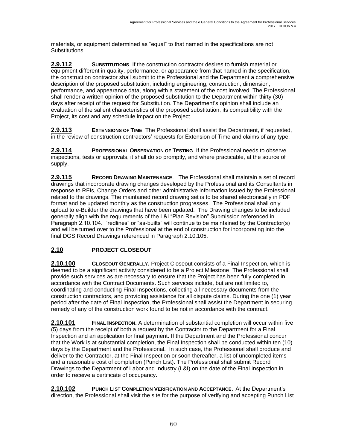materials, or equipment determined as "equal" to that named in the specifications are not Substitutions.

**2.9.112 SUBSTITUTIONS**. If the construction contractor desires to furnish material or equipment different in quality, performance, or appearance from that named in the specification, the construction contractor shall submit to the Professional and the Department a comprehensive description of the proposed substitution, including engineering, construction, dimension, performance, and appearance data, along with a statement of the cost involved. The Professional shall render a written opinion of the proposed substitution to the Department within thirty (30) days after receipt of the request for Substitution. The Department's opinion shall include an evaluation of the salient characteristics of the proposed substitution, its compatibility with the Project, its cost and any schedule impact on the Project.

**2.9.113 EXTENSIONS OF TIME**. The Professional shall assist the Department, if requested, in the review of construction contractors' requests for Extension of Time and claims of any type.

**2.9.114 PROFESSIONAL OBSERVATION OF TESTING**. If the Professional needs to observe inspections, tests or approvals, it shall do so promptly, and where practicable, at the source of supply.

**2.9.115 RECORD DRAWING MAINTENANCE**. The Professional shall maintain a set of record drawings that incorporate drawing changes developed by the Professional and its Consultants in response to RFIs, Change Orders and other administrative information issued by the Professional related to the drawings. The maintained record drawing set is to be shared electronically in PDF format and be updated monthly as the construction progresses. The Professional shall only upload to e-Builder the drawings that have been updated. The Drawing changes to be included generally align with the requirements of the L&I "Plan Revision" Submission referenced in Paragraph 2.10.104. "redlines" or "as-builts" will continue to be maintained by the Contractor(s) and will be turned over to the Professional at the end of construction for incorporating into the final DGS Record Drawings referenced in Paragraph 2.10.105.

### **2.10 PROJECT CLOSEOUT**

**2.10.100 CLOSEOUT GENERALLY.** Project Closeout consists of a Final Inspection, which is deemed to be a significant activity considered to be a Project Milestone. The Professional shall provide such services as are necessary to ensure that the Project has been fully completed in accordance with the Contract Documents. Such services include, but are not limited to, coordinating and conducting Final Inspections, collecting all necessary documents from the construction contractors, and providing assistance for all dispute claims. During the one (1) year period after the date of Final Inspection, the Professional shall assist the Department in securing remedy of any of the construction work found to be not in accordance with the contract.

**2.10.101 FINAL INSPECTION.** A determination of substantial completion will occur within five (5) days from the receipt of both a request by the Contractor to the Department for a Final Inspection and an application for final payment. If the Department and the Professional concur that the Work is at substantial completion, the Final Inspection shall be conducted within ten (10) days by the Department and the Professional. In such case, the Professional shall produce and deliver to the Contractor, at the Final Inspection or soon thereafter, a list of uncompleted items and a reasonable cost of completion (Punch List). The Professional shall submit Record Drawings to the Department of Labor and Industry (L&I) on the date of the Final Inspection in order to receive a certificate of occupancy.

**2.10.102 PUNCH LIST COMPLETION VERIFICATION AND ACCEPTANCE.** At the Department's direction, the Professional shall visit the site for the purpose of verifying and accepting Punch List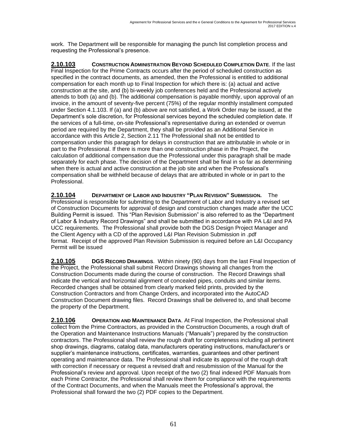work. The Department will be responsible for managing the punch list completion process and requesting the Professional's presence.

**2.10.103 CONSTRUCTION ADMINISTRATION BEYOND SCHEDULED COMPLETION DATE**. If the last Final Inspection for the Prime Contracts occurs after the period of scheduled construction as specified in the contract documents, as amended, then the Professional is entitled to additional compensation for each month up to Final Inspection for which there is: (a) actual and active construction at the site, and (b) bi-weekly job conferences held and the Professional actively attends to both (a) and (b). The additional compensation is payable monthly, upon approval of an invoice, in the amount of seventy-five percent (75%) of the regular monthly installment computed under Section 4.1.103. If (a) and (b) above are not satisfied, a Work Order may be issued, at the Department's sole discretion, for Professional services beyond the scheduled completion date. If the services of a full-time, on-site Professional's representative during an extended or overrun period are required by the Department, they shall be provided as an Additional Service in accordance with this Article 2, Section 2.11 The Professional shall not be entitled to compensation under this paragraph for delays in construction that are attributable in whole or in part to the Professional. If there is more than one construction phase in the Project, the calculation of additional compensation due the Professional under this paragraph shall be made separately for each phase. The decision of the Department shall be final in so far as determining when there is actual and active construction at the job site and when the Professional's compensation shall be withheld because of delays that are attributed in whole or in part to the Professional.

**2.10.104 DEPARTMENT OF LABOR AND INDUSTRY "PLAN REVISION" SUBMISSION.** The Professional is responsible for submitting to the Department of Labor and Industry a revised set of Construction Documents for approval of design and construction changes made after the UCC Building Permit is issued. This "Plan Revision Submission" is also referred to as the "Department of Labor & Industry Record Drawings" and shall be submitted in accordance with PA L&I and PA UCC requirements. The Professional shall provide both the DGS Design Project Manager and the Client Agency with a CD of the approved L&I Plan Revision Submission in .pdf format. Receipt of the approved Plan Revision Submission is required before an L&I Occupancy Permit will be issued

**2.10.105 DGS RECORD DRAWINGS**. Within ninety (90) days from the last Final Inspection of the Project, the Professional shall submit Record Drawings showing all changes from the Construction Documents made during the course of construction. The Record Drawings shall indicate the vertical and horizontal alignment of concealed pipes, conduits and similar items. Recorded changes shall be obtained from clearly marked field prints, provided by the Construction Contractors and from Change Orders, and incorporated into the AutoCAD Construction Document drawing files. Record Drawings shall be delivered to, and shall become the property of the Department.

**2.10.106 OPERATION AND MAINTENANCE DATA**. At Final Inspection, the Professional shall collect from the Prime Contractors, as provided in the Construction Documents, a rough draft of the Operation and Maintenance Instructions Manuals ("Manuals") prepared by the construction contractors. The Professional shall review the rough draft for completeness including all pertinent shop drawings, diagrams, catalog data, manufacturers operating instructions, manufacturer's or supplier's maintenance instructions, certificates, warranties, guarantees and other pertinent operating and maintenance data. The Professional shall indicate its approval of the rough draft with correction if necessary or request a revised draft and resubmission of the Manual for the Professional's review and approval. Upon receipt of the two (2) final indexed PDF Manuals from each Prime Contractor, the Professional shall review them for compliance with the requirements of the Contract Documents, and when the Manuals meet the Professional's approval, the Professional shall forward the two (2) PDF copies to the Department.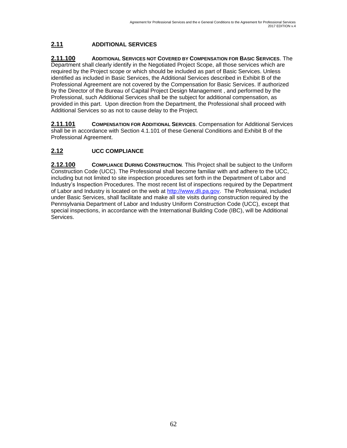# **2.11 ADDITIONAL SERVICES**

**2.11.100 ADDITIONAL SERVICES NOT COVERED BY COMPENSATION FOR BASIC SERVICES**. The Department shall clearly identify in the Negotiated Project Scope, all those services which are required by the Project scope or which should be included as part of Basic Services. Unless identified as included in Basic Services, the Additional Services described in Exhibit B of the Professional Agreement are not covered by the Compensation for Basic Services. If authorized by the Director of the Bureau of Capital Project Design Management , and performed by the Professional, such Additional Services shall be the subject for additional compensation, as provided in this part. Upon direction from the Department, the Professional shall proceed with Additional Services so as not to cause delay to the Project.

**2.11.101 COMPENSATION FOR ADDITIONAL SERVICES**. Compensation for Additional Services shall be in accordance with Section 4.1.101 of these General Conditions and Exhibit B of the Professional Agreement.

## **2.12 UCC COMPLIANCE**

**2.12.100 COMPLIANCE DURING CONSTRUCTION**. This Project shall be subject to the Uniform Construction Code (UCC). The Professional shall become familiar with and adhere to the UCC, including but not limited to site inspection procedures set forth in the Department of Labor and Industry's Inspection Procedures. The most recent list of inspections required by the Department of Labor and Industry is located on the web at [http://www.dli.pa.gov.](http://www.dli.pa.gov/) The Professional, included under Basic Services, shall facilitate and make all site visits during construction required by the Pennsylvania Department of Labor and Industry Uniform Construction Code (UCC), except that special inspections, in accordance with the International Building Code (IBC), will be Additional Services.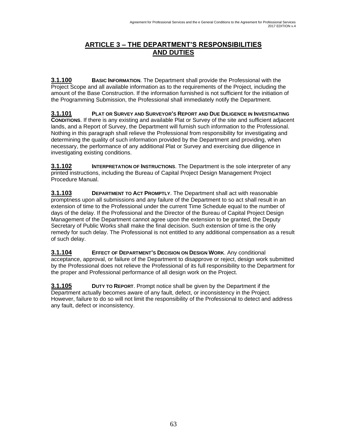## **ARTICLE 3 – THE DEPARTMENT'S RESPONSIBILITIES AND DUTIES**

**3.1.100 BASIC INFORMATION**. The Department shall provide the Professional with the Project Scope and all available information as to the requirements of the Project, including the amount of the Base Construction. If the information furnished is not sufficient for the initiation of the Programming Submission, the Professional shall immediately notify the Department.

**3.1.101 PLAT OR SURVEY AND SURVEYOR'S REPORT AND DUE DILIGENCE IN INVESTIGATING CONDITIONS**. If there is any existing and available Plat or Survey of the site and sufficient adjacent lands, and a Report of Survey, the Department will furnish such information to the Professional. Nothing in this paragraph shall relieve the Professional from responsibility for investigating and determining the quality of such information provided by the Department and providing, when necessary, the performance of any additional Plat or Survey and exercising due diligence in investigating existing conditions.

**3.1.102 INTERPRETATION OF INSTRUCTIONS**. The Department is the sole interpreter of any printed instructions, including the Bureau of Capital Project Design Management Project Procedure Manual.

**3.1.103 DEPARTMENT TO ACT PROMPTLY**. The Department shall act with reasonable promptness upon all submissions and any failure of the Department to so act shall result in an extension of time to the Professional under the current Time Schedule equal to the number of days of the delay. If the Professional and the Director of the Bureau of Capital Project Design Management of the Department cannot agree upon the extension to be granted, the Deputy Secretary of Public Works shall make the final decision. Such extension of time is the only remedy for such delay. The Professional is not entitled to any additional compensation as a result of such delay.

**3.1.104 EFFECT OF DEPARTMENT'S DECISION ON DESIGN WORK**. Any conditional acceptance, approval, or failure of the Department to disapprove or reject, design work submitted by the Professional does not relieve the Professional of its full responsibility to the Department for the proper and Professional performance of all design work on the Project.

**3.1.105 DUTY TO REPORT**. Prompt notice shall be given by the Department if the Department actually becomes aware of any fault, defect, or inconsistency in the Project. However, failure to do so will not limit the responsibility of the Professional to detect and address any fault, defect or inconsistency.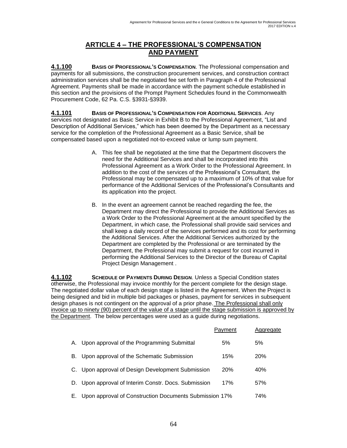## **ARTICLE 4 – THE PROFESSIONAL'S COMPENSATION AND PAYMENT**

**4.1.100 BASIS OF PROFESSIONAL'S COMPENSATION**. The Professional compensation and payments for all submissions, the construction procurement services, and construction contract administration services shall be the negotiated fee set forth in Paragraph 4 of the Professional Agreement. Payments shall be made in accordance with the payment schedule established in this section and the provisions of the Prompt Payment Schedules found in the Commonwealth Procurement Code, 62 Pa. C.S. §3931-§3939.

**4.1.101 BASIS OF PROFESSIONAL'S COMPENSATION FOR ADDITIONAL SERVICES**. Any services not designated as Basic Service in Exhibit B to the Professional Agreement, "List and Description of Additional Services," which has been deemed by the Department as a necessary service for the completion of the Professional Agreement as a Basic Service, shall be compensated based upon a negotiated not-to-exceed value or lump sum payment.

- A. This fee shall be negotiated at the time that the Department discovers the need for the Additional Services and shall be incorporated into this Professional Agreement as a Work Order to the Professional Agreement. In addition to the cost of the services of the Professional's Consultant, the Professional may be compensated up to a maximum of 10% of that value for performance of the Additional Services of the Professional's Consultants and its application into the project.
- B. In the event an agreement cannot be reached regarding the fee, the Department may direct the Professional to provide the Additional Services as a Work Order to the Professional Agreement at the amount specified by the Department, in which case, the Professional shall provide said services and shall keep a daily record of the services performed and its cost for performing the Additional Services. After the Additional Services authorized by the Department are completed by the Professional or are terminated by the Department, the Professional may submit a request for cost incurred in performing the Additional Services to the Director of the Bureau of Capital Project Design Management .

**4.1.102 SCHEDULE OF PAYMENTS DURING DESIGN**. Unless a Special Condition states otherwise, the Professional may invoice monthly for the percent complete for the design stage. The negotiated dollar value of each design stage is listed in the Agreement. When the Project is being designed and bid in multiple bid packages or phases, payment for services in subsequent design phases is not contingent on the approval of a prior phase. The Professional shall only invoice up to ninety (90) percent of the value of a stage until the stage submission is approved by the Department. The below percentages were used as a guide during negotiations.

|    |                                                        | Payment    | Aggregate  |  |
|----|--------------------------------------------------------|------------|------------|--|
|    | A. Upon approval of the Programming Submittal          | 5%         | 5%         |  |
|    | B. Upon approval of the Schematic Submission           | 15%        | <b>20%</b> |  |
|    | C. Upon approval of Design Development Submission      | <b>20%</b> | 40%        |  |
|    | D. Upon approval of Interim Constr. Docs. Submission   | 17%        | 57%        |  |
| Е. | Upon approval of Construction Documents Submission 17% |            | 74%        |  |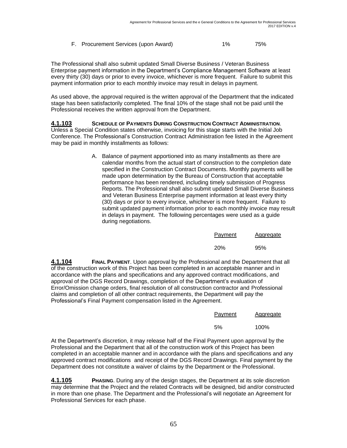| F. Procurement Services (upon Award) | $1\%$ | 75% |
|--------------------------------------|-------|-----|

The Professional shall also submit updated Small Diverse Business / Veteran Business Enterprise payment information in the Department's Compliance Management Software at least every thirty (30) days or prior to every invoice, whichever is more frequent. Failure to submit this payment information prior to each monthly invoice may result in delays in payment.

As used above, the approval required is the written approval of the Department that the indicated stage has been satisfactorily completed. The final 10% of the stage shall not be paid until the Professional receives the written approval from the Department.

#### **4.1.103 SCHEDULE OF PAYMENTS DURING CONSTRUCTION CONTRACT ADMINISTRATION**. Unless a Special Condition states otherwise, invoicing for this stage starts with the Initial Job Conference. The Professional's Construction Contract Administration fee listed in the Agreement may be paid in monthly installments as follows:

A. Balance of payment apportioned into as many installments as there are calendar months from the actual start of construction to the completion date specified in the Construction Contract Documents. Monthly payments will be made upon determination by the Bureau of Construction that acceptable performance has been rendered, including timely submission of Progress Reports. The Professional shall also submit updated Small Diverse Business and Veteran Business Enterprise payment information at least every thirty (30) days or prior to every invoice, whichever is more frequent. Failure to submit updated payment information prior to each monthly invoice may result in delays in payment. The following percentages were used as a guide during negotiations.

| Payment    | Aggregate |
|------------|-----------|
| <b>20%</b> | 95%       |

**4.1.104 FINAL PAYMENT**. Upon approval by the Professional and the Department that all of the construction work of this Project has been completed in an acceptable manner and in accordance with the plans and specifications and any approved contract modifications, and approval of the DGS Record Drawings, completion of the Department's evaluation of Error/Omission change orders, final resolution of all construction contractor and Professional claims and completion of all other contract requirements, the Department will pay the Professional's Final Payment compensation listed in the Agreement.

| Payment | Aggregate |
|---------|-----------|
|         |           |

5% 100%

At the Department's discretion, it may release half of the Final Payment upon approval by the Professional and the Department that all of the construction work of this Project has been completed in an acceptable manner and in accordance with the plans and specifications and any approved contract modifications and receipt of the DGS Record Drawings. Final payment by the Department does not constitute a waiver of claims by the Department or the Professional.

**4.1.105 PHASING**. During any of the design stages, the Department at its sole discretion may determine that the Project and the related Contracts will be designed, bid and/or constructed in more than one phase. The Department and the Professional's will negotiate an Agreement for Professional Services for each phase.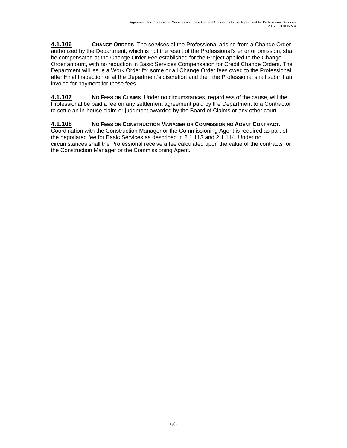**4.1.106 CHANGE ORDERS**. The services of the Professional arising from a Change Order authorized by the Department, which is not the result of the Professional's error or omission, shall be compensated at the Change Order Fee established for the Project applied to the Change Order amount, with no reduction in Basic Services Compensation for Credit Change Orders. The Department will issue a Work Order for some or all Change Order fees owed to the Professional after Final Inspection or at the Department's discretion and then the Professional shall submit an invoice for payment for these fees.

**4.1.107 NO FEES ON CLAIMS**. Under no circumstances, regardless of the cause, will the Professional be paid a fee on any settlement agreement paid by the Department to a Contractor to settle an in-house claim or judgment awarded by the Board of Claims or any other court.

### **4.1.108 NO FEES ON CONSTRUCTION MANAGER OR COMMISSIONING AGENT CONTRACT**.

Coordination with the Construction Manager or the Commissioning Agent is required as part of the negotiated fee for Basic Services as described in 2.1.113 and 2.1.114. Under no circumstances shall the Professional receive a fee calculated upon the value of the contracts for the Construction Manager or the Commissioning Agent.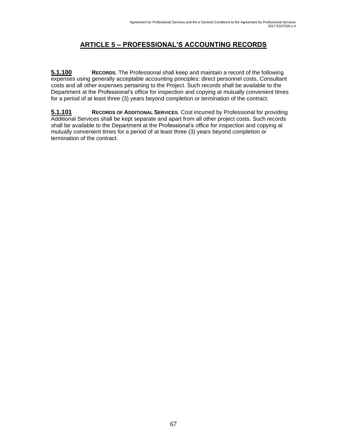# **ARTICLE 5 – PROFESSIONAL'S ACCOUNTING RECORDS**

**5.1.100 RECORDS**. The Professional shall keep and maintain a record of the following expenses using generally acceptable accounting principles: direct personnel costs, Consultant costs and all other expenses pertaining to the Project. Such records shall be available to the Department at the Professional's office for inspection and copying at mutually convenient times for a period of at least three (3) years beyond completion or termination of the contract.

**5.1.101 RECORDS OF ADDITIONAL SERVICES**. Cost incurred by Professional for providing Additional Services shall be kept separate and apart from all other project costs. Such records shall be available to the Department at the Professional's office for inspection and copying at mutually convenient times for a period of at least three (3) years beyond completion or termination of the contract.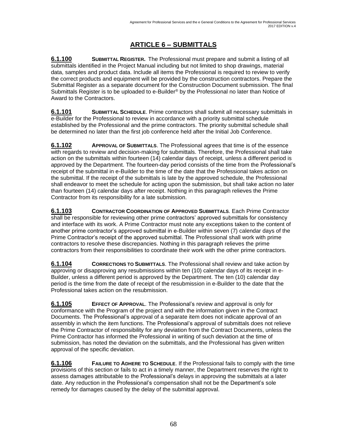# **ARTICLE 6 – SUBMITTALS**

**6.1.100 SUBMITTAL REGISTER.** The Professional must prepare and submit a listing of all submittals identified in the Project Manual including but not limited to shop drawings, material data, samples and product data. Include all items the Professional is required to review to verify the correct products and equipment will be provided by the construction contractors. Prepare the Submittal Register as a separate document for the Construction Document submission. The final Submittals Register is to be uploaded to e-Builder® by the Professional no later than Notice of Award to the Contractors.

**6.1.101 SUBMITTAL SCHEDULE**. Prime contractors shall submit all necessary submittals in e-Builder for the Professional to review in accordance with a priority submittal schedule established by the Professional and the prime contractors. The priority submittal schedule shall be determined no later than the first job conference held after the Initial Job Conference.

**6.1.102 APPROVAL OF SUBMITTALS**. The Professional agrees that time is of the essence with regards to review and decision-making for submittals. Therefore, the Professional shall take action on the submittals within fourteen (14) calendar days of receipt, unless a different period is approved by the Department. The fourteen-day period consists of the time from the Professional's receipt of the submittal in e-Builder to the time of the date that the Professional takes action on the submittal. If the receipt of the submittals is late by the approved schedule, the Professional shall endeavor to meet the schedule for acting upon the submission, but shall take action no later than fourteen (14) calendar days after receipt. Nothing in this paragraph relieves the Prime Contractor from its responsibility for a late submission.

**6.1.103 CONTRACTOR COORDINATION OF APPROVED SUBMITTALS**. Each Prime Contractor shall be responsible for reviewing other prime contractors' approved submittals for consistency and interface with its work. A Prime Contractor must note any exceptions taken to the content of another prime contractor's approved submittal in e-Builder within seven (7) calendar days of the Prime Contractor's receipt of the approved submittal. The Professional shall work with prime contractors to resolve these discrepancies. Nothing in this paragraph relieves the prime contractors from their responsibilities to coordinate their work with the other prime contractors.

**6.1.104 CORRECTIONS TO SUBMITTALS**. The Professional shall review and take action by approving or disapproving any resubmissions within ten (10) calendar days of its receipt in e-Builder, unless a different period is approved by the Department. The ten (10) calendar day period is the time from the date of receipt of the resubmission in e-Builder to the date that the Professional takes action on the resubmission.

**6.1.105 EFFECT OF APPROVAL**. The Professional's review and approval is only for conformance with the Program of the project and with the information given in the Contract Documents. The Professional's approval of a separate item does not indicate approval of an assembly in which the item functions. The Professional's approval of submittals does not relieve the Prime Contractor of responsibility for any deviation from the Contract Documents, unless the Prime Contractor has informed the Professional in writing of such deviation at the time of submission, has noted the deviation on the submittals, and the Professional has given written approval of the specific deviation.

**6.1.106 FAILURE TO ADHERE TO SCHEDULE**. If the Professional fails to comply with the time provisions of this section or fails to act in a timely manner, the Department reserves the right to assess damages attributable to the Professional's delays in approving the submittals at a later date. Any reduction in the Professional's compensation shall not be the Department's sole remedy for damages caused by the delay of the submittal approval.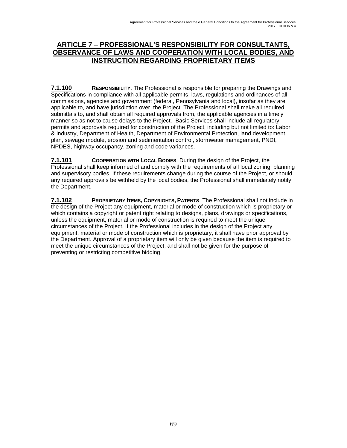### **ARTICLE 7 – PROFESSIONAL'S RESPONSIBILITY FOR CONSULTANTS, OBSERVANCE OF LAWS AND COOPERATION WITH LOCAL BODIES, AND INSTRUCTION REGARDING PROPRIETARY ITEMS**

**7.1.100 RESPONSIBILITY**. The Professional is responsible for preparing the Drawings and Specifications in compliance with all applicable permits, laws, regulations and ordinances of all commissions, agencies and government (federal, Pennsylvania and local), insofar as they are applicable to, and have jurisdiction over, the Project. The Professional shall make all required submittals to, and shall obtain all required approvals from, the applicable agencies in a timely manner so as not to cause delays to the Project. Basic Services shall include all regulatory permits and approvals required for construction of the Project, including but not limited to: Labor & Industry, Department of Health, Department of Environmental Protection, land development plan, sewage module, erosion and sedimentation control, stormwater management, PNDI, NPDES, highway occupancy, zoning and code variances.

**7.1.101 COOPERATION WITH LOCAL BODIES.** During the design of the Project, the Professional shall keep informed of and comply with the requirements of all local zoning, planning and supervisory bodies. If these requirements change during the course of the Project, or should any required approvals be withheld by the local bodies, the Professional shall immediately notify the Department.

**7.1.102 PROPRIETARY ITEMS, COPYRIGHTS, PATENTS**. The Professional shall not include in the design of the Project any equipment, material or mode of construction which is proprietary or which contains a copyright or patent right relating to designs, plans, drawings or specifications, unless the equipment, material or mode of construction is required to meet the unique circumstances of the Project. If the Professional includes in the design of the Project any equipment, material or mode of construction which is proprietary, it shall have prior approval by the Department. Approval of a proprietary item will only be given because the item is required to meet the unique circumstances of the Project, and shall not be given for the purpose of preventing or restricting competitive bidding.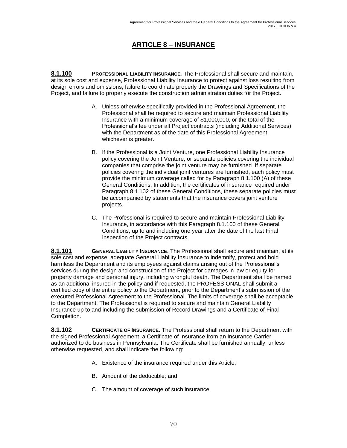# **ARTICLE 8 – INSURANCE**

**8.1.100 PROFESSIONAL LIABILITY INSURANCE***.* The Professional shall secure and maintain, at its sole cost and expense, Professional Liability Insurance to protect against loss resulting from design errors and omissions, failure to coordinate properly the Drawings and Specifications of the Project, and failure to properly execute the construction administration duties for the Project.

- A. Unless otherwise specifically provided in the Professional Agreement, the Professional shall be required to secure and maintain Professional Liability Insurance with a minimum coverage of \$1,000,000, or the total of the Professional's fee under all Project contracts (including Additional Services) with the Department as of the date of this Professional Agreement, whichever is greater.
- B. If the Professional is a Joint Venture, one Professional Liability Insurance policy covering the Joint Venture, or separate policies covering the individual companies that comprise the joint venture may be furnished. If separate policies covering the individual joint ventures are furnished, each policy must provide the minimum coverage called for by Paragraph 8.1.100 (A) of these General Conditions. In addition, the certificates of insurance required under Paragraph 8.1.102 of these General Conditions, these separate policies must be accompanied by statements that the insurance covers joint venture projects.
- C. The Professional is required to secure and maintain Professional Liability Insurance, in accordance with this Paragraph 8.1.100 of these General Conditions, up to and including one year after the date of the last Final Inspection of the Project contracts.

**8.1.101 GENERAL LIABILITY INSURANCE**. The Professional shall secure and maintain, at its sole cost and expense, adequate General Liability Insurance to indemnify, protect and hold harmless the Department and its employees against claims arising out of the Professional's services during the design and construction of the Project for damages in law or equity for property damage and personal injury, including wrongful death. The Department shall be named as an additional insured in the policy and if requested, the PROFESSIONAL shall submit a certified copy of the entire policy to the Department, prior to the Department's submission of the executed Professional Agreement to the Professional. The limits of coverage shall be acceptable to the Department. The Professional is required to secure and maintain General Liability Insurance up to and including the submission of Record Drawings and a Certificate of Final Completion.

**8.1.102 CERTIFICATE OF INSURANCE**. The Professional shall return to the Department with the signed Professional Agreement, a Certificate of Insurance from an Insurance Carrier authorized to do business in Pennsylvania. The Certificate shall be furnished annually, unless otherwise requested, and shall indicate the following:

- A. Existence of the insurance required under this Article;
- B. Amount of the deductible; and
- C. The amount of coverage of such insurance.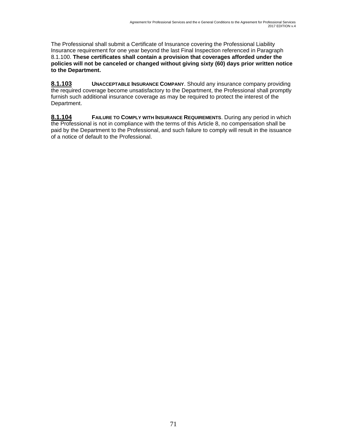The Professional shall submit a Certificate of Insurance covering the Professional Liability Insurance requirement for one year beyond the last Final Inspection referenced in Paragraph 8.1.100. **These certificates shall contain a provision that coverages afforded under the policies will not be canceled or changed without giving sixty (60) days prior written notice to the Department.**

**8.1.103 UNACCEPTABLE INSURANCE COMPANY**. Should any insurance company providing the required coverage become unsatisfactory to the Department, the Professional shall promptly furnish such additional insurance coverage as may be required to protect the interest of the Department.

**8.1.104 FAILURE TO COMPLY WITH INSURANCE REQUIREMENTS**. During any period in which the Professional is not in compliance with the terms of this Article 8, no compensation shall be paid by the Department to the Professional, and such failure to comply will result in the issuance of a notice of default to the Professional.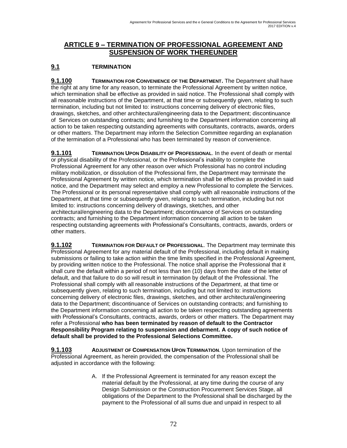## **ARTICLE 9 – TERMINATION OF PROFESSIONAL AGREEMENT AND SUSPENSION OF WORK THEREUNDER**

## **9.1 TERMINATION**

**9.1.100 TERMINATION FOR CONVENIENCE OF THE DEPARTMENT.** The Department shall have the right at any time for any reason, to terminate the Professional Agreement by written notice, which termination shall be effective as provided in said notice. The Professional shall comply with all reasonable instructions of the Department, at that time or subsequently given, relating to such termination, including but not limited to: instructions concerning delivery of electronic files, drawings, sketches, and other architectural/engineering data to the Department; discontinuance of Services on outstanding contracts; and furnishing to the Department information concerning all action to be taken respecting outstanding agreements with consultants, contracts, awards, orders or other matters. The Department may inform the Selection Committee regarding an explanation of the termination of a Professional who has been terminated by reason of convenience.

**9.1.101 TERMINATION UPON DISABILITY OF PROFESSIONAL**. In the event of death or mental or physical disability of the Professional, or the Professional's inability to complete the Professional Agreement for any other reason over which Professional has no control including military mobilization, or dissolution of the Professional firm, the Department may terminate the Professional Agreement by written notice, which termination shall be effective as provided in said notice, and the Department may select and employ a new Professional to complete the Services. The Professional or its personal representative shall comply with all reasonable instructions of the Department, at that time or subsequently given, relating to such termination, including but not limited to: instructions concerning delivery of drawings, sketches, and other architectural/engineering data to the Department; discontinuance of Services on outstanding contracts; and furnishing to the Department information concerning all action to be taken respecting outstanding agreements with Professional's Consultants, contracts, awards, orders or other matters.

**9.1.102 TERMINATION FOR DEFAULT OF PROFESSIONAL**. The Department may terminate this Professional Agreement for any material default of the Professional, including default in making submissions or failing to take action within the time limits specified in the Professional Agreement, by providing written notice to the Professional. The notice shall apprise the Professional that it shall cure the default within a period of not less than ten (10) days from the date of the letter of default, and that failure to do so will result in termination by default of the Professional. The Professional shall comply with all reasonable instructions of the Department, at that time or subsequently given, relating to such termination, including but not limited to: instructions concerning delivery of electronic files, drawings, sketches, and other architectural/engineering data to the Department; discontinuance of Services on outstanding contracts; and furnishing to the Department information concerning all action to be taken respecting outstanding agreements with Professional's Consultants, contracts, awards, orders or other matters. The Department may refer a Professional **who has been terminated by reason of default to the Contractor Responsibility Program relating to suspension and debarment. A copy of such notice of default shall be provided to the Professional Selections Committee.**

**9.1.103 ADJUSTMENT OF COMPENSATION UPON TERMINATION**. Upon termination of the Professional Agreement, as herein provided, the compensation of the Professional shall be adjusted in accordance with the following:

> A. If the Professional Agreement is terminated for any reason except the material default by the Professional, at any time during the course of any Design Submission or the Construction Procurement Services Stage, all obligations of the Department to the Professional shall be discharged by the payment to the Professional of all sums due and unpaid in respect to all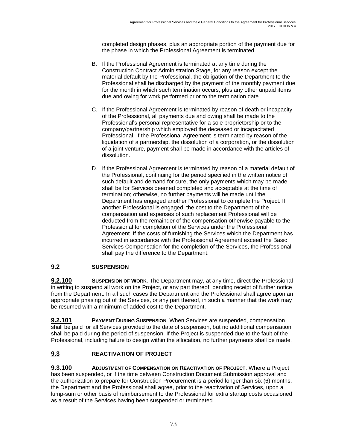completed design phases, plus an appropriate portion of the payment due for the phase in which the Professional Agreement is terminated.

- B. If the Professional Agreement is terminated at any time during the Construction Contract Administration Stage, for any reason except the material default by the Professional, the obligation of the Department to the Professional shall be discharged by the payment of the monthly payment due for the month in which such termination occurs, plus any other unpaid items due and owing for work performed prior to the termination date.
- C. If the Professional Agreement is terminated by reason of death or incapacity of the Professional, all payments due and owing shall be made to the Professional's personal representative for a sole proprietorship or to the company/partnership which employed the deceased or incapacitated Professional. If the Professional Agreement is terminated by reason of the liquidation of a partnership, the dissolution of a corporation, or the dissolution of a joint venture, payment shall be made in accordance with the articles of dissolution.
- D. If the Professional Agreement is terminated by reason of a material default of the Professional, continuing for the period specified in the written notice of such default and demand for cure, the only payments which may be made shall be for Services deemed completed and acceptable at the time of termination; otherwise, no further payments will be made until the Department has engaged another Professional to complete the Project. If another Professional is engaged, the cost to the Department of the compensation and expenses of such replacement Professional will be deducted from the remainder of the compensation otherwise payable to the Professional for completion of the Services under the Professional Agreement. If the costs of furnishing the Services which the Department has incurred in accordance with the Professional Agreement exceed the Basic Services Compensation for the completion of the Services, the Professional shall pay the difference to the Department.

## **9.2 SUSPENSION**

**9.2.100 SUSPENSION OF WORK**. The Department may, at any time, direct the Professional in writing to suspend all work on the Project, or any part thereof, pending receipt of further notice from the Department. In all such cases the Department and the Professional shall agree upon an appropriate phasing out of the Services, or any part thereof, in such a manner that the work may be resumed with a minimum of added cost to the Department.

**9.2.101 PAYMENT DURING SUSPENSION**. When Services are suspended, compensation shall be paid for all Services provided to the date of suspension, but no additional compensation shall be paid during the period of suspension. If the Project is suspended due to the fault of the Professional, including failure to design within the allocation, no further payments shall be made.

## **9.3 REACTIVATION OF PROJECT**

**9.3.100 ADJUSTMENT OF COMPENSATION ON REACTIVATION OF PROJECT**. Where a Project has been suspended, or if the time between Construction Document Submission approval and the authorization to prepare for Construction Procurement is a period longer than six (6) months, the Department and the Professional shall agree, prior to the reactivation of Services, upon a lump-sum or other basis of reimbursement to the Professional for extra startup costs occasioned as a result of the Services having been suspended or terminated.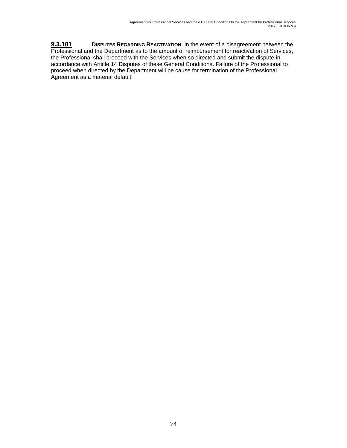**9.3.101 DISPUTES REGARDING REACTIVATION**. In the event of a disagreement between the Professional and the Department as to the amount of reimbursement for reactivation of Services, the Professional shall proceed with the Services when so directed and submit the dispute in accordance with Article 14 Disputes of these General Conditions. Failure of the Professional to proceed when directed by the Department will be cause for termination of the Professional Agreement as a material default.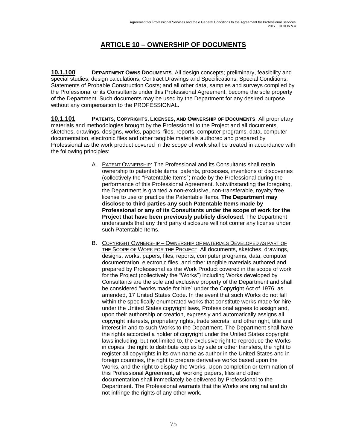## **ARTICLE 10 – OWNERSHIP OF DOCUMENTS**

**10.1.100 DEPARTMENT OWNS DOCUMENTS**. All design concepts; preliminary, feasibility and special studies; design calculations; Contract Drawings and Specifications; Special Conditions; Statements of Probable Construction Costs; and all other data, samples and surveys compiled by the Professional or its Consultants under this Professional Agreement, become the sole property of the Department. Such documents may be used by the Department for any desired purpose without any compensation to the PROFESSIONAL.

**10.1.101 PATENTS, COPYRIGHTS, LICENSES, AND OWNERSHIP OF DOCUMENTS**. All proprietary materials and methodologies brought by the Professional to the Project and all documents, sketches, drawings, designs, works, papers, files, reports, computer programs, data, computer documentation, electronic files and other tangible materials authored and prepared by Professional as the work product covered in the scope of work shall be treated in accordance with the following principles:

- A. PATENT OWNERSHIP: The Professional and its Consultants shall retain ownership to patentable items, patents, processes, inventions of discoveries (collectively the "Patentable Items") made by the Professional during the performance of this Professional Agreement. Notwithstanding the foregoing, the Department is granted a non-exclusive, non-transferable, royalty free license to use or practice the Patentable Items. **The Department may disclose to third parties any such Patentable Items made by Professional or any of its Consultants under the scope of work for the Project that have been previously publicly disclosed.** The Department understands that any third party disclosure will not confer any license under such Patentable Items.
- B. COPYRIGHT OWNERSHIP OWNERSHIP OF MATERIALS DEVELOPED AS PART OF THE SCOPE OF WORK FOR THE PROJECT: All documents, sketches, drawings, designs, works, papers, files, reports, computer programs, data, computer documentation, electronic files, and other tangible materials authored and prepared by Professional as the Work Product covered in the scope of work for the Project (collectively the "Works") including Works developed by Consultants are the sole and exclusive property of the Department and shall be considered "works made for hire" under the Copyright Act of 1976, as amended, 17 United States Code. In the event that such Works do not fall within the specifically enumerated works that constitute works made for hire under the United States copyright laws, Professional agrees to assign and, upon their authorship or creation, expressly and automatically assigns all copyright interests, proprietary rights, trade secrets, and other right, title and interest in and to such Works to the Department. The Department shall have the rights accorded a holder of copyright under the United States copyright laws including, but not limited to, the exclusive right to reproduce the Works in copies, the right to distribute copies by sale or other transfers, the right to register all copyrights in its own name as author in the United States and in foreign countries, the right to prepare derivative works based upon the Works, and the right to display the Works. Upon completion or termination of this Professional Agreement, all working papers, files and other documentation shall immediately be delivered by Professional to the Department. The Professional warrants that the Works are original and do not infringe the rights of any other work.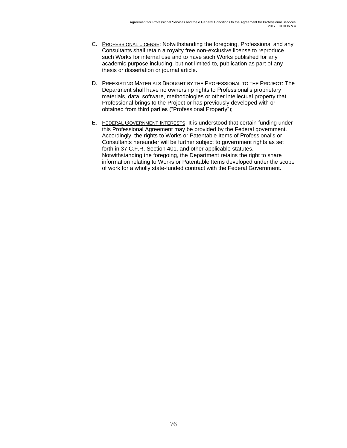- C. PROFESSIONAL LICENSE: Notwithstanding the foregoing, Professional and any Consultants shall retain a royalty free non-exclusive license to reproduce such Works for internal use and to have such Works published for any academic purpose including, but not limited to, publication as part of any thesis or dissertation or journal article.
- D. PREEXISTING MATERIALS BROUGHT BY THE PROFESSIONAL TO THE PROJECT: The Department shall have no ownership rights to Professional's proprietary materials, data, software, methodologies or other intellectual property that Professional brings to the Project or has previously developed with or obtained from third parties ("Professional Property");
- E. FEDERAL GOVERNMENT INTERESTS: It is understood that certain funding under this Professional Agreement may be provided by the Federal government. Accordingly, the rights to Works or Patentable Items of Professional's or Consultants hereunder will be further subject to government rights as set forth in 37 C.F.R. Section 401, and other applicable statutes. Notwithstanding the foregoing, the Department retains the right to share information relating to Works or Patentable Items developed under the scope of work for a wholly state-funded contract with the Federal Government.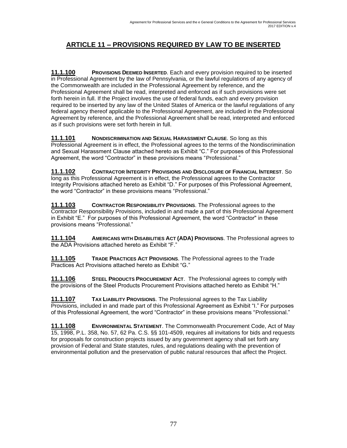# **ARTICLE 11 – PROVISIONS REQUIRED BY LAW TO BE INSERTED**

**11.1.100 PROVISIONS DEEMED INSERTED**. Each and every provision required to be inserted in Professional Agreement by the law of Pennsylvania, or the lawful regulations of any agency of the Commonwealth are included in the Professional Agreement by reference, and the Professional Agreement shall be read, interpreted and enforced as if such provisions were set forth herein in full. If the Project involves the use of federal funds, each and every provision required to be inserted by any law of the United States of America or the lawful regulations of any federal agency thereof applicable to the Professional Agreement, are included in the Professional Agreement by reference, and the Professional Agreement shall be read, interpreted and enforced as if such provisions were set forth herein in full.

**11.1.101 NONDISCRIMINATION AND SEXUAL HARASSMENT CLAUSE**. So long as this Professional Agreement is in effect, the Professional agrees to the terms of the Nondiscrimination and Sexual Harassment Clause attached hereto as Exhibit "C." For purposes of this Professional Agreement, the word "Contractor" in these provisions means "Professional."

**11.1.102 CONTRACTOR INTEGRITY PROVISIONS AND DISCLOSURE OF FINANCIAL INTEREST**. So long as this Professional Agreement is in effect, the Professional agrees to the Contractor Integrity Provisions attached hereto as Exhibit "D." For purposes of this Professional Agreement, the word "Contractor" in these provisions means "Professional."

**11.1.103 CONTRACTOR RESPONSIBILITY PROVISIONS**. The Professional agrees to the Contractor Responsibility Provisions, included in and made a part of this Professional Agreement in Exhibit "E." For purposes of this Professional Agreement, the word "Contractor" in these provisions means "Professional."

**11.1.104 AMERICANS WITH DISABILITIES ACT (ADA) PROVISIONS**. The Professional agrees to the ADA Provisions attached hereto as Exhibit "F."

**11.1.105 TRADE PRACTICES ACT PROVISIONS**. The Professional agrees to the Trade Practices Act Provisions attached hereto as Exhibit "G."

**11.1.106 STEEL PRODUCTS PROCUREMENT ACT**. The Professional agrees to comply with the provisions of the Steel Products Procurement Provisions attached hereto as Exhibit "H."

**11.1.107 TAX LIABILITY PROVISIONS**. The Professional agrees to the Tax Liability Provisions, included in and made part of this Professional Agreement as Exhibit "I." For purposes of this Professional Agreement, the word "Contractor" in these provisions means "Professional."

**11.1.108 ENVIRONMENTAL STATEMENT**. The Commonwealth Procurement Code, Act of May 15, 1998, P.L. 358, No. 57, 62 Pa. C.S. §§ 101-4509, requires all invitations for bids and requests for proposals for construction projects issued by any government agency shall set forth any provision of Federal and State statutes, rules, and regulations dealing with the prevention of environmental pollution and the preservation of public natural resources that affect the Project.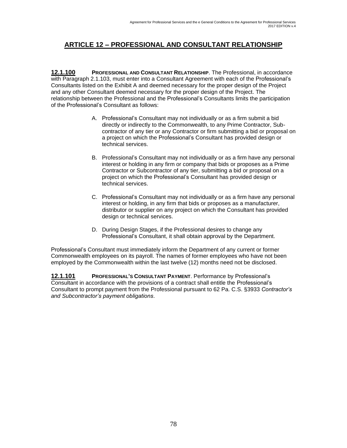## **ARTICLE 12 – PROFESSIONAL AND CONSULTANT RELATIONSHIP**

**12.1.100 PROFESSIONAL AND CONSULTANT RELATIONSHIP**. The Professional, in accordance with Paragraph 2.1.103, must enter into a Consultant Agreement with each of the Professional's Consultants listed on the Exhibit A and deemed necessary for the proper design of the Project and any other Consultant deemed necessary for the proper design of the Project. The relationship between the Professional and the Professional's Consultants limits the participation of the Professional's Consultant as follows:

- A. Professional's Consultant may not individually or as a firm submit a bid directly or indirectly to the Commonwealth, to any Prime Contractor, Subcontractor of any tier or any Contractor or firm submitting a bid or proposal on a project on which the Professional's Consultant has provided design or technical services.
- B. Professional's Consultant may not individually or as a firm have any personal interest or holding in any firm or company that bids or proposes as a Prime Contractor or Subcontractor of any tier, submitting a bid or proposal on a project on which the Professional's Consultant has provided design or technical services.
- C. Professional's Consultant may not individually or as a firm have any personal interest or holding, in any firm that bids or proposes as a manufacturer, distributor or supplier on any project on which the Consultant has provided design or technical services.
- D. During Design Stages, if the Professional desires to change any Professional's Consultant, it shall obtain approval by the Department.

Professional's Consultant must immediately inform the Department of any current or former Commonwealth employees on its payroll. The names of former employees who have not been employed by the Commonwealth within the last twelve (12) months need not be disclosed.

**12.1.101 PROFESSIONAL'S CONSULTANT PAYMENT**. Performance by Professional's Consultant in accordance with the provisions of a contract shall entitle the Professional's Consultant to prompt payment from the Professional pursuant to 62 Pa. C.S. §3933 *Contractor's and Subcontractor's payment obligations*.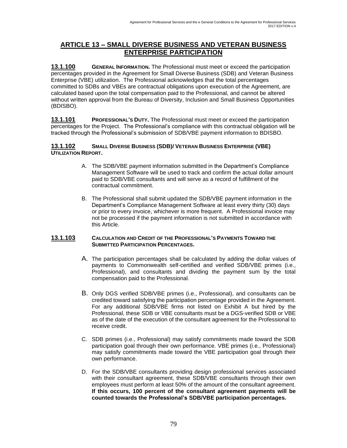## **ARTICLE 13 – SMALL DIVERSE BUSINESS AND VETERAN BUSINESS ENTERPRISE PARTICIPATION**

**13.1.100 GENERAL INFORMATION.** The Professional must meet or exceed the participation percentages provided in the Agreement for Small Diverse Business (SDB) and Veteran Business Enterprise (VBE) utilization. The Professional acknowledges that the total percentages committed to SDBs and VBEs are contractual obligations upon execution of the Agreement, are calculated based upon the total compensation paid to the Professional, and cannot be altered without written approval from the Bureau of Diversity, Inclusion and Small Business Opportunities (BDISBO).

**13.1.101 PROFESSIONAL'S DUTY.** The Professional must meet or exceed the participation percentages for the Project. The Professional's compliance with this contractual obligation will be tracked through the Professional's submission of SDB/VBE payment information to BDISBO.

#### **13.1.102 SMALL DIVERSE BUSINESS (SDB)/ VETERAN BUSINESS ENTERPRISE (VBE) UTILIZATION REPORT.**

- A. The SDB/VBE payment information submitted in the Department's Compliance Management Software will be used to track and confirm the actual dollar amount paid to SDB/VBE consultants and will serve as a record of fulfillment of the contractual commitment.
- B. The Professional shall submit updated the SDB/VBE payment information in the Department's Compliance Management Software at least every thirty (30) days or prior to every invoice, whichever is more frequent. A Professional invoice may not be processed if the payment information is not submitted in accordance with this Article.

#### **13.1.103 CALCULATION AND CREDIT OF THE PROFESSIONAL'S PAYMENTS TOWARD THE SUBMITTED PARTICIPATION PERCENTAGES.**

- A. The participation percentages shall be calculated by adding the dollar values of payments to Commonwealth self-certified and verified SDB/VBE primes (i.e., Professional), and consultants and dividing the payment sum by the total compensation paid to the Professional.
- B. Only DGS verified SDB/VBE primes (i.e., Professional), and consultants can be credited toward satisfying the participation percentage provided in the Agreement. For any additional SDB/VBE firms not listed on Exhibit A but hired by the Professional, these SDB or VBE consultants must be a DGS-verified SDB or VBE as of the date of the execution of the consultant agreement for the Professional to receive credit.
- C. SDB primes (i.e., Professional) may satisfy commitments made toward the SDB participation goal through their own performance. VBE primes (i.e., Professional) may satisfy commitments made toward the VBE participation goal through their own performance.
- D. For the SDB/VBE consultants providing design professional services associated with their consultant agreement, these SDB/VBE consultants through their own employees must perform at least 50% of the amount of the consultant agreement. **If this occurs, 100 percent of the consultant agreement payments will be counted towards the Professional's SDB/VBE participation percentages.**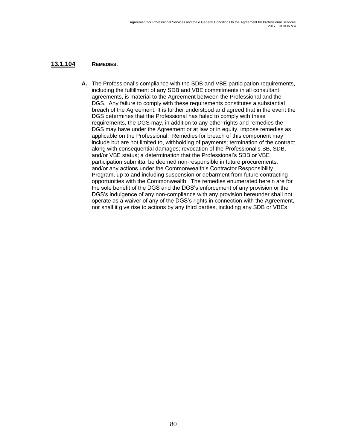#### **13.1.104 REMEDIES.**

**A.** The Professional's compliance with the SDB and VBE participation requirements, including the fulfillment of any SDB and VBE commitments in all consultant agreements, is material to the Agreement between the Professional and the DGS. Any failure to comply with these requirements constitutes a substantial breach of the Agreement. It is further understood and agreed that in the event the DGS determines that the Professional has failed to comply with these requirements, the DGS may, in addition to any other rights and remedies the DGS may have under the Agreement or at law or in equity, impose remedies as applicable on the Professional. Remedies for breach of this component may include but are not limited to, withholding of payments; termination of the contract along with consequential damages; revocation of the Professional's SB, SDB, and/or VBE status; a determination that the Professional's SDB or VBE participation submittal be deemed non-responsible in future procurements; and/or any actions under the Commonwealth's Contractor Responsibility Program, up to and including suspension or debarment from future contracting opportunities with the Commonwealth. The remedies enumerated herein are for the sole benefit of the DGS and the DGS's enforcement of any provision or the DGS's indulgence of any non-compliance with any provision hereunder shall not operate as a waiver of any of the DGS's rights in connection with the Agreement, nor shall it give rise to actions by any third parties, including any SDB or VBEs.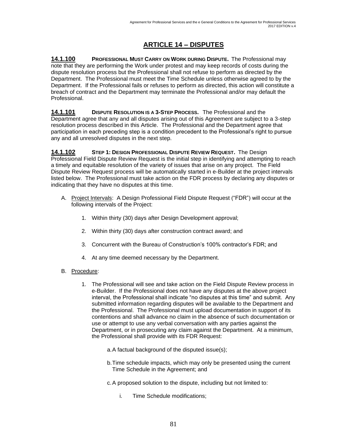# **ARTICLE 14 – DISPUTES**

**14.1.100 PROFESSIONAL MUST CARRY ON WORK DURING DISPUTE.** The Professional may note that they are performing the Work under protest and may keep records of costs during the dispute resolution process but the Professional shall not refuse to perform as directed by the Department. The Professional must meet the Time Schedule unless otherwise agreed to by the Department. If the Professional fails or refuses to perform as directed, this action will constitute a breach of contract and the Department may terminate the Professional and/or may default the Professional.

**14.1.101 DISPUTE RESOLUTION IS A 3-STEP PROCESS.** The Professional and the Department agree that any and all disputes arising out of this Agreement are subject to a 3-step resolution process described in this Article. The Professional and the Department agree that participation in each preceding step is a condition precedent to the Professional's right to pursue any and all unresolved disputes in the next step.

**14.1.102 STEP 1: DESIGN PROFESSIONAL DISPUTE REVIEW REQUEST.** The Design Professional Field Dispute Review Request is the initial step in identifying and attempting to reach a timely and equitable resolution of the variety of issues that arise on any project. The Field Dispute Review Request process will be automatically started in e-Builder at the project intervals listed below. The Professional must take action on the FDR process by declaring any disputes or indicating that they have no disputes at this time.

- A. Project Intervals: A Design Professional Field Dispute Request ("FDR") will occur at the following intervals of the Project:
	- 1. Within thirty (30) days after Design Development approval;
	- 2. Within thirty (30) days after construction contract award; and
	- 3. Concurrent with the Bureau of Construction's 100% contractor's FDR; and
	- 4. At any time deemed necessary by the Department.
- B. Procedure:
	- 1. The Professional will see and take action on the Field Dispute Review process in e-Builder. If the Professional does not have any disputes at the above project interval, the Professional shall indicate "no disputes at this time" and submit. Any submitted information regarding disputes will be available to the Department and the Professional. The Professional must upload documentation in support of its contentions and shall advance no claim in the absence of such documentation or use or attempt to use any verbal conversation with any parties against the Department, or in prosecuting any claim against the Department. At a minimum, the Professional shall provide with its FDR Request:
		- a.A factual background of the disputed issue(s);
		- b.Time schedule impacts, which may only be presented using the current Time Schedule in the Agreement; and
		- c.A proposed solution to the dispute, including but not limited to:
			- i. Time Schedule modifications;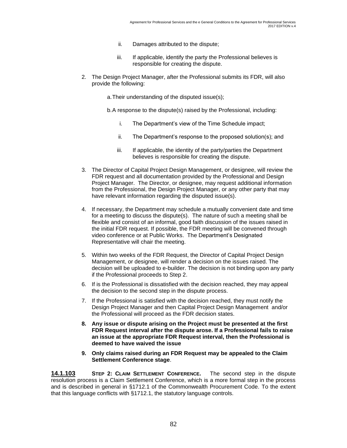- ii. Damages attributed to the dispute;
- iii. If applicable, identify the party the Professional believes is responsible for creating the dispute.
- 2. The Design Project Manager, after the Professional submits its FDR, will also provide the following:
	- a.Their understanding of the disputed issue(s);
	- b.A response to the dispute(s) raised by the Professional, including:
		- i. The Department's view of the Time Schedule impact;
		- ii. The Department's response to the proposed solution(s); and
		- iii. If applicable, the identity of the party/parties the Department believes is responsible for creating the dispute.
- 3. The Director of Capital Project Design Management, or designee, will review the FDR request and all documentation provided by the Professional and Design Project Manager. The Director, or designee, may request additional information from the Professional, the Design Project Manager, or any other party that may have relevant information regarding the disputed issue(s).
- 4. If necessary, the Department may schedule a mutually convenient date and time for a meeting to discuss the dispute(s). The nature of such a meeting shall be flexible and consist of an informal, good faith discussion of the issues raised in the initial FDR request. If possible, the FDR meeting will be convened through video conference or at Public Works. The Department's Designated Representative will chair the meeting.
- 5. Within two weeks of the FDR Request, the Director of Capital Project Design Management, or designee, will render a decision on the issues raised. The decision will be uploaded to e-builder. The decision is not binding upon any party if the Professional proceeds to Step 2.
- 6. If is the Professional is dissatisfied with the decision reached, they may appeal the decision to the second step in the dispute process.
- 7. If the Professional is satisfied with the decision reached, they must notify the Design Project Manager and then Capital Project Design Management and/or the Professional will proceed as the FDR decision states.
- **8. Any issue or dispute arising on the Project must be presented at the first FDR Request interval after the dispute arose. If a Professional fails to raise an issue at the appropriate FDR Request interval, then the Professional is deemed to have waived the issue**
- **9. Only claims raised during an FDR Request may be appealed to the Claim Settlement Conference stage**.

**14.1.103 STEP 2: CLAIM SETTLEMENT CONFERENCE.** The second step in the dispute resolution process is a Claim Settlement Conference, which is a more formal step in the process and is described in general in §1712.1 of the Commonwealth Procurement Code. To the extent that this language conflicts with §1712.1, the statutory language controls.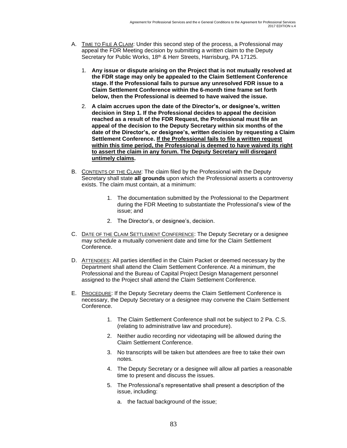- A. TIME TO FILE A CLAIM: Under this second step of the process, a Professional may appeal the FDR Meeting decision by submitting a written claim to the Deputy Secretary for Public Works, 18<sup>th</sup> & Herr Streets, Harrisburg, PA 17125.
	- 1. **Any issue or dispute arising on the Project that is not mutually resolved at the FDR stage may only be appealed to the Claim Settlement Conference stage. If the Professional fails to pursue any unresolved FDR issue to a Claim Settlement Conference within the 6-month time frame set forth below, then the Professional is deemed to have waived the issue.**
	- 2. **A claim accrues upon the date of the Director's, or designee's, written decision in Step 1. If the Professional decides to appeal the decision reached as a result of the FDR Request, the Professional must file an appeal of the decision to the Deputy Secretary within six months of the date of the Director's, or designee's, written decision by requesting a Claim Settlement Conference. If the Professional fails to file a written request within this time period, the Professional is deemed to have waived its right to assert the claim in any forum. The Deputy Secretary will disregard untimely claims.**
- B. CONTENTS OF THE CLAIM: The claim filed by the Professional with the Deputy Secretary shall state **all grounds** upon which the Professional asserts a controversy exists. The claim must contain, at a minimum:
	- 1. The documentation submitted by the Professional to the Department during the FDR Meeting to substantiate the Professional's view of the issue; and
	- 2. The Director's, or designee's, decision.
- C. DATE OF THE CLAIM SETTLEMENT CONFERENCE: The Deputy Secretary or a designee may schedule a mutually convenient date and time for the Claim Settlement Conference.
- D. ATTENDEES: All parties identified in the Claim Packet or deemed necessary by the Department shall attend the Claim Settlement Conference. At a minimum, the Professional and the Bureau of Capital Project Design Management personnel assigned to the Project shall attend the Claim Settlement Conference.
- E. PROCEDURE: If the Deputy Secretary deems the Claim Settlement Conference is necessary, the Deputy Secretary or a designee may convene the Claim Settlement Conference.
	- 1. The Claim Settlement Conference shall not be subject to 2 Pa. C.S. (relating to administrative law and procedure).
	- 2. Neither audio recording nor videotaping will be allowed during the Claim Settlement Conference.
	- 3. No transcripts will be taken but attendees are free to take their own notes.
	- 4. The Deputy Secretary or a designee will allow all parties a reasonable time to present and discuss the issues.
	- 5. The Professional's representative shall present a description of the issue, including:
		- a. the factual background of the issue;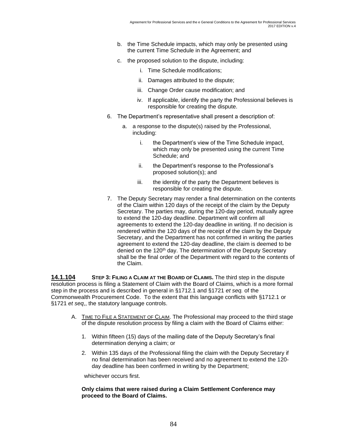- b. the Time Schedule impacts, which may only be presented using the current Time Schedule in the Agreement; and
- c. the proposed solution to the dispute, including:
	- i. Time Schedule modifications;
	- ii. Damages attributed to the dispute;
	- iii. Change Order cause modification; and
	- iv. If applicable, identify the party the Professional believes is responsible for creating the dispute.
- 6. The Department's representative shall present a description of:
	- a. a response to the dispute(s) raised by the Professional, including:
		- i. the Department's view of the Time Schedule impact, which may only be presented using the current Time Schedule; and
		- ii. the Department's response to the Professional's proposed solution(s); and
		- iii. the identity of the party the Department believes is responsible for creating the dispute.
- 7. The Deputy Secretary may render a final determination on the contents of the Claim within 120 days of the receipt of the claim by the Deputy Secretary. The parties may, during the 120-day period, mutually agree to extend the 120-day deadline. Department will confirm all agreements to extend the 120-day deadline in writing. If no decision is rendered within the 120 days of the receipt of the claim by the Deputy Secretary, and the Department has not confirmed in writing the parties agreement to extend the 120-day deadline, the claim is deemed to be denied on the 120<sup>th</sup> day. The determination of the Deputy Secretary shall be the final order of the Department with regard to the contents of the Claim.

**14.1.104 STEP 3: FILING A CLAIM AT THE BOARD OF CLAIMS.** The third step in the dispute resolution process is filing a Statement of Claim with the Board of Claims, which is a more formal step in the process and is described in general in §1712.1 and §1721 *et seq.* of the Commonwealth Procurement Code. To the extent that this language conflicts with §1712.1 or §1721 *et seq*,, the statutory language controls.

- A. TIME TO FILE A STATEMENT OF CLAIM. The Professional may proceed to the third stage of the dispute resolution process by filing a claim with the Board of Claims either:
	- 1. Within fifteen (15) days of the mailing date of the Deputy Secretary's final determination denying a claim; or
	- 2. Within 135 days of the Professional filing the claim with the Deputy Secretary if no final determination has been received and no agreement to extend the 120 day deadline has been confirmed in writing by the Department;

whichever occurs first.

#### **Only claims that were raised during a Claim Settlement Conference may proceed to the Board of Claims.**